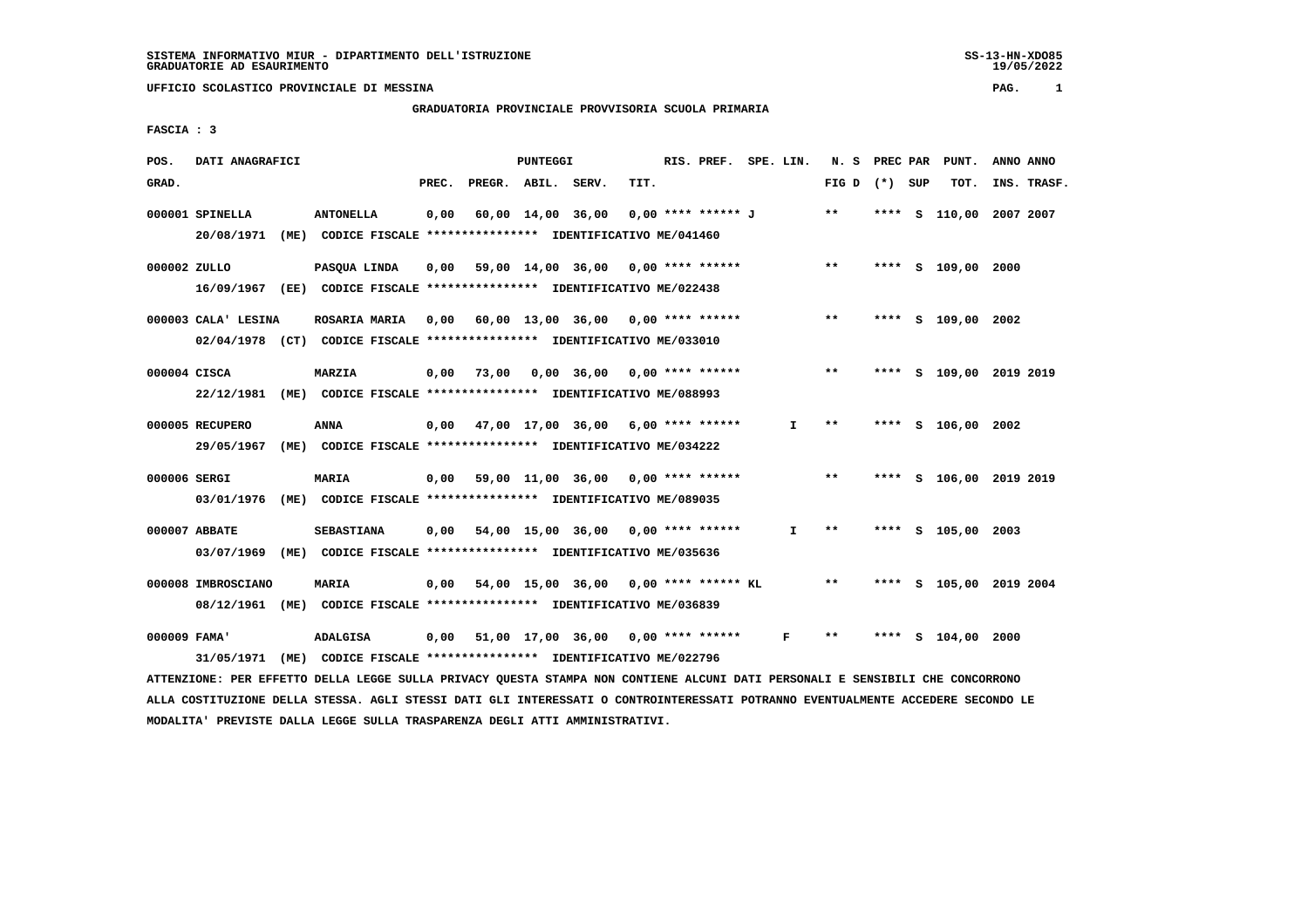# **GRADUATORIA PROVINCIALE PROVVISORIA SCUOLA PRIMARIA**

 **FASCIA : 3**

| POS.         | DATI ANAGRAFICI               |                                                                                                                                                                                                          |      |                          | <b>PUNTEGGI</b> |                                              |      | RIS. PREF. SPE. LIN. |              |                   |  | N. S PREC PAR PUNT.     | ANNO ANNO |             |
|--------------|-------------------------------|----------------------------------------------------------------------------------------------------------------------------------------------------------------------------------------------------------|------|--------------------------|-----------------|----------------------------------------------|------|----------------------|--------------|-------------------|--|-------------------------|-----------|-------------|
| GRAD.        |                               |                                                                                                                                                                                                          |      | PREC. PREGR. ABIL. SERV. |                 |                                              | TIT. |                      |              | FIG $D$ $(*)$ SUP |  | TOT.                    |           | INS. TRASF. |
|              | 000001 SPINELLA<br>20/08/1971 | <b>ANTONELLA</b><br>(ME) CODICE FISCALE **************** IDENTIFICATIVO ME/041460                                                                                                                        | 0,00 |                          |                 | 60,00 14,00 36,00 0,00 **** ****** J         |      |                      |              | $***$             |  | **** S 110,00 2007 2007 |           |             |
| 000002 ZULLO |                               | PASOUA LINDA<br>16/09/1967 (EE) CODICE FISCALE *************** IDENTIFICATIVO ME/022438                                                                                                                  | 0.00 |                          |                 | 59,00 14,00 36,00 0,00 **** ******           |      |                      |              | $***$             |  | **** S 109,00 2000      |           |             |
|              | 000003 CALA' LESINA           | ROSARIA MARIA 0,00 60,00 13,00 36,00 0,00 **** ******<br>02/04/1978 (CT) CODICE FISCALE *************** IDENTIFICATIVO ME/033010                                                                         |      |                          |                 |                                              |      |                      |              | $***$             |  | **** S 109,00 2002      |           |             |
| 000004 CISCA |                               | <b>MARZIA</b><br>22/12/1981 (ME) CODICE FISCALE *************** IDENTIFICATIVO ME/088993                                                                                                                 |      |                          |                 | $0,00$ 73,00 0,00 36,00 0,00 **** ******     |      |                      |              | $***$             |  | **** S 109,00 2019 2019 |           |             |
|              | 000005 RECUPERO<br>29/05/1967 | <b>ANNA</b><br>(ME) CODICE FISCALE **************** IDENTIFICATIVO ME/034222                                                                                                                             |      |                          |                 | $0,00$ 47,00 17,00 36,00 6,00 **** ******    |      |                      | I.           | $***$             |  | **** S 106,00 2002      |           |             |
| 000006 SERGI |                               | MARIA<br>03/01/1976 (ME) CODICE FISCALE *************** IDENTIFICATIVO ME/089035                                                                                                                         |      |                          |                 | $0,00$ 59,00 11,00 36,00 0,00 **** ******    |      |                      |              | $* *$             |  | **** S 106,00 2019 2019 |           |             |
|              | 000007 ABBATE<br>03/07/1969   | <b>SEBASTIANA</b><br>(ME) CODICE FISCALE **************** IDENTIFICATIVO ME/035636                                                                                                                       |      |                          |                 | $0,00$ 54,00 15,00 36,00 0,00 **** ******    |      |                      | I.           | $* *$             |  | **** S 105,00 2003      |           |             |
|              | 000008 IMBROSCIANO            | MARIA<br>08/12/1961 (ME) CODICE FISCALE *************** IDENTIFICATIVO ME/036839                                                                                                                         |      |                          |                 | $0,00$ 54,00 15,00 36,00 0,00 **** ****** KL |      |                      |              | $* *$             |  | **** S 105,00 2019 2004 |           |             |
| 000009 FAMA' |                               | <b>ADALGISA</b>                                                                                                                                                                                          | 0,00 |                          |                 | 51,00 17,00 36,00 0,00 **** ******           |      |                      | $\mathbf{F}$ | $***$             |  | **** S 104,00 2000      |           |             |
|              |                               | 31/05/1971 (ME) CODICE FISCALE *************** IDENTIFICATIVO ME/022796<br>ATTENZIONE: PER EFFETTO DELLA LEGGE SULLA PRIVACY QUESTA STAMPA NON CONTIENE ALCUNI DATI PERSONALI E SENSIBILI CHE CONCORRONO |      |                          |                 |                                              |      |                      |              |                   |  |                         |           |             |

 **ALLA COSTITUZIONE DELLA STESSA. AGLI STESSI DATI GLI INTERESSATI O CONTROINTERESSATI POTRANNO EVENTUALMENTE ACCEDERE SECONDO LE MODALITA' PREVISTE DALLA LEGGE SULLA TRASPARENZA DEGLI ATTI AMMINISTRATIVI.**

SS-13-HN-XDO85<br>19/05/2022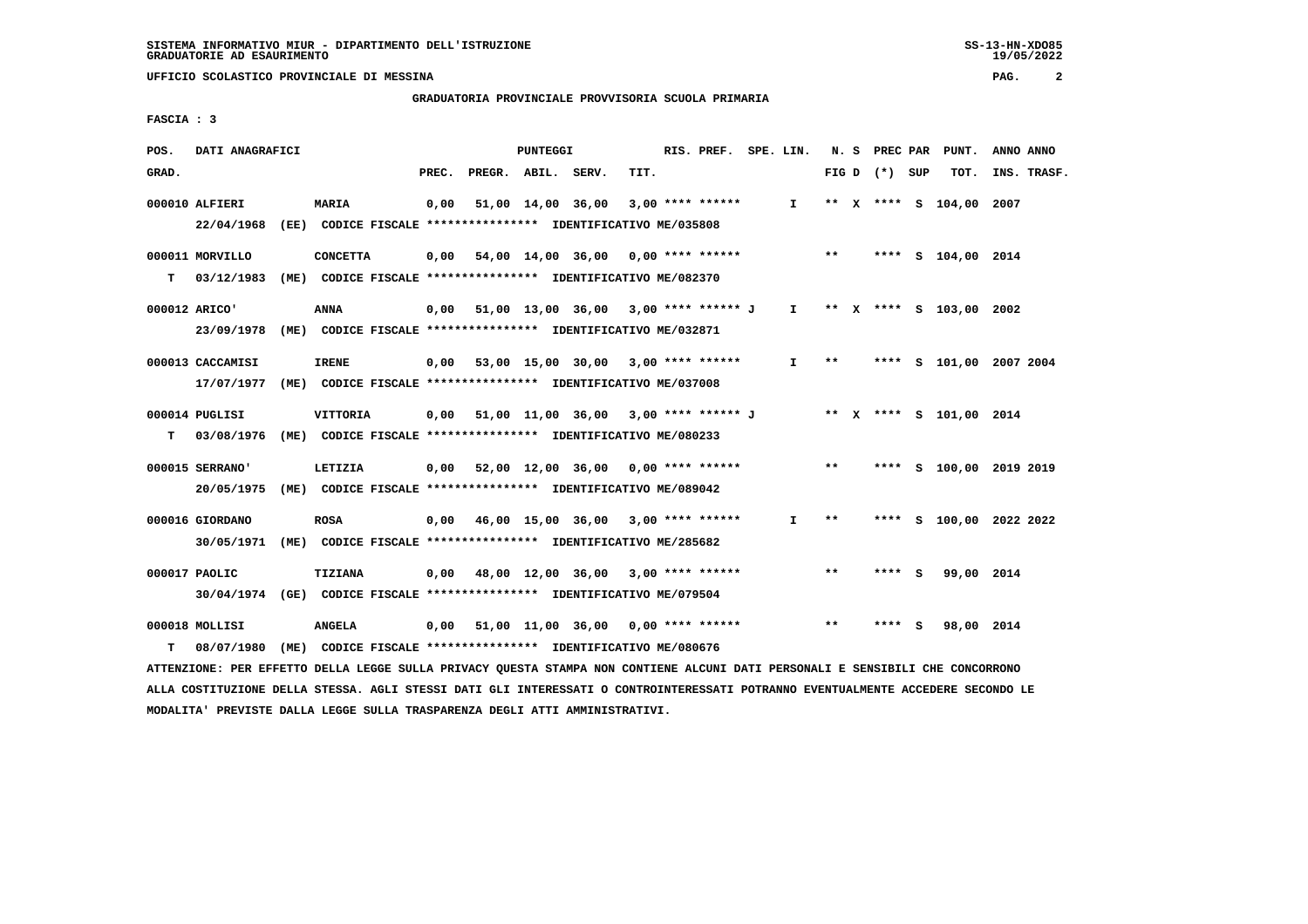**GRADUATORIA PROVINCIALE PROVVISORIA SCUOLA PRIMARIA**

 **FASCIA : 3**

| POS.  | DATI ANAGRAFICI                                                                             |                                                                                  |       |                    | PUNTEGGI |                                                                     |      | RIS. PREF. SPE. LIN. |              |       | N. S PREC PAR   |   | PUNT.                   | ANNO ANNO               |
|-------|---------------------------------------------------------------------------------------------|----------------------------------------------------------------------------------|-------|--------------------|----------|---------------------------------------------------------------------|------|----------------------|--------------|-------|-----------------|---|-------------------------|-------------------------|
| GRAD. |                                                                                             |                                                                                  | PREC. | PREGR. ABIL. SERV. |          |                                                                     | TIT. |                      |              |       | FIG D $(*)$ SUP |   | TOT.                    | INS. TRASF.             |
|       | 000010 ALFIERI<br>22/04/1968 (EE) CODICE FISCALE *************** IDENTIFICATIVO ME/035808   | <b>MARIA</b>                                                                     | 0,00  |                    |          | 51,00 14,00 36,00                                                   |      | $3,00$ **** ******   | $\mathbf{I}$ |       |                 |   | ** X **** S 104,00 2007 |                         |
| т     | 000011 MORVILLO<br>03/12/1983                                                               | <b>CONCETTA</b><br>(ME) CODICE FISCALE **************** IDENTIFICATIVO ME/082370 |       |                    |          | $0,00$ 54,00 14,00 36,00 0,00 **** ****** **** ***                  |      |                      |              |       |                 |   | **** S 104,00 2014      |                         |
|       | 000012 ARICO'<br>23/09/1978 (ME) CODICE FISCALE *************** IDENTIFICATIVO ME/032871    | <b>ANNA</b>                                                                      |       |                    |          | 0,00 51,00 13,00 36,00 3,00 **** ****** J I ** X **** S 103,00 2002 |      |                      |              |       |                 |   |                         |                         |
|       | 000013 CACCAMISI<br>17/07/1977 (ME) CODICE FISCALE *************** IDENTIFICATIVO ME/037008 | <b>IRENE</b>                                                                     |       |                    |          | $0,00$ 53,00 15,00 30,00 3,00 **** ******                           |      |                      | $\mathbf{I}$ | $***$ |                 |   |                         | **** S 101,00 2007 2004 |
| т     | 000014 PUGLISI<br>03/08/1976 (ME) CODICE FISCALE *************** IDENTIFICATIVO ME/080233   | VITTORIA                                                                         |       |                    |          | 0,00 51,00 11,00 36,00 3,00 **** ****** J                           |      |                      |              |       |                 |   | ** x **** s 101,00 2014 |                         |
|       | 000015 SERRANO'<br>20/05/1975                                                               | LETIZIA<br>(ME) CODICE FISCALE **************** IDENTIFICATIVO ME/089042         |       |                    |          | $0,00$ 52,00 12,00 36,00 0,00 **** ******                           |      |                      |              | $**$  |                 |   |                         | **** S 100,00 2019 2019 |
|       | 000016 GIORDANO<br>30/05/1971 (ME) CODICE FISCALE *************** IDENTIFICATIVO ME/285682  | <b>ROSA</b>                                                                      |       |                    |          | $0.00$ 46.00 15.00 36.00 3.00 **** ******                           |      |                      | $\mathbf{I}$ | $* *$ |                 |   |                         | **** S 100,00 2022 2022 |
|       | 000017 PAOLIC<br>30/04/1974 (GE) CODICE FISCALE *************** IDENTIFICATIVO ME/079504    | TIZIANA                                                                          |       |                    |          | $0,00$ 48,00 12,00 36,00 3,00 **** ******                           |      |                      |              | **    | **** S          |   | 99,00 2014              |                         |
| т     | 000018 MOLLISI<br>08/07/1980 (ME) CODICE FISCALE *************** IDENTIFICATIVO ME/080676   | ANGELA                                                                           |       |                    |          | 0,00 51,00 11,00 36,00                                              |      | 0,00 **** ******     |              | $* *$ | ****            | s | 98,00 2014              |                         |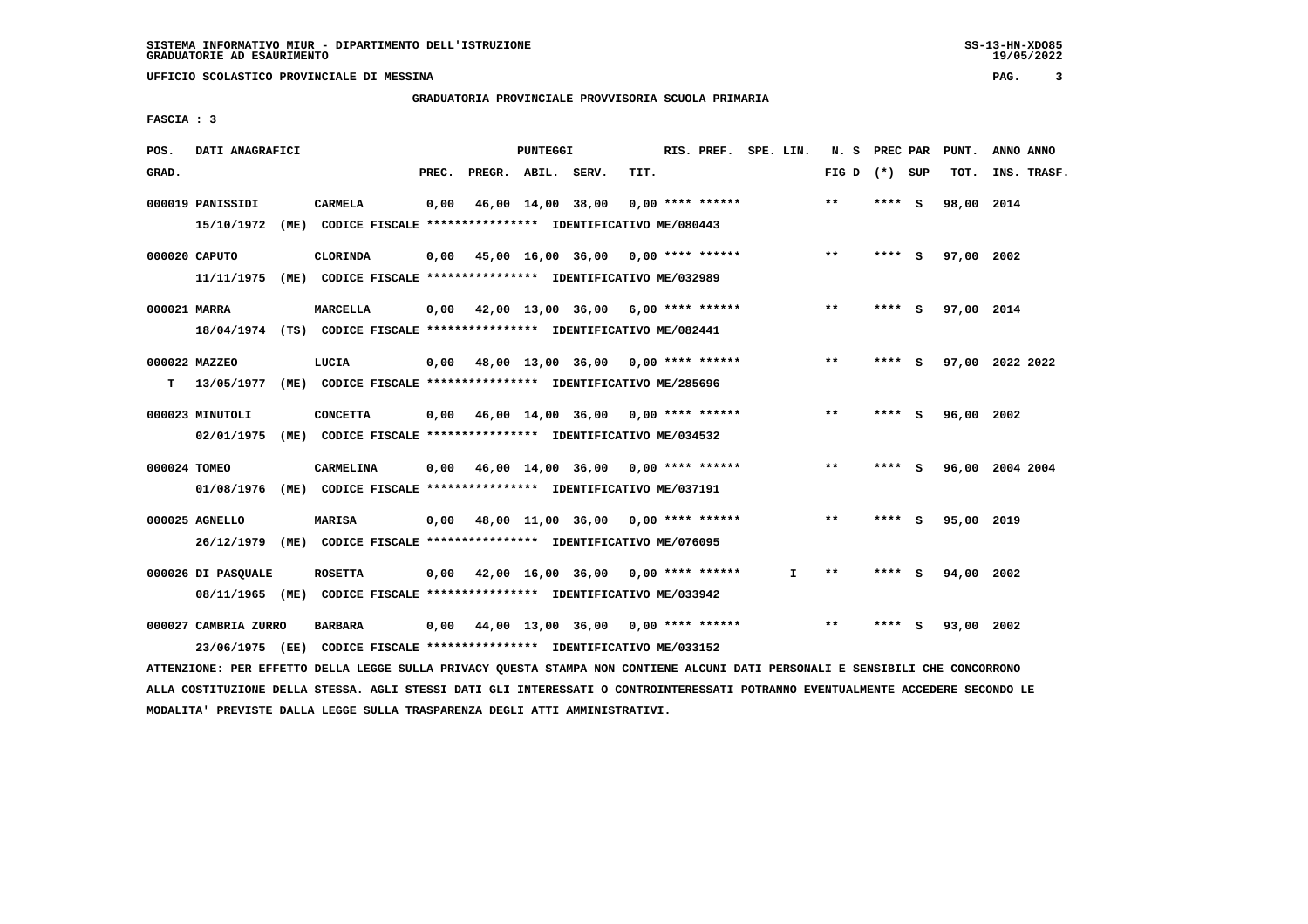## **GRADUATORIA PROVINCIALE PROVVISORIA SCUOLA PRIMARIA**

 **FASCIA : 3**

| POS.         | DATI ANAGRAFICI                         |      |                                                                                            |       |              | PUNTEGGI |                                           |      | RIS. PREF. SPE. LIN. |    | N. S  | PREC PAR |     | PUNT.      | ANNO ANNO       |
|--------------|-----------------------------------------|------|--------------------------------------------------------------------------------------------|-------|--------------|----------|-------------------------------------------|------|----------------------|----|-------|----------|-----|------------|-----------------|
| GRAD.        |                                         |      |                                                                                            | PREC. | PREGR. ABIL. |          | SERV.                                     | TIT. |                      |    | FIG D | (*) SUP  |     | TOT.       | INS. TRASF.     |
|              | 000019 PANISSIDI<br>15/10/1972          |      | <b>CARMELA</b><br>(ME) CODICE FISCALE **************** IDENTIFICATIVO ME/080443            | 0,00  |              |          | 46,00 14,00 38,00                         |      | $0.00$ **** ******   |    | $***$ | **** S   |     | 98,00 2014 |                 |
|              | 000020 CAPUTO<br>11/11/1975             | (ME) | <b>CLORINDA</b><br>CODICE FISCALE **************** IDENTIFICATIVO ME/032989                | 0,00  |              |          | 45,00 16,00 36,00                         |      | $0.00$ **** ******   |    | $***$ | **** S   |     | 97,00 2002 |                 |
| 000021 MARRA |                                         |      | <b>MARCELLA</b><br>18/04/1974 (TS) CODICE FISCALE *************** IDENTIFICATIVO ME/082441 |       |              |          | $0,00$ 42,00 13,00 36,00 6,00 **** ****** |      |                      |    | $***$ | **** S   |     | 97,00 2014 |                 |
| т            | 000022 MAZZEO<br>13/05/1977             |      | LUCIA<br>(ME) CODICE FISCALE **************** IDENTIFICATIVO ME/285696                     | 0,00  |              |          | 48,00 13,00 36,00 0,00 **** ******        |      |                      |    | $***$ | ****     | - S |            | 97,00 2022 2022 |
|              | 000023 MINUTOLI                         |      | <b>CONCETTA</b><br>02/01/1975 (ME) CODICE FISCALE *************** IDENTIFICATIVO ME/034532 |       |              |          | $0.00$ 46.00 14.00 36.00 0.00 **** ****** |      |                      |    | $* *$ | ****     | - S | 96,00 2002 |                 |
| 000024 TOMEO | 01/08/1976                              |      | CARMELINA<br>(ME) CODICE FISCALE **************** IDENTIFICATIVO ME/037191                 |       |              |          | $0,00$ 46,00 14,00 36,00 0,00 **** ****** |      |                      |    | $**$  | **** S   |     |            | 96,00 2004 2004 |
|              | 000025 AGNELLO                          |      | MARISA<br>26/12/1979 (ME) CODICE FISCALE *************** IDENTIFICATIVO ME/076095          |       |              |          | $0,00$ $48,00$ $11,00$ $36,00$            |      | $0.00$ **** ******   |    | $* *$ | ****     | - S | 95,00 2019 |                 |
|              | 000026 DI PASOUALE                      |      | <b>ROSETTA</b><br>08/11/1965 (ME) CODICE FISCALE *************** IDENTIFICATIVO ME/033942  | 0.00  |              |          | 42,00 16,00 36,00 0,00 **** ******        |      |                      | T. | $* *$ | ****     |     | 94,00 2002 |                 |
|              | 000027 CAMBRIA ZURRO<br>23/06/1975 (EE) |      | <b>BARBARA</b><br>CODICE FISCALE **************** IDENTIFICATIVO ME/033152                 | 0,00  |              |          | 44,00 13,00 36,00 0,00 **** ******        |      |                      |    | $***$ | ****     | s   | 93,00 2002 |                 |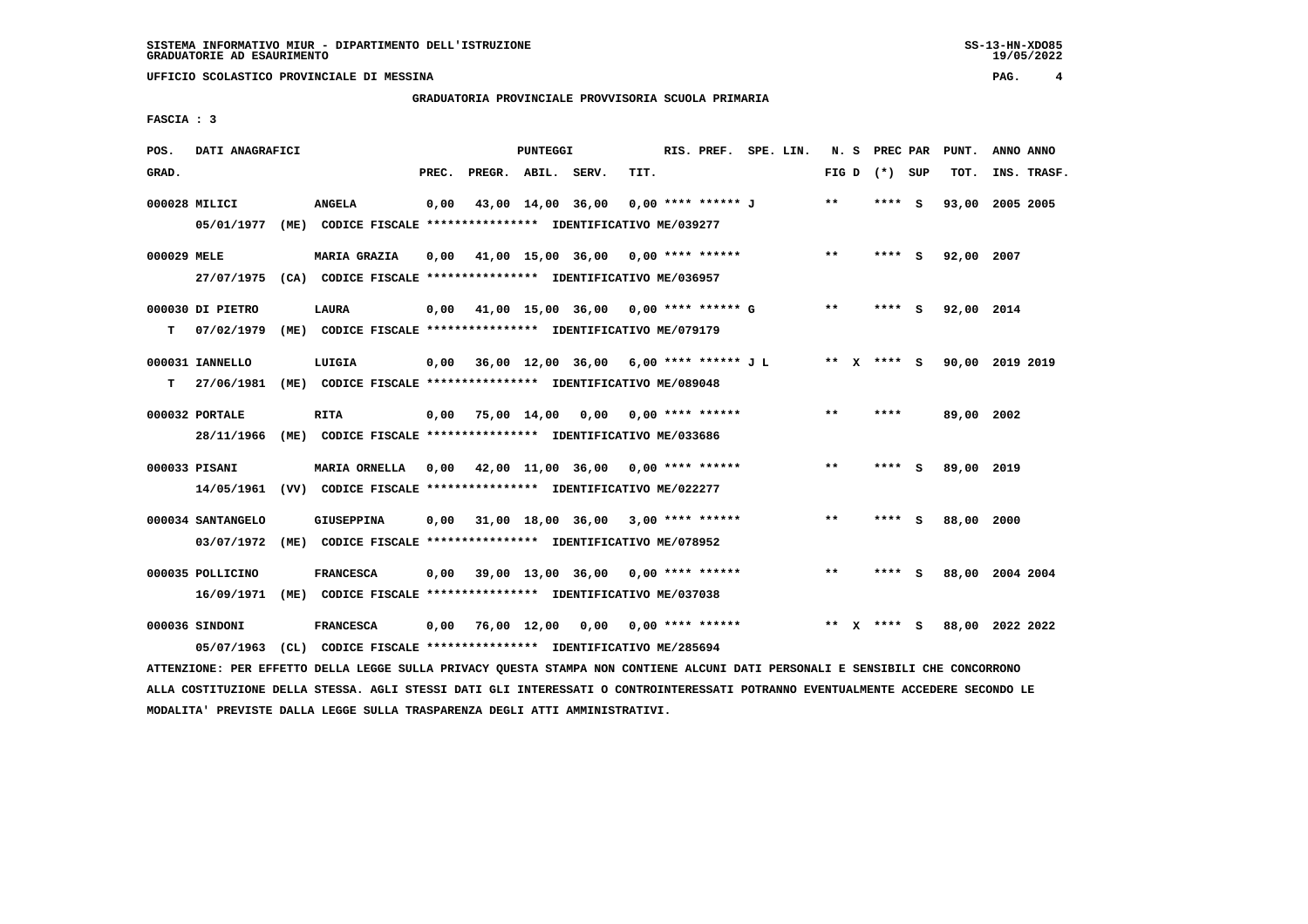## **GRADUATORIA PROVINCIALE PROVVISORIA SCUOLA PRIMARIA**

 **FASCIA : 3**

| POS.        | DATI ANAGRAFICI                 |                                                                                             |       |                    | PUNTEGGI |                                                 |      | RIS. PREF. SPE. LIN.           |  | N.S   | PREC PAR |          | PUNT.           | ANNO ANNO |             |
|-------------|---------------------------------|---------------------------------------------------------------------------------------------|-------|--------------------|----------|-------------------------------------------------|------|--------------------------------|--|-------|----------|----------|-----------------|-----------|-------------|
| GRAD.       |                                 |                                                                                             | PREC. | PREGR. ABIL. SERV. |          |                                                 | TIT. |                                |  | FIG D | (*) SUP  |          | TOT.            |           | INS. TRASF. |
|             | 000028 MILICI<br>05/01/1977     | <b>ANGELA</b><br>(ME) CODICE FISCALE **************** IDENTIFICATIVO ME/039277              | 0,00  |                    |          | 43,00 14,00 36,00                               |      | 0,00 **** ****** J             |  | $***$ | $***$ S  |          | 93,00           | 2005 2005 |             |
| 000029 MELE | 27/07/1975                      | <b>MARIA GRAZIA</b><br>(CA) CODICE FISCALE *************** IDENTIFICATIVO ME/036957         | 0,00  |                    |          | $41,00$ $15,00$ $36,00$ $0,00$ $***$ **** ***** |      |                                |  | $* *$ | ****     | - S      | 92,00 2007      |           |             |
| т           | 000030 DI PIETRO<br>07/02/1979  | <b>LAURA</b><br>(ME) CODICE FISCALE **************** IDENTIFICATIVO ME/079179               | 0,00  |                    |          | 41,00 15,00 36,00 0,00 **** ****** G            |      |                                |  | $***$ | **** S   |          | 92,00 2014      |           |             |
| т           | 000031 IANNELLO<br>27/06/1981   | LUIGIA<br>(ME) CODICE FISCALE *************** IDENTIFICATIVO ME/089048                      | 0,00  |                    |          | 36,00 12,00 36,00 6,00 **** ****** J L          |      |                                |  | ** X  | **** S   |          | 90,00 2019 2019 |           |             |
|             | 000032 PORTALE<br>28/11/1966    | RITA<br>(ME) CODICE FISCALE **************** IDENTIFICATIVO ME/033686                       | 0,00  |                    |          | 75,00 14,00 0,00 0,00 **** ******               |      |                                |  | $**$  | ****     |          | 89,00 2002      |           |             |
|             | 000033 PISANI<br>14/05/1961     | MARIA ORNELLA<br>(VV) CODICE FISCALE **************** IDENTIFICATIVO ME/022277              | 0,00  |                    |          | 42,00 11,00 36,00 0,00 **** ******              |      |                                |  | $**$  | ****     | <b>S</b> | 89,00 2019      |           |             |
|             | 000034 SANTANGELO<br>03/07/1972 | GIUSEPPINA<br>(ME) CODICE FISCALE **************** IDENTIFICATIVO ME/078952                 | 0.00  |                    |          | 31,00 18,00 36,00 3,00 **** ******              |      |                                |  | $* *$ | **** S   |          | 88,00 2000      |           |             |
|             | 000035 POLLICINO<br>16/09/1971  | <b>FRANCESCA</b><br>(ME) CODICE FISCALE *************** IDENTIFICATIVO ME/037038            | 0,00  |                    |          | 39,00 13,00 36,00 0,00 **** ******              |      |                                |  | $* *$ |          | - 5      | 88,00 2004 2004 |           |             |
|             | 000036 SINDONI                  | <b>FRANCESCA</b><br>05/07/1963 (CL) CODICE FISCALE *************** IDENTIFICATIVO ME/285694 | 0.00  | 76,00 12,00        |          |                                                 |      | $0.00$ $0.00$ $***$ **** ***** |  | $* *$ | **** S   |          | 88,00 2022 2022 |           |             |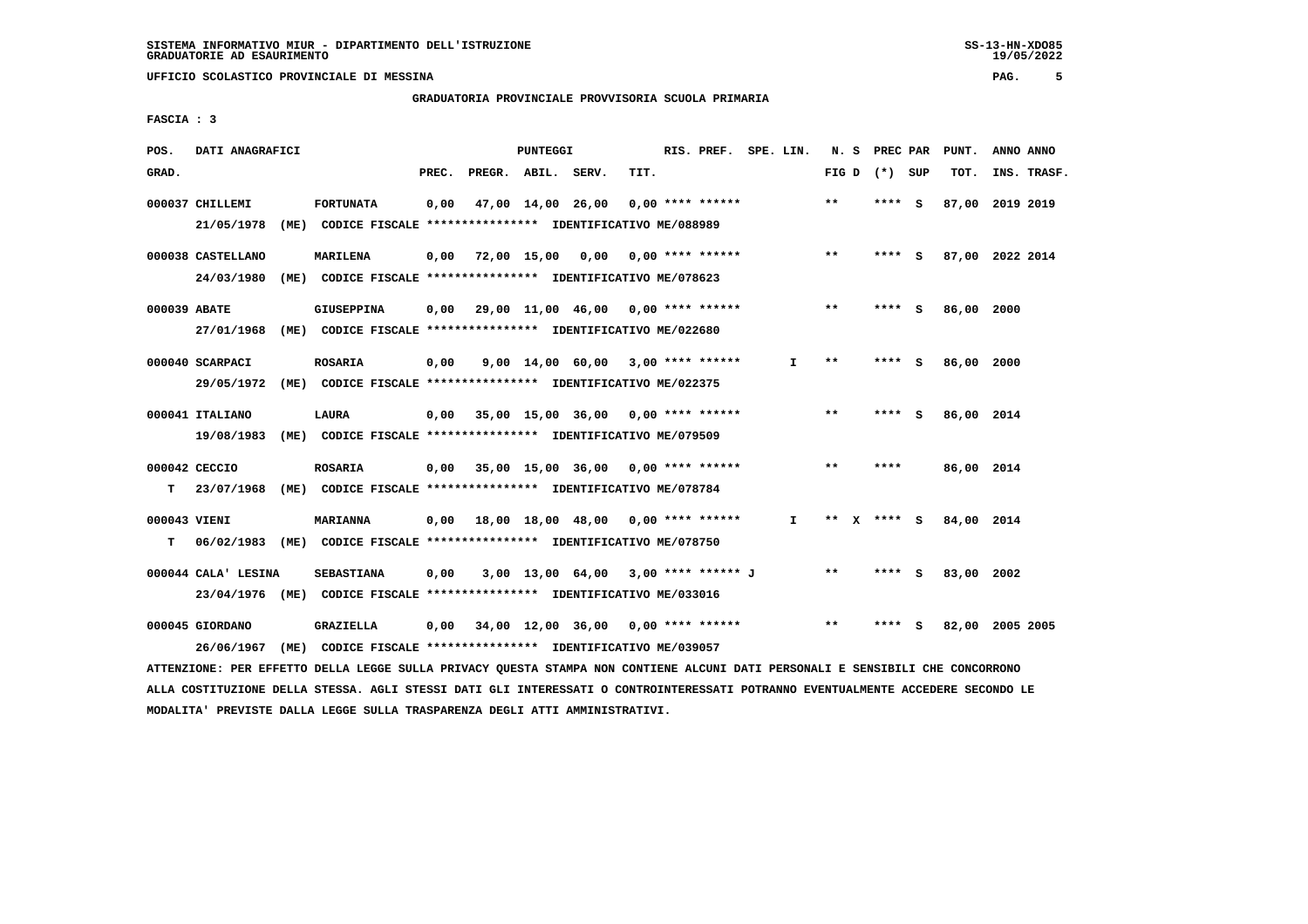## **GRADUATORIA PROVINCIALE PROVVISORIA SCUOLA PRIMARIA**

 **FASCIA : 3**

| POS.              | DATI ANAGRAFICI                                                                                |      |                   |       |                    | PUNTEGGI |                                                                                                            |      | RIS. PREF. SPE. LIN. |              |       | N. S PREC PAR |     | PUNT.           | ANNO ANNO |             |
|-------------------|------------------------------------------------------------------------------------------------|------|-------------------|-------|--------------------|----------|------------------------------------------------------------------------------------------------------------|------|----------------------|--------------|-------|---------------|-----|-----------------|-----------|-------------|
| GRAD.             |                                                                                                |      |                   | PREC. | PREGR. ABIL. SERV. |          |                                                                                                            | TIT. |                      |              | FIG D | (*) SUP       |     | TOT.            |           | INS. TRASF. |
|                   | 000037 CHILLEMI<br>21/05/1978 (ME) CODICE FISCALE *************** IDENTIFICATIVO ME/088989     |      | <b>FORTUNATA</b>  | 0,00  |                    |          | 47,00 14,00 26,00                                                                                          |      | $0.00$ **** ******   |              | $**$  | **** S        |     | 87,00 2019 2019 |           |             |
|                   | 000038 CASTELLANO<br>24/03/1980                                                                | (ME) | MARILENA          | 0,00  | 72,00 15,00 0,00   |          | CODICE FISCALE **************** IDENTIFICATIVO ME/078623                                                   |      | $0.00$ **** ******   |              | **    | **** S        |     | 87,00 2022 2014 |           |             |
| 000039 ABATE      | 27/01/1968                                                                                     |      | <b>GIUSEPPINA</b> | 0,00  |                    |          | 29,00 11,00 46,00 0,00 **** ******<br>(ME) CODICE FISCALE *************** IDENTIFICATIVO ME/022680         |      |                      |              | $***$ | **** S        |     | 86,00 2000      |           |             |
|                   | 000040 SCARPACI<br>29/05/1972                                                                  |      | <b>ROSARIA</b>    | 0,00  |                    |          | $9,00$ 14,00 60,00 3,00 **** ******<br>(ME) CODICE FISCALE **************** IDENTIFICATIVO ME/022375       |      |                      | I.           | $* *$ | ****          | - 5 | 86,00 2000      |           |             |
|                   | 000041 ITALIANO<br>19/08/1983                                                                  |      | <b>LAURA</b>      |       |                    |          | $0.00$ 35.00 15.00 36.00 0.00 **** ******<br>(ME) CODICE FISCALE **************** IDENTIFICATIVO ME/079509 |      |                      |              | **    | **** S        |     | 86,00 2014      |           |             |
| т                 | 000042 CECCIO<br>23/07/1968 (ME) CODICE FISCALE **************** IDENTIFICATIVO ME/078784      |      | <b>ROSARIA</b>    |       |                    |          | 0,00 35,00 15,00 36,00                                                                                     |      | $0.00$ **** ******   |              | $* *$ | ****          |     | 86,00 2014      |           |             |
| 000043 VIENI<br>т | 06/02/1983 (ME) CODICE FISCALE *************** IDENTIFICATIVO ME/078750                        |      | <b>MARIANNA</b>   | 0,00  |                    |          | 18,00 18,00 48,00 0,00 **** ******                                                                         |      |                      | $\mathbf{I}$ |       | ** x **** s   |     | 84,00 2014      |           |             |
|                   | 000044 CALA' LESINA<br>23/04/1976 (ME) CODICE FISCALE *************** IDENTIFICATIVO ME/033016 |      | <b>SEBASTIANA</b> | 0,00  |                    |          | 3,00 13,00 64,00 3,00 **** ****** J                                                                        |      |                      |              | $**$  | **** S        |     | 83,00 2002      |           |             |
|                   | 000045 GIORDANO<br>26/06/1967                                                                  | (ME) | GRAZIELLA         | 0.00  |                    |          | 34,00 12,00 36,00 0,00 **** ******<br>CODICE FISCALE **************** IDENTIFICATIVO ME/039057             |      |                      |              | $* *$ |               |     | 82,00           | 2005 2005 |             |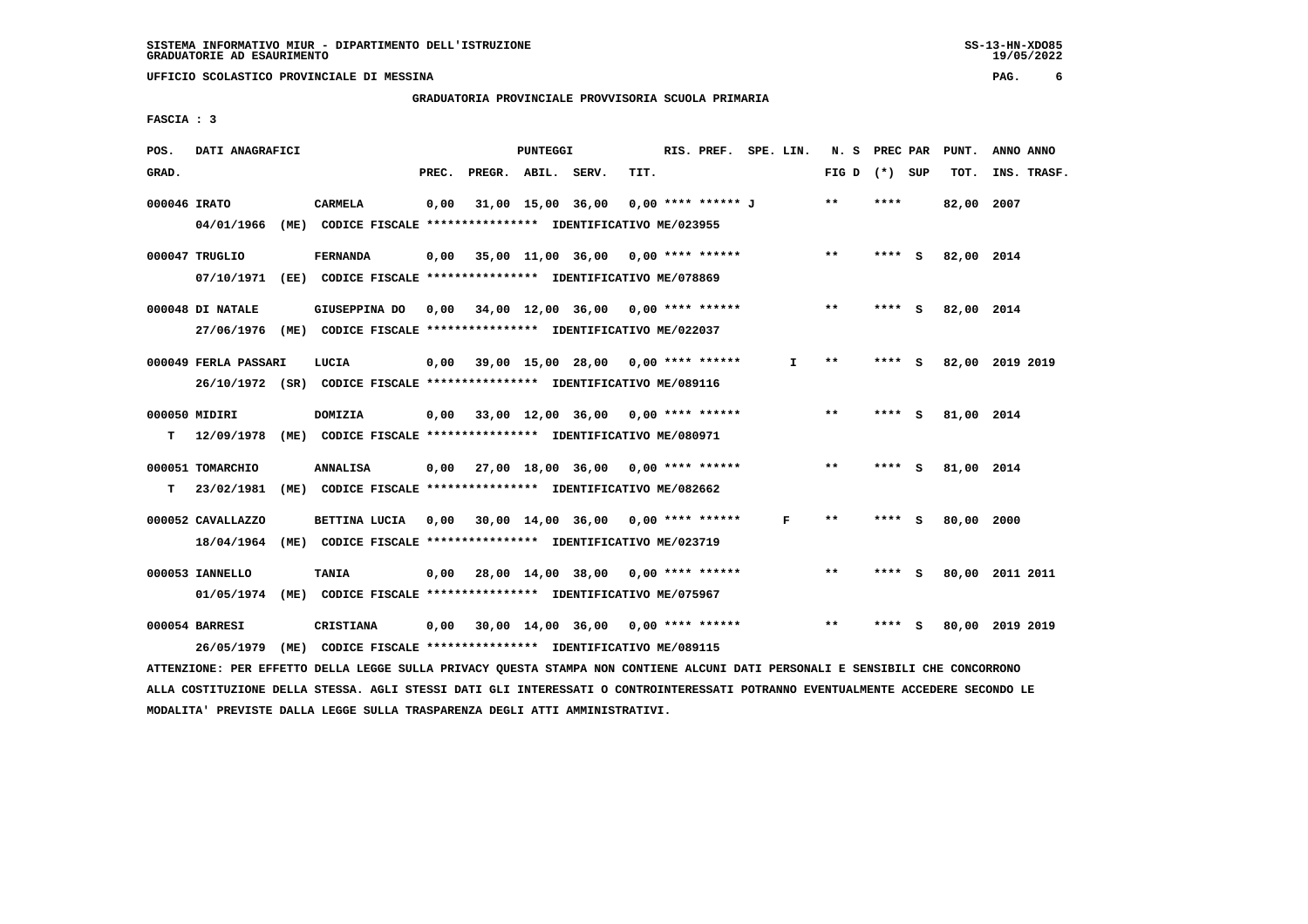## **GRADUATORIA PROVINCIALE PROVVISORIA SCUOLA PRIMARIA**

 **FASCIA : 3**

| POS.         | DATI ANAGRAFICI      |                                                                         |       |                    | <b>PUNTEGGI</b> |                                           |      | RIS. PREF. SPE. LIN. |              | N. S PREC PAR   |        |     | PUNT.      | ANNO ANNO       |
|--------------|----------------------|-------------------------------------------------------------------------|-------|--------------------|-----------------|-------------------------------------------|------|----------------------|--------------|-----------------|--------|-----|------------|-----------------|
| GRAD.        |                      |                                                                         | PREC. | PREGR. ABIL. SERV. |                 |                                           | TIT. |                      |              | FIG D $(*)$ SUP |        |     | TOT.       | INS. TRASF.     |
| 000046 IRATO |                      | CARMELA                                                                 | 0,00  |                    |                 | 31,00 15,00 36,00                         |      | 0,00 **** ****** J   |              | $* *$           | ****   |     | 82,00 2007 |                 |
|              | 04/01/1966           | (ME) CODICE FISCALE **************** IDENTIFICATIVO ME/023955           |       |                    |                 |                                           |      |                      |              |                 |        |     |            |                 |
|              | 000047 TRUGLIO       | <b>FERNANDA</b>                                                         | 0,00  |                    |                 | 35,00 11,00 36,00 0,00 **** ******        |      |                      |              | $***$           | **** S |     | 82,00 2014 |                 |
|              | 07/10/1971           | (EE) CODICE FISCALE *************** IDENTIFICATIVO ME/078869            |       |                    |                 |                                           |      |                      |              |                 |        |     |            |                 |
|              | 000048 DI NATALE     | GIUSEPPINA DO                                                           | 0,00  |                    |                 | 34,00 12,00 36,00 0,00 **** ******        |      |                      |              | $***$           | ****   | - 5 | 82,00 2014 |                 |
|              | 27/06/1976           | (ME) CODICE FISCALE **************** IDENTIFICATIVO ME/022037           |       |                    |                 |                                           |      |                      |              |                 |        |     |            |                 |
|              | 000049 FERLA PASSARI | LUCIA                                                                   | 0,00  |                    |                 | 39,00 15,00 28,00 0,00 **** ******        |      |                      | $\mathbf{I}$ | $* *$           | **** S |     |            | 82,00 2019 2019 |
|              |                      | 26/10/1972 (SR) CODICE FISCALE *************** IDENTIFICATIVO ME/089116 |       |                    |                 |                                           |      |                      |              |                 |        |     |            |                 |
|              | 000050 MIDIRI        | <b>DOMIZIA</b>                                                          |       |                    |                 | $0,00$ 33,00 12,00 36,00 0,00 **** ****** |      |                      |              | $***$           | **** S |     | 81,00 2014 |                 |
| т            | 12/09/1978           | (ME) CODICE FISCALE **************** IDENTIFICATIVO ME/080971           |       |                    |                 |                                           |      |                      |              |                 |        |     |            |                 |
|              | 000051 TOMARCHIO     | <b>ANNALISA</b>                                                         |       |                    |                 | $0.00$ 27.00 18.00 36.00 0.00 **** ****** |      |                      |              | $* *$           | **** S |     | 81,00 2014 |                 |
| т            | 23/02/1981           | (ME) CODICE FISCALE **************** IDENTIFICATIVO ME/082662           |       |                    |                 |                                           |      |                      |              |                 |        |     |            |                 |
|              | 000052 CAVALLAZZO    | BETTINA LUCIA 0,00 30,00 14,00 36,00 0,00 **** ******                   |       |                    |                 |                                           |      |                      | F            | **              | ****   | - 5 | 80,00 2000 |                 |
|              | 18/04/1964           | (ME) CODICE FISCALE *************** IDENTIFICATIVO ME/023719            |       |                    |                 |                                           |      |                      |              |                 |        |     |            |                 |
|              | 000053 IANNELLO      | <b>TANIA</b>                                                            |       |                    |                 | $0,00$ 28,00 14,00 38,00 0,00 **** ****** |      |                      |              | $***$           | **** S |     |            | 80,00 2011 2011 |
|              |                      | 01/05/1974 (ME) CODICE FISCALE *************** IDENTIFICATIVO ME/075967 |       |                    |                 |                                           |      |                      |              |                 |        |     |            |                 |
|              | 000054 BARRESI       | CRISTIANA                                                               | 0,00  |                    |                 | 30,00 14,00 36,00 0,00 **** ******        |      |                      |              | $\star\star$    | **** S |     |            | 80,00 2019 2019 |
|              | 26/05/1979           | (ME) CODICE FISCALE **************** IDENTIFICATIVO ME/089115           |       |                    |                 |                                           |      |                      |              |                 |        |     |            |                 |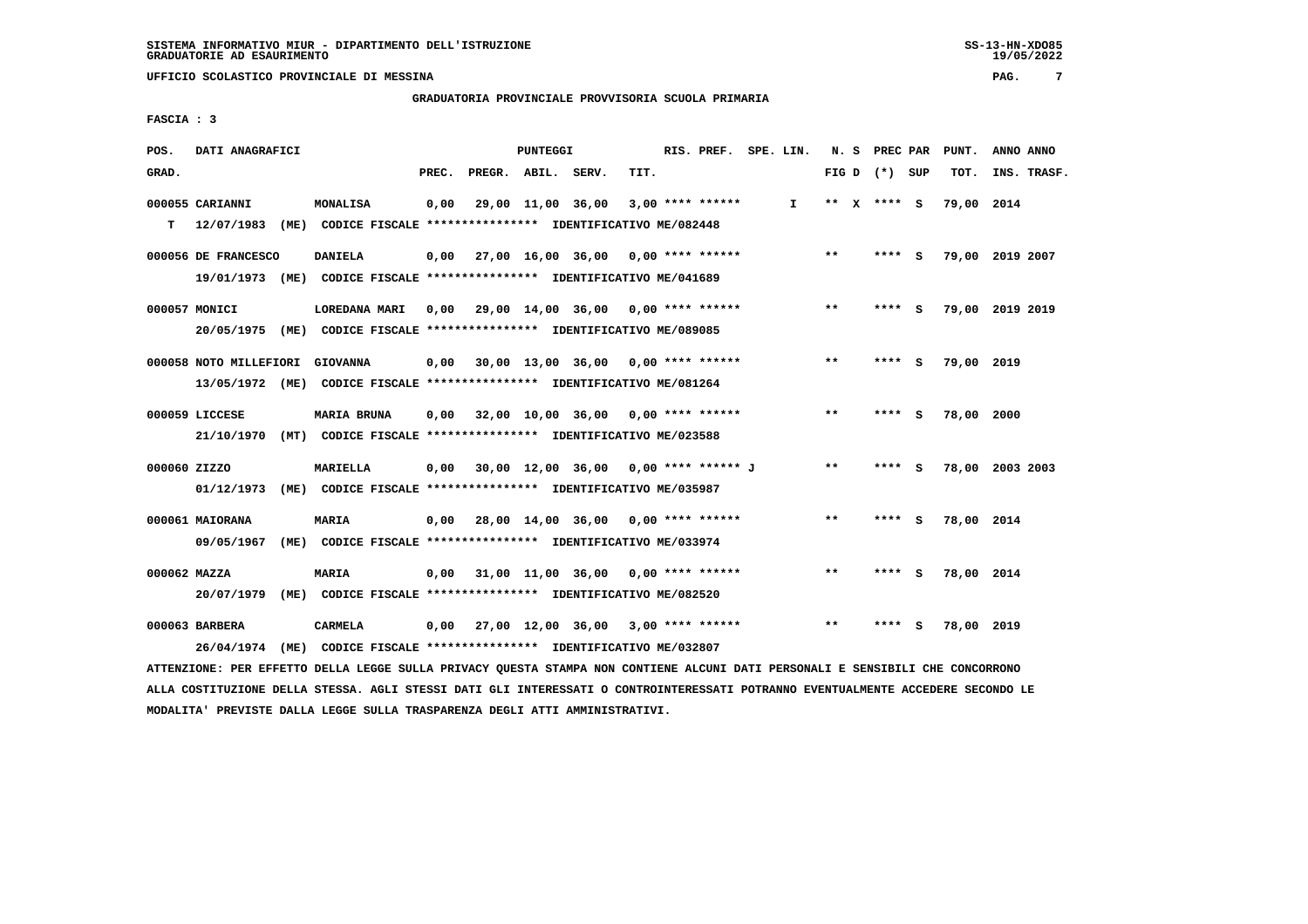**GRADUATORIA PROVINCIALE PROVVISORIA SCUOLA PRIMARIA**

 **FASCIA : 3**

| POS.         | DATI ANAGRAFICI        |      |                                                                         |       |                    | <b>PUNTEGGI</b> |                                      |      | RIS. PREF.         | SPE. LIN. |       | N. S PREC PAR   |          | PUNT.      | ANNO ANNO       |
|--------------|------------------------|------|-------------------------------------------------------------------------|-------|--------------------|-----------------|--------------------------------------|------|--------------------|-----------|-------|-----------------|----------|------------|-----------------|
| GRAD.        |                        |      |                                                                         | PREC. | PREGR. ABIL. SERV. |                 |                                      | TIT. |                    |           |       | FIG D $(*)$ SUP |          | TOT.       | INS. TRASF.     |
|              | 000055 CARIANNI        |      | <b>MONALISA</b>                                                         | 0.00  |                    |                 | 29,00 11,00 36,00                    |      | $3,00$ **** ****** | I.        |       | ** X **** S     |          | 79,00 2014 |                 |
| T.           | 12/07/1983             |      | (ME) CODICE FISCALE **************** IDENTIFICATIVO ME/082448           |       |                    |                 |                                      |      |                    |           |       |                 |          |            |                 |
|              | 000056 DE FRANCESCO    |      | <b>DANIELA</b>                                                          | 0,00  |                    |                 | 27,00 16,00 36,00                    |      | $0.00$ **** ****** |           | **    | **** S          |          |            | 79,00 2019 2007 |
|              | 19/01/1973 (ME)        |      | CODICE FISCALE **************** IDENTIFICATIVO ME/041689                |       |                    |                 |                                      |      |                    |           |       |                 |          |            |                 |
|              | 000057 MONICI          |      | LOREDANA MARI                                                           | 0,00  |                    |                 | 29,00 14,00 36,00 0,00 **** ******   |      |                    |           | $***$ | **** S          |          |            | 79,00 2019 2019 |
|              |                        |      | 20/05/1975 (ME) CODICE FISCALE *************** IDENTIFICATIVO ME/089085 |       |                    |                 |                                      |      |                    |           |       |                 |          |            |                 |
|              | 000058 NOTO MILLEFIORI |      | <b>GIOVANNA</b>                                                         | 0.00  |                    |                 | $30,00$ 13,00 36,00 0,00 **** ****** |      |                    |           | $***$ | ****            | <b>S</b> | 79,00 2019 |                 |
|              |                        |      | 13/05/1972 (ME) CODICE FISCALE *************** IDENTIFICATIVO ME/081264 |       |                    |                 |                                      |      |                    |           |       |                 |          |            |                 |
|              | 000059 LICCESE         |      | <b>MARIA BRUNA</b>                                                      | 0.00  |                    |                 | 32,00 10,00 36,00 0,00 **** ******   |      |                    |           | $* *$ |                 | - 5      | 78,00 2000 |                 |
|              | 21/10/1970             |      | (MT) CODICE FISCALE *************** IDENTIFICATIVO ME/023588            |       |                    |                 |                                      |      |                    |           |       |                 |          |            |                 |
| 000060 ZIZZO |                        |      | <b>MARIELLA</b>                                                         | 0,00  |                    |                 | 30,00 12,00 36,00 0,00 **** ****** J |      |                    |           | $**$  | **** S          |          |            | 78,00 2003 2003 |
|              | 01/12/1973             |      | (ME) CODICE FISCALE **************** IDENTIFICATIVO ME/035987           |       |                    |                 |                                      |      |                    |           |       |                 |          |            |                 |
|              |                        |      |                                                                         |       |                    |                 |                                      |      |                    |           |       |                 |          |            |                 |
|              | 000061 MAIORANA        |      | MARIA                                                                   |       |                    |                 | $0,00$ 28,00 14,00 36,00             |      | $0.00$ **** ****** |           | $**$  | ****            | - S      | 78,00 2014 |                 |
|              | 09/05/1967             |      | (ME) CODICE FISCALE **************** IDENTIFICATIVO ME/033974           |       |                    |                 |                                      |      |                    |           |       |                 |          |            |                 |
| 000062 MAZZA |                        |      | MARIA                                                                   | 0.00  |                    |                 | 31,00 11,00 36,00 0,00 **** ******   |      |                    |           | $* *$ | ****            | <b>S</b> | 78,00 2014 |                 |
|              | 20/07/1979             |      | (ME) CODICE FISCALE **************** IDENTIFICATIVO ME/082520           |       |                    |                 |                                      |      |                    |           |       |                 |          |            |                 |
|              | 000063 BARBERA         |      | <b>CARMELA</b>                                                          | 0,00  |                    |                 | 27,00 12,00 36,00 3,00 **** ******   |      |                    |           | $**$  | ****            | s        | 78,00 2019 |                 |
|              | 26/04/1974             | (ME) | CODICE FISCALE **************** IDENTIFICATIVO ME/032807                |       |                    |                 |                                      |      |                    |           |       |                 |          |            |                 |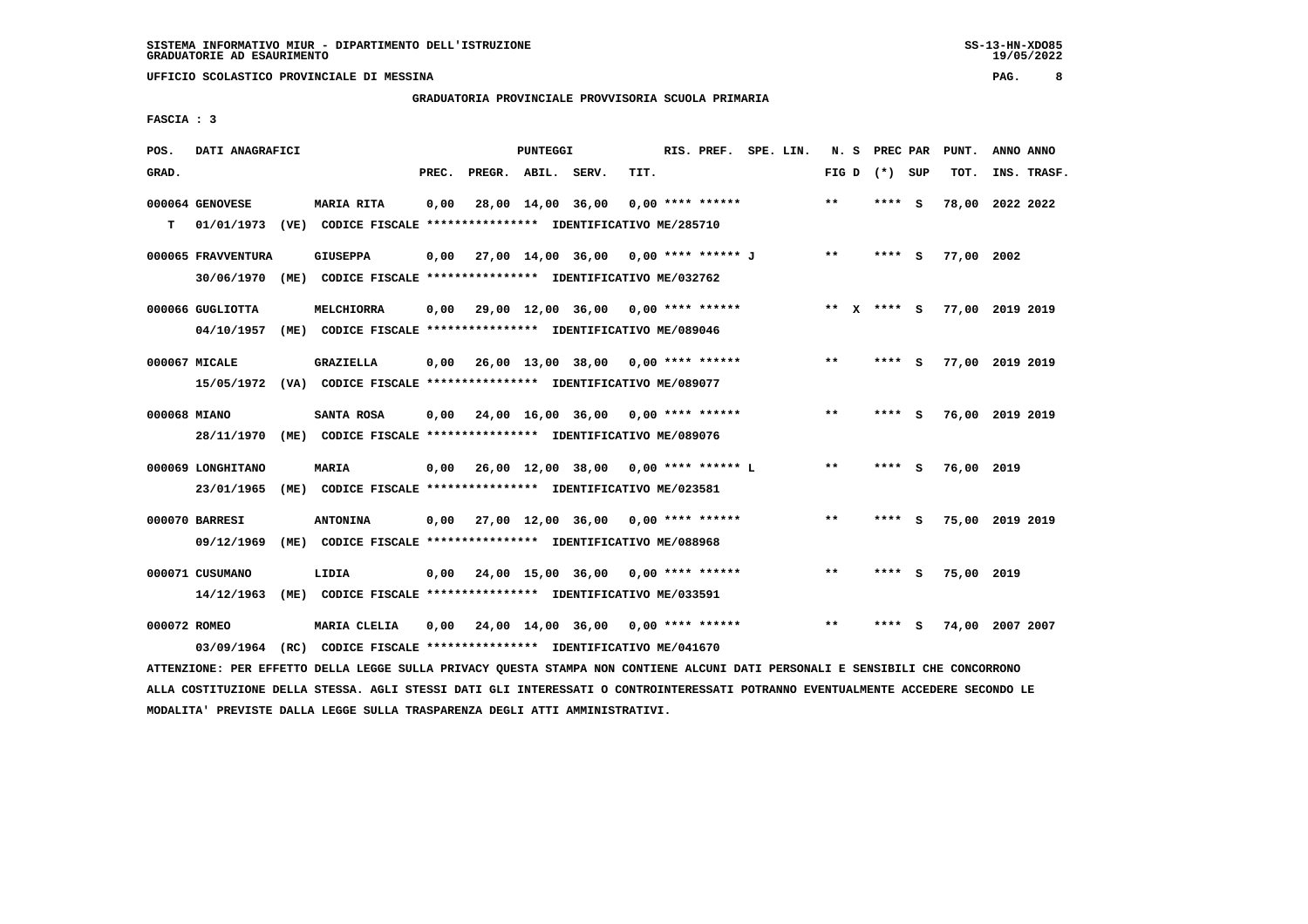## **GRADUATORIA PROVINCIALE PROVVISORIA SCUOLA PRIMARIA**

 **FASCIA : 3**

| POS.         | DATI ANAGRAFICI    |                                                                                                                               |       |                    | PUNTEGGI |                                             |      | RIS. PREF. SPE. LIN. |  |       | N. S PREC PAR   | PUNT.           | ANNO ANNO   |
|--------------|--------------------|-------------------------------------------------------------------------------------------------------------------------------|-------|--------------------|----------|---------------------------------------------|------|----------------------|--|-------|-----------------|-----------------|-------------|
| GRAD.        |                    |                                                                                                                               | PREC. | PREGR. ABIL. SERV. |          |                                             | TIT. |                      |  |       | FIG D $(*)$ SUP | TOT.            | INS. TRASF. |
|              | 000064 GENOVESE    | MARIA RITA                                                                                                                    | 0,00  |                    |          | 28,00 14,00 36,00                           |      | $0.00$ **** ******   |  | $***$ | **** S          | 78,00 2022 2022 |             |
| т            | 01/01/1973         | (VE) CODICE FISCALE **************** IDENTIFICATIVO ME/285710                                                                 |       |                    |          |                                             |      |                      |  |       |                 |                 |             |
|              | 000065 FRAVVENTURA | <b>GIUSEPPA</b>                                                                                                               | 0,00  |                    |          | 27,00 14,00 36,00 0,00 **** ****** J        |      |                      |  | $***$ | **** S          | 77,00 2002      |             |
|              | 30/06/1970         | (ME) CODICE FISCALE **************** IDENTIFICATIVO ME/032762                                                                 |       |                    |          |                                             |      |                      |  |       |                 |                 |             |
|              | 000066 GUGLIOTTA   | MELCHIORRA                                                                                                                    | 0,00  |                    |          | 29,00 12,00 36,00 0,00 **** ******          |      |                      |  |       | ** x **** S     | 77,00 2019 2019 |             |
|              |                    | 04/10/1957 (ME) CODICE FISCALE *************** IDENTIFICATIVO ME/089046                                                       |       |                    |          |                                             |      |                      |  |       |                 |                 |             |
|              | 000067 MICALE      | GRAZIELLA                                                                                                                     |       |                    |          | $0,00$ 26,00 13,00 38,00 0,00 **** ******   |      |                      |  | $***$ | **** S          | 77,00 2019 2019 |             |
|              |                    | 15/05/1972 (VA) CODICE FISCALE **************** IDENTIFICATIVO ME/089077                                                      |       |                    |          |                                             |      |                      |  |       |                 |                 |             |
| 000068 MIANO |                    | SANTA ROSA                                                                                                                    | 0.00  |                    |          | 24,00 16,00 36,00 0,00 **** ******          |      |                      |  | **    | **** S          | 76,00 2019 2019 |             |
|              |                    | 28/11/1970 (ME) CODICE FISCALE *************** IDENTIFICATIVO ME/089076                                                       |       |                    |          |                                             |      |                      |  |       |                 |                 |             |
|              | 000069 LONGHITANO  | <b>MARIA</b>                                                                                                                  |       |                    |          | $0,00$ 26,00 12,00 38,00 0,00 **** ****** L |      |                      |  | $* *$ | **** S          | 76,00 2019      |             |
|              | 23/01/1965         | (ME) CODICE FISCALE **************** IDENTIFICATIVO ME/023581                                                                 |       |                    |          |                                             |      |                      |  |       |                 |                 |             |
|              | 000070 BARRESI     | <b>ANTONINA</b>                                                                                                               |       |                    |          | $0,00$ 27,00 12,00 36,00 0,00 **** ******   |      |                      |  | $***$ | **** S          | 75,00 2019 2019 |             |
|              | 09/12/1969         | (ME) CODICE FISCALE **************** IDENTIFICATIVO ME/088968                                                                 |       |                    |          |                                             |      |                      |  |       |                 |                 |             |
|              | 000071 CUSUMANO    | LIDIA                                                                                                                         | 0,00  |                    |          | 24,00 15,00 36,00 0,00 **** ******          |      |                      |  | $***$ | **** S          | 75,00 2019      |             |
|              | 14/12/1963         | (ME) CODICE FISCALE **************** IDENTIFICATIVO ME/033591                                                                 |       |                    |          |                                             |      |                      |  |       |                 |                 |             |
| 000072 ROMEO |                    | MARIA CLELIA                                                                                                                  | 0,00  |                    |          | 24,00 14,00 36,00 0,00 **** ******          |      |                      |  | $* *$ | **** S          | 74,00 2007 2007 |             |
|              | 03/09/1964         | (RC) CODICE FISCALE **************** IDENTIFICATIVO ME/041670                                                                 |       |                    |          |                                             |      |                      |  |       |                 |                 |             |
|              |                    | ATTENZIONE: PER EFFETTO DELLA LEGGE SULLA PRIVACY QUESTA STAMPA NON CONTIENE ALCUNI DATI PERSONALI E SENSIBILI CHE CONCORRONO |       |                    |          |                                             |      |                      |  |       |                 |                 |             |

 **ALLA COSTITUZIONE DELLA STESSA. AGLI STESSI DATI GLI INTERESSATI O CONTROINTERESSATI POTRANNO EVENTUALMENTE ACCEDERE SECONDO LE MODALITA' PREVISTE DALLA LEGGE SULLA TRASPARENZA DEGLI ATTI AMMINISTRATIVI.**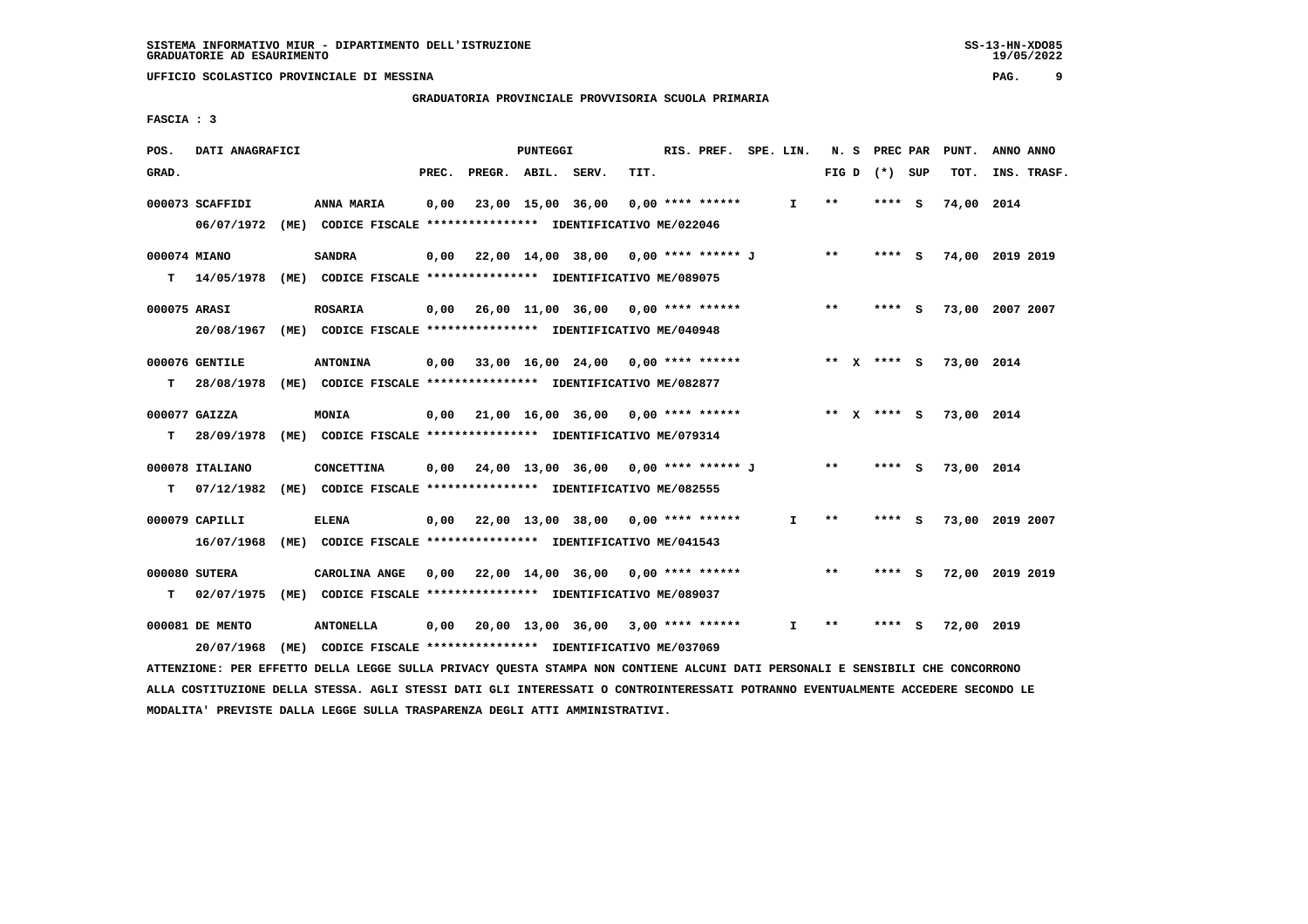**GRADUATORIA PROVINCIALE PROVVISORIA SCUOLA PRIMARIA**

 **FASCIA : 3**

| POS.  | DATI ANAGRAFICI |                                                                           |       |                                           | PUNTEGGI          |      | RIS. PREF. SPE. LIN. |              |       | N. S PREC PAR   |     | PUNT.                  | ANNO ANNO       |
|-------|-----------------|---------------------------------------------------------------------------|-------|-------------------------------------------|-------------------|------|----------------------|--------------|-------|-----------------|-----|------------------------|-----------------|
| GRAD. |                 |                                                                           | PREC. | PREGR. ABIL. SERV.                        |                   | TIT. |                      |              |       | FIG D $(*)$ SUP |     | TOT.                   | INS. TRASF.     |
|       | 000073 SCAFFIDI | ANNA MARIA                                                                | 0,00  |                                           | 23,00 15,00 36,00 |      | $0.00$ **** ******   | $\mathbf{I}$ | $* *$ | **** S          |     | 74,00 2014             |                 |
|       |                 | 06/07/1972 (ME) CODICE FISCALE *************** IDENTIFICATIVO ME/022046   |       |                                           |                   |      |                      |              |       |                 |     |                        |                 |
|       | 000074 MIANO    | <b>SANDRA</b>                                                             | 0,00  | 22,00 14,00 38,00 0,00 **** ****** J      |                   |      |                      |              | $* *$ | **** S          |     |                        | 74,00 2019 2019 |
|       |                 | T 14/05/1978 (ME) CODICE FISCALE *************** IDENTIFICATIVO ME/089075 |       |                                           |                   |      |                      |              |       |                 |     |                        |                 |
|       | 000075 ARASI    | <b>ROSARIA</b>                                                            |       | $0,00$ 26,00 11,00 36,00 0,00 **** ****** |                   |      |                      |              | $***$ | **** S          |     |                        | 73,00 2007 2007 |
|       |                 | 20/08/1967 (ME) CODICE FISCALE *************** IDENTIFICATIVO ME/040948   |       |                                           |                   |      |                      |              |       |                 |     |                        |                 |
|       | 000076 GENTILE  | <b>ANTONINA</b>                                                           |       | $0,00$ 33,00 16,00 24,00 0,00 **** ****** |                   |      |                      |              |       |                 |     | ** X **** S 73,00 2014 |                 |
| T.    |                 | 28/08/1978 (ME) CODICE FISCALE *************** IDENTIFICATIVO ME/082877   |       |                                           |                   |      |                      |              |       |                 |     |                        |                 |
|       | 000077 GAIZZA   | MONIA                                                                     |       | $0,00$ 21,00 16,00 36,00 0,00 **** ****** |                   |      |                      |              |       | ** $X$ **** S   |     | 73,00 2014             |                 |
| т     |                 | 28/09/1978 (ME) CODICE FISCALE *************** IDENTIFICATIVO ME/079314   |       |                                           |                   |      |                      |              |       |                 |     |                        |                 |
|       | 000078 ITALIANO | <b>CONCETTINA</b>                                                         |       | 0,00 24,00 13,00 36,00 0,00 **** ****** J |                   |      |                      |              | $***$ | $***$ S         |     | 73,00 2014             |                 |
| т     | 07/12/1982      | (ME) CODICE FISCALE **************** IDENTIFICATIVO ME/082555             |       |                                           |                   |      |                      |              |       |                 |     |                        |                 |
|       |                 |                                                                           |       |                                           |                   |      |                      |              |       |                 |     |                        |                 |
|       | 000079 CAPILLI  | <b>ELENA</b>                                                              |       | $0,00$ 22,00 13,00 38,00 0,00 **** ****** |                   |      |                      | I.           | **    | **** S          |     |                        | 73,00 2019 2007 |
|       |                 | 16/07/1968 (ME) CODICE FISCALE *************** IDENTIFICATIVO ME/041543   |       |                                           |                   |      |                      |              |       |                 |     |                        |                 |
|       | 000080 SUTERA   | CAROLINA ANGE                                                             |       | $0.00$ 22.00 14.00 36.00 0.00 **** ****** |                   |      |                      |              | $***$ | **** S          |     |                        | 72,00 2019 2019 |
| T.    | 02/07/1975      | (ME) CODICE FISCALE **************** IDENTIFICATIVO ME/089037             |       |                                           |                   |      |                      |              |       |                 |     |                        |                 |
|       | 000081 DE MENTO | <b>ANTONELLA</b>                                                          |       | 0,00 20,00 13,00 36,00                    |                   |      | $3,00$ **** ******   | $\mathbf{I}$ | $* *$ | ****            | - S | 72,00 2019             |                 |
|       | 20/07/1968      | (ME) CODICE FISCALE **************** IDENTIFICATIVO ME/037069             |       |                                           |                   |      |                      |              |       |                 |     |                        |                 |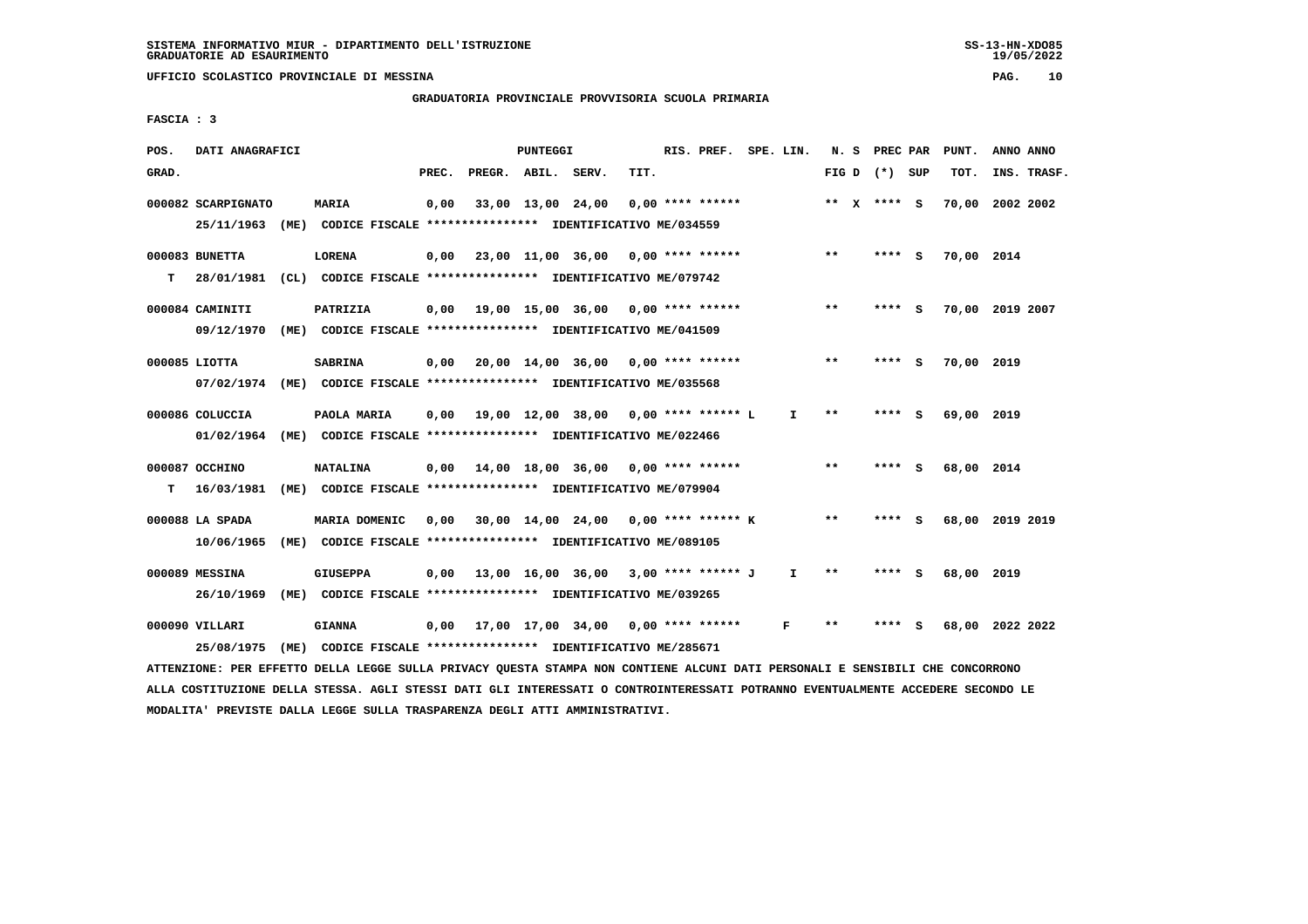## **GRADUATORIA PROVINCIALE PROVVISORIA SCUOLA PRIMARIA**

 **FASCIA : 3**

| POS.  | DATI ANAGRAFICI    |      |                                                                                                                               |       |                                             | PUNTEGGI |                   |      | RIS. PREF. SPE. LIN. |    |                 | N. S PREC PAR |     | PUNT.      | ANNO ANNO       |  |
|-------|--------------------|------|-------------------------------------------------------------------------------------------------------------------------------|-------|---------------------------------------------|----------|-------------------|------|----------------------|----|-----------------|---------------|-----|------------|-----------------|--|
| GRAD. |                    |      |                                                                                                                               | PREC. | PREGR. ABIL. SERV.                          |          |                   | TIT. |                      |    | FIG D $(*)$ SUP |               |     | TOT.       | INS. TRASF.     |  |
|       | 000082 SCARPIGNATO |      | <b>MARIA</b>                                                                                                                  | 0,00  |                                             |          | 33,00 13,00 24,00 |      | $0.00$ **** ******   |    | ** $X$ **** S   |               |     |            | 70,00 2002 2002 |  |
|       |                    |      | 25/11/1963 (ME) CODICE FISCALE *************** IDENTIFICATIVO ME/034559                                                       |       |                                             |          |                   |      |                      |    |                 |               |     |            |                 |  |
|       | 000083 BUNETTA     |      | <b>LORENA</b>                                                                                                                 |       | $0,00$ 23,00 11,00 36,00 0,00 **** ******   |          |                   |      |                      |    | $* *$           | **** S        |     | 70,00 2014 |                 |  |
| т     |                    |      | 28/01/1981 (CL) CODICE FISCALE *************** IDENTIFICATIVO ME/079742                                                       |       |                                             |          |                   |      |                      |    |                 |               |     |            |                 |  |
|       | 000084 CAMINITI    |      | PATRIZIA                                                                                                                      |       | $0,00$ 19,00 15,00 36,00 0,00 **** ******   |          |                   |      |                      |    | $**$            | **** S        |     |            | 70,00 2019 2007 |  |
|       |                    |      | 09/12/1970 (ME) CODICE FISCALE *************** IDENTIFICATIVO ME/041509                                                       |       |                                             |          |                   |      |                      |    |                 |               |     |            |                 |  |
|       | $000085$ LIOTTA    |      | <b>SABRINA</b>                                                                                                                |       | $0,00$ 20,00 14,00 36,00 0,00 **** ******   |          |                   |      |                      |    | $* *$           | **** S        |     | 70,00 2019 |                 |  |
|       |                    |      | 07/02/1974 (ME) CODICE FISCALE *************** IDENTIFICATIVO ME/035568                                                       |       |                                             |          |                   |      |                      |    |                 |               |     |            |                 |  |
|       | 000086 COLUCCIA    |      | PAOLA MARIA                                                                                                                   | 0.00  | 19,00 12,00 38,00 0,00 **** ****** L        |          |                   |      |                      | I. | $* *$           | ****          | - S | 69,00 2019 |                 |  |
|       |                    |      | 01/02/1964 (ME) CODICE FISCALE *************** IDENTIFICATIVO ME/022466                                                       |       |                                             |          |                   |      |                      |    |                 |               |     |            |                 |  |
|       | 000087 OCCHINO     |      | <b>NATALINA</b>                                                                                                               |       | $0,00$ 14,00 18,00 36,00 0,00 **** ******   |          |                   |      |                      |    | $* *$           | **** S        |     | 68,00 2014 |                 |  |
| т     | 16/03/1981         |      | (ME) CODICE FISCALE **************** IDENTIFICATIVO ME/079904                                                                 |       |                                             |          |                   |      |                      |    |                 |               |     |            |                 |  |
|       | 000088 LA SPADA    |      | MARIA DOMENIC                                                                                                                 | 0,00  | 30,00 14,00 24,00 0,00 **** ****** K        |          |                   |      |                      |    | $***$           | **** S        |     |            | 68,00 2019 2019 |  |
|       |                    |      | 10/06/1965 (ME) CODICE FISCALE *************** IDENTIFICATIVO ME/089105                                                       |       |                                             |          |                   |      |                      |    |                 |               |     |            |                 |  |
|       | 000089 MESSINA     |      | <b>GIUSEPPA</b>                                                                                                               |       | $0,00$ 13,00 16,00 36,00 3,00 **** ****** J |          |                   |      |                      | I. | $* *$           | **** S        |     | 68,00 2019 |                 |  |
|       |                    |      | 26/10/1969 (ME) CODICE FISCALE *************** IDENTIFICATIVO ME/039265                                                       |       |                                             |          |                   |      |                      |    |                 |               |     |            |                 |  |
|       | 000090 VILLARI     |      | <b>GIANNA</b>                                                                                                                 | 0,00  | 17,00 17,00 34,00 0,00 **** ******          |          |                   |      |                      | F  | $* *$           | **** S        |     |            | 68,00 2022 2022 |  |
|       | 25/08/1975         | (ME) | CODICE FISCALE **************** IDENTIFICATIVO ME/285671                                                                      |       |                                             |          |                   |      |                      |    |                 |               |     |            |                 |  |
|       |                    |      | ATTENZIONE: PER EFFETTO DELLA LEGGE SULLA PRIVACY QUESTA STAMPA NON CONTIENE ALCUNI DATI PERSONALI E SENSIBILI CHE CONCORRONO |       |                                             |          |                   |      |                      |    |                 |               |     |            |                 |  |

 **ALLA COSTITUZIONE DELLA STESSA. AGLI STESSI DATI GLI INTERESSATI O CONTROINTERESSATI POTRANNO EVENTUALMENTE ACCEDERE SECONDO LE MODALITA' PREVISTE DALLA LEGGE SULLA TRASPARENZA DEGLI ATTI AMMINISTRATIVI.**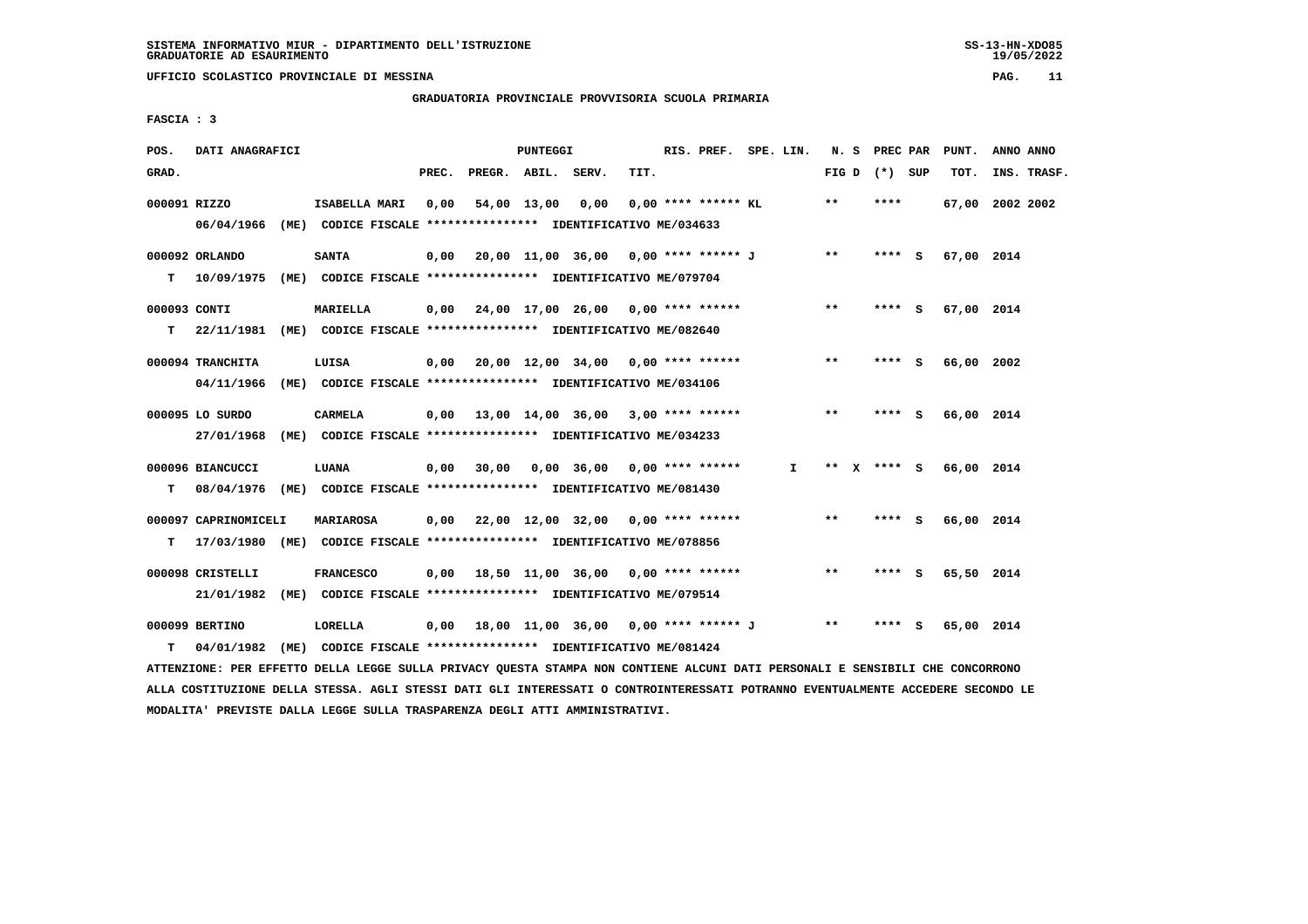## **GRADUATORIA PROVINCIALE PROVVISORIA SCUOLA PRIMARIA**

 **FASCIA : 3**

| POS.         | DATI ANAGRAFICI                                                          |      |                                                               |       |              | PUNTEGGI |                                                          |      | RIS. PREF. SPE. LIN.  |    |       | N. S PREC PAR   |     | PUNT.           | ANNO ANNO |             |
|--------------|--------------------------------------------------------------------------|------|---------------------------------------------------------------|-------|--------------|----------|----------------------------------------------------------|------|-----------------------|----|-------|-----------------|-----|-----------------|-----------|-------------|
| GRAD.        |                                                                          |      |                                                               | PREC. | PREGR. ABIL. |          | SERV.                                                    | TIT. |                       |    |       | FIG D $(*)$ SUP |     | TOT.            |           | INS. TRASF. |
|              |                                                                          |      |                                                               |       |              |          |                                                          |      |                       |    |       |                 |     |                 |           |             |
| 000091 RIZZO |                                                                          |      | ISABELLA MARI                                                 | 0.00  | 54,00 13,00  |          | 0.00                                                     |      | $0.00$ **** ****** KL |    | $* *$ | ****            |     | 67,00 2002 2002 |           |             |
|              | 06/04/1966 (ME) CODICE FISCALE *************** IDENTIFICATIVO ME/034633  |      |                                                               |       |              |          |                                                          |      |                       |    |       |                 |     |                 |           |             |
|              |                                                                          |      |                                                               |       |              |          |                                                          |      |                       |    |       |                 |     |                 |           |             |
|              | 000092 ORLANDO                                                           |      | <b>SANTA</b>                                                  |       |              |          | 0,00 20,00 11,00 36,00 0,00 **** ****** J                |      |                       |    | $**$  | $***$ S         |     | 67,00 2014      |           |             |
| т            | 10/09/1975 (ME) CODICE FISCALE *************** IDENTIFICATIVO ME/079704  |      |                                                               |       |              |          |                                                          |      |                       |    |       |                 |     |                 |           |             |
|              |                                                                          |      |                                                               |       |              |          |                                                          |      |                       |    | $***$ |                 |     |                 |           |             |
| 000093 CONTI |                                                                          |      | MARIELLA                                                      |       |              |          | $0,00$ 24,00 17,00 26,00 0,00 **** ******                |      |                       |    |       | **** S          |     | 67,00 2014      |           |             |
| т            | 22/11/1981 (ME) CODICE FISCALE **************** IDENTIFICATIVO ME/082640 |      |                                                               |       |              |          |                                                          |      |                       |    |       |                 |     |                 |           |             |
|              | 000094 TRANCHITA                                                         |      | LUISA                                                         |       |              |          | $0,00$ 20,00 12,00 34,00 0,00 **** ******                |      |                       |    | $***$ | **** S          |     | 66,00 2002      |           |             |
|              |                                                                          |      |                                                               |       |              |          |                                                          |      |                       |    |       |                 |     |                 |           |             |
|              | 04/11/1966                                                               |      | (ME) CODICE FISCALE **************** IDENTIFICATIVO ME/034106 |       |              |          |                                                          |      |                       |    |       |                 |     |                 |           |             |
|              | 000095 LO SURDO                                                          |      | <b>CARMELA</b>                                                |       |              |          | $0,00$ 13,00 14,00 36,00 3,00 **** ******                |      |                       |    | **    | **** S          |     | 66,00 2014      |           |             |
|              | 27/01/1968                                                               |      |                                                               |       |              |          |                                                          |      |                       |    |       |                 |     |                 |           |             |
|              |                                                                          |      | (ME) CODICE FISCALE **************** IDENTIFICATIVO ME/034233 |       |              |          |                                                          |      |                       |    |       |                 |     |                 |           |             |
|              | 000096 BIANCUCCI                                                         |      | LUANA                                                         |       |              |          | $0,00$ 30,00 0,00 36,00 0,00 **** ******                 |      |                       | I. |       | ** $X$ **** S   |     | 66,00 2014      |           |             |
| т            | 08/04/1976 (ME) CODICE FISCALE **************** IDENTIFICATIVO ME/081430 |      |                                                               |       |              |          |                                                          |      |                       |    |       |                 |     |                 |           |             |
|              |                                                                          |      |                                                               |       |              |          |                                                          |      |                       |    |       |                 |     |                 |           |             |
|              | 000097 CAPRINOMICELI                                                     |      | <b>MARIAROSA</b>                                              |       |              |          | 0,00 22,00 12,00 32,00                                   |      | $0.00$ **** ******    |    | **    | $***$ S         |     | 66,00 2014      |           |             |
| т            | 17/03/1980 (ME) CODICE FISCALE *************** IDENTIFICATIVO ME/078856  |      |                                                               |       |              |          |                                                          |      |                       |    |       |                 |     |                 |           |             |
|              |                                                                          |      |                                                               |       |              |          |                                                          |      |                       |    |       |                 |     |                 |           |             |
|              | 000098 CRISTELLI                                                         |      | <b>FRANCESCO</b>                                              |       |              |          | $0.00$ 18.50 11.00 36.00 0.00 **** ******                |      |                       |    | $***$ | **** S          |     | 65,50 2014      |           |             |
|              | 21/01/1982                                                               |      | (ME) CODICE FISCALE **************** IDENTIFICATIVO ME/079514 |       |              |          |                                                          |      |                       |    |       |                 |     |                 |           |             |
|              |                                                                          |      |                                                               |       |              |          |                                                          |      |                       |    |       |                 |     |                 |           |             |
|              | 000099 BERTINO                                                           |      | LORELLA                                                       |       |              |          | $0,00$ 18,00 11,00 36,00 0,00 **** ****** J              |      |                       |    | $* *$ | ****            | - S | 65,00 2014      |           |             |
| т            | 04/01/1982                                                               | (ME) |                                                               |       |              |          | CODICE FISCALE **************** IDENTIFICATIVO ME/081424 |      |                       |    |       |                 |     |                 |           |             |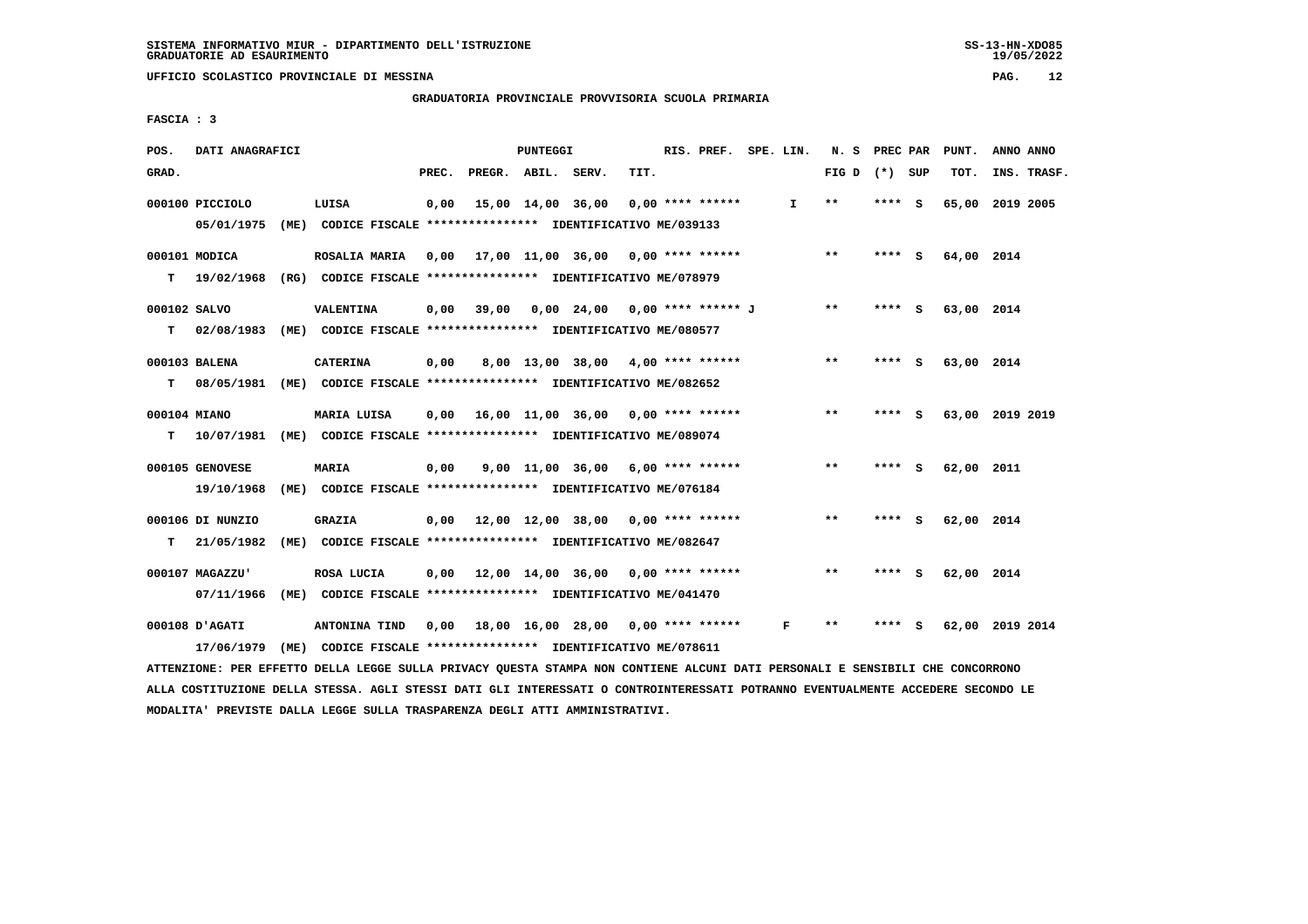**GRADUATORIA PROVINCIALE PROVVISORIA SCUOLA PRIMARIA**

 **FASCIA : 3**

| POS.         | DATI ANAGRAFICI                                                          |                                                                             |       |                    | PUNTEGGI |                                           |      | RIS. PREF. SPE. LIN. |              | N. S PREC PAR   |         |     | PUNT.           | ANNO ANNO |             |
|--------------|--------------------------------------------------------------------------|-----------------------------------------------------------------------------|-------|--------------------|----------|-------------------------------------------|------|----------------------|--------------|-----------------|---------|-----|-----------------|-----------|-------------|
| GRAD.        |                                                                          |                                                                             | PREC. | PREGR. ABIL. SERV. |          |                                           | TIT. |                      |              | FIG D $(*)$ SUP |         |     | TOT.            |           | INS. TRASF. |
|              | 000100 PICCIOLO<br>05/01/1975                                            | LUISA<br>(ME) CODICE FISCALE *************** IDENTIFICATIVO ME/039133       | 0,00  |                    |          | 15,00 14,00 36,00                         |      | $0.00$ **** ******   | $\mathbf{I}$ | $* *$           | **** S  |     | 65,00           | 2019 2005 |             |
|              |                                                                          |                                                                             |       |                    |          |                                           |      |                      |              |                 |         |     |                 |           |             |
|              | 000101 MODICA                                                            | ROSALIA MARIA                                                               | 0,00  |                    |          | 17,00 11,00 36,00 0,00 **** ******        |      |                      |              | $***$           | $***$ S |     | 64,00 2014      |           |             |
| T.           | 19/02/1968 (RG) CODICE FISCALE *************** IDENTIFICATIVO ME/078979  |                                                                             |       |                    |          |                                           |      |                      |              |                 |         |     |                 |           |             |
| 000102 SALVO |                                                                          | VALENTINA                                                                   | 0,00  | 39,00              |          | 0,00 24,00 0,00 **** ****** J             |      |                      |              | $***$           | **** S  |     | 63,00 2014      |           |             |
| т            | 02/08/1983 (ME) CODICE FISCALE *************** IDENTIFICATIVO ME/080577  |                                                                             |       |                    |          |                                           |      |                      |              |                 |         |     |                 |           |             |
|              | 000103 BALENA                                                            | <b>CATERINA</b>                                                             | 0,00  |                    |          | 8,00 13,00 38,00 4,00 **** ******         |      |                      |              | $***$           | **** S  |     | 63,00 2014      |           |             |
| T.           | 08/05/1981 (ME) CODICE FISCALE *************** IDENTIFICATIVO ME/082652  |                                                                             |       |                    |          |                                           |      |                      |              |                 |         |     |                 |           |             |
|              |                                                                          |                                                                             |       |                    |          |                                           |      |                      |              |                 |         |     |                 |           |             |
| 000104 MIANO |                                                                          | MARIA LUISA                                                                 |       |                    |          | $0,00$ 16,00 11,00 36,00 0,00 **** ****** |      |                      |              | $***$           | **** S  |     | 63,00 2019 2019 |           |             |
| T.           | 10/07/1981 (ME) CODICE FISCALE **************** IDENTIFICATIVO ME/089074 |                                                                             |       |                    |          |                                           |      |                      |              |                 |         |     |                 |           |             |
|              | 000105 GENOVESE                                                          | <b>MARIA</b>                                                                | 0,00  |                    |          | $9,00$ 11,00 36,00 6,00 **** ******       |      |                      |              | $* *$           | **** S  |     | 62,00 2011      |           |             |
|              | 19/10/1968                                                               | (ME) CODICE FISCALE **************** IDENTIFICATIVO ME/076184               |       |                    |          |                                           |      |                      |              |                 |         |     |                 |           |             |
|              | 000106 DI NUNZIO                                                         | <b>GRAZIA</b>                                                               |       |                    |          | $0,00$ 12,00 12,00 38,00 0,00 **** ****** |      |                      |              | $***$           | **** S  |     | 62,00 2014      |           |             |
| T.           | 21/05/1982                                                               | (ME) CODICE FISCALE **************** IDENTIFICATIVO ME/082647               |       |                    |          |                                           |      |                      |              |                 |         |     |                 |           |             |
|              |                                                                          |                                                                             |       |                    |          |                                           |      |                      |              | $* *$           | ****    |     |                 |           |             |
|              | 000107 MAGAZZU'<br>07/11/1966                                            | ROSA LUCIA<br>(ME) CODICE FISCALE **************** IDENTIFICATIVO ME/041470 |       |                    |          | $0.00$ 12.00 14.00 36.00 0.00 **** ****** |      |                      |              |                 |         | - S | 62,00 2014      |           |             |
|              |                                                                          |                                                                             |       |                    |          |                                           |      |                      |              |                 |         |     |                 |           |             |
|              | <b>000108 D'AGATI</b>                                                    | ANTONINA TIND                                                               |       |                    |          | 0,00 18,00 16,00 28,00                    |      | $0.00$ **** ******   | F            | $* *$           |         | s   | 62,00 2019 2014 |           |             |
|              | 17/06/1979 (ME) CODICE FISCALE *************** IDENTIFICATIVO ME/078611  |                                                                             |       |                    |          |                                           |      |                      |              |                 |         |     |                 |           |             |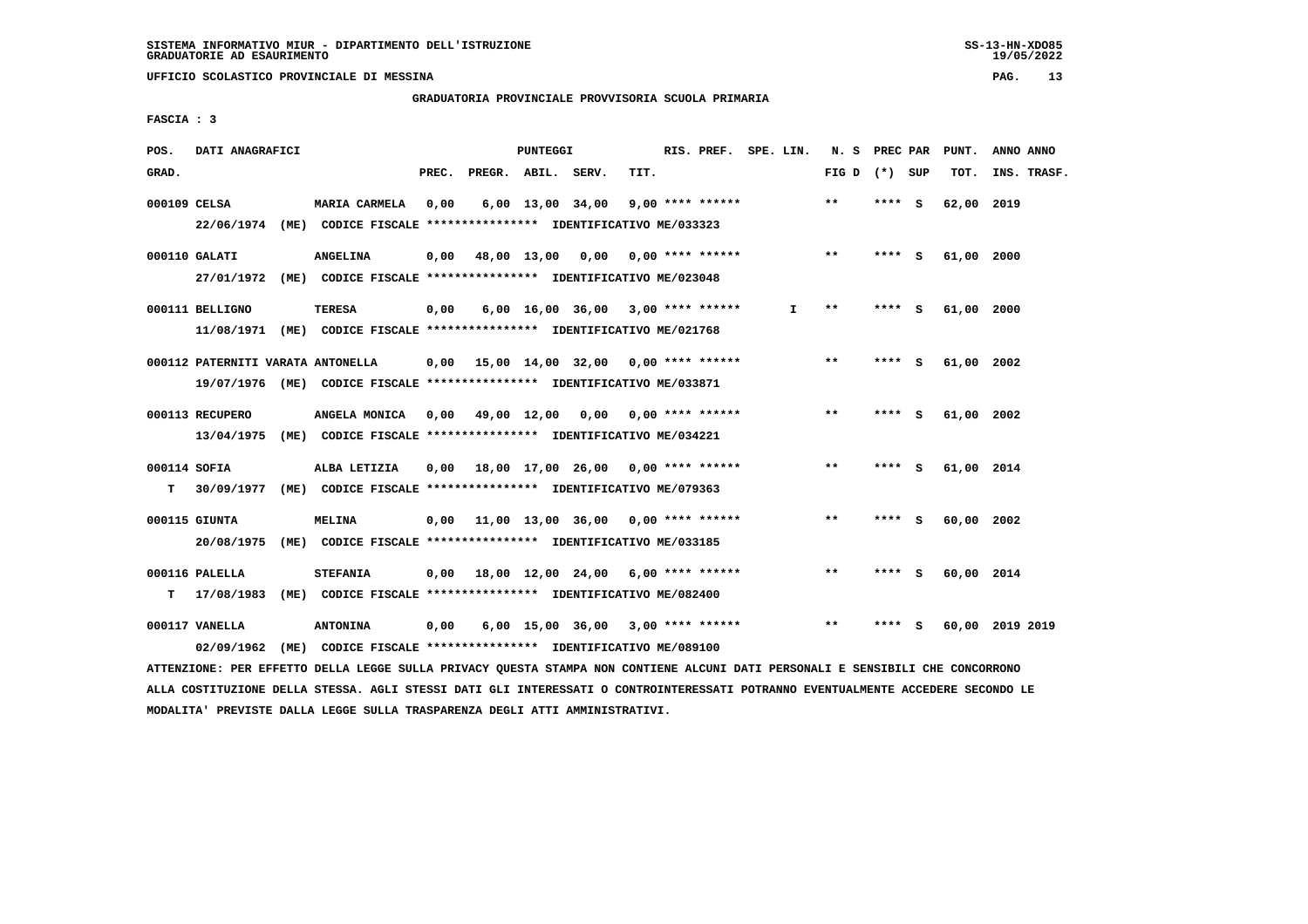**GRADUATORIA PROVINCIALE PROVVISORIA SCUOLA PRIMARIA**

 **FASCIA : 3**

| POS.         | DATI ANAGRAFICI                   |                                                                         |       |                    | PUNTEGGI |                                                 |      | RIS. PREF. SPE. LIN. |    | N. S            | PREC PAR |     | PUNT.      | ANNO ANNO       |
|--------------|-----------------------------------|-------------------------------------------------------------------------|-------|--------------------|----------|-------------------------------------------------|------|----------------------|----|-----------------|----------|-----|------------|-----------------|
| GRAD.        |                                   |                                                                         | PREC. | PREGR. ABIL. SERV. |          |                                                 | TIT. |                      |    | FIG D $(*)$ SUP |          |     | TOT.       | INS. TRASF.     |
| 000109 CELSA |                                   | <b>MARIA CARMELA</b>                                                    | 0,00  |                    |          | $6,00$ 13,00 34,00                              |      | $9,00$ **** ******   |    | $***$           | **** S   |     | 62,00 2019 |                 |
|              |                                   | 22/06/1974 (ME) CODICE FISCALE *************** IDENTIFICATIVO ME/033323 |       |                    |          |                                                 |      |                      |    |                 |          |     |            |                 |
|              | 000110 GALATI                     | <b>ANGELINA</b>                                                         | 0,00  |                    |          | 48,00 13,00 0,00 0,00 **** ******               |      |                      |    | $***$           | **** S   |     | 61,00 2000 |                 |
|              |                                   | 27/01/1972 (ME) CODICE FISCALE *************** IDENTIFICATIVO ME/023048 |       |                    |          |                                                 |      |                      |    |                 |          |     |            |                 |
|              | 000111 BELLIGNO                   | TERESA                                                                  | 0,00  |                    |          | $6,00$ 16,00 36,00 3,00 **** ******             |      |                      | I. | $***$           | ****     | - 5 | 61,00 2000 |                 |
|              |                                   | 11/08/1971 (ME) CODICE FISCALE *************** IDENTIFICATIVO ME/021768 |       |                    |          |                                                 |      |                      |    |                 |          |     |            |                 |
|              | 000112 PATERNITI VARATA ANTONELLA |                                                                         |       |                    |          | $0.00$ 15.00 14.00 32.00 0.00 **** ******       |      |                      |    | $**$            | **** S   |     | 61,00 2002 |                 |
|              |                                   | 19/07/1976 (ME) CODICE FISCALE *************** IDENTIFICATIVO ME/033871 |       |                    |          |                                                 |      |                      |    |                 |          |     |            |                 |
|              | 000113 RECUPERO                   | ANGELA MONICA                                                           |       |                    |          | $0.00 \quad 49.00 \quad 12.00 \quad 0.00$       |      | $0.00$ **** ******   |    | $**$            | ****     | - S | 61,00 2002 |                 |
|              | 13/04/1975                        | (ME) CODICE FISCALE **************** IDENTIFICATIVO ME/034221           |       |                    |          |                                                 |      |                      |    |                 |          |     |            |                 |
| 000114 SOFIA |                                   | ALBA LETIZIA                                                            | 0.00  |                    |          | 18,00 17,00 26,00 0,00 **** ******              |      |                      |    | $**$            | **** S   |     | 61,00 2014 |                 |
| T.           | 30/09/1977                        | (ME) CODICE FISCALE *************** IDENTIFICATIVO ME/079363            |       |                    |          |                                                 |      |                      |    |                 |          |     |            |                 |
|              | 000115 GIUNTA                     | MELINA                                                                  | 0,00  |                    |          | $11,00$ $13,00$ $36,00$ $0,00$ $***$ **** ***** |      |                      |    | $* *$           | ****     | - S | 60,00 2002 |                 |
|              | 20/08/1975                        | (ME) CODICE FISCALE **************** IDENTIFICATIVO ME/033185           |       |                    |          |                                                 |      |                      |    |                 |          |     |            |                 |
|              | 000116 PALELLA                    | <b>STEFANIA</b>                                                         | 0,00  |                    |          | 18,00 12,00 24,00 6,00 **** ******              |      |                      |    | $* *$           | ****     | - 5 | 60,00 2014 |                 |
| т            | 17/08/1983                        | (ME) CODICE FISCALE **************** IDENTIFICATIVO ME/082400           |       |                    |          |                                                 |      |                      |    |                 |          |     |            |                 |
|              | 000117 VANELLA                    | <b>ANTONINA</b>                                                         | 0,00  |                    |          | 6,00 15,00 36,00                                |      | $3,00$ **** ******   |    | $* *$           | ****     | S   |            | 60,00 2019 2019 |
|              | 02/09/1962                        | (ME) CODICE FISCALE **************** IDENTIFICATIVO ME/089100           |       |                    |          |                                                 |      |                      |    |                 |          |     |            |                 |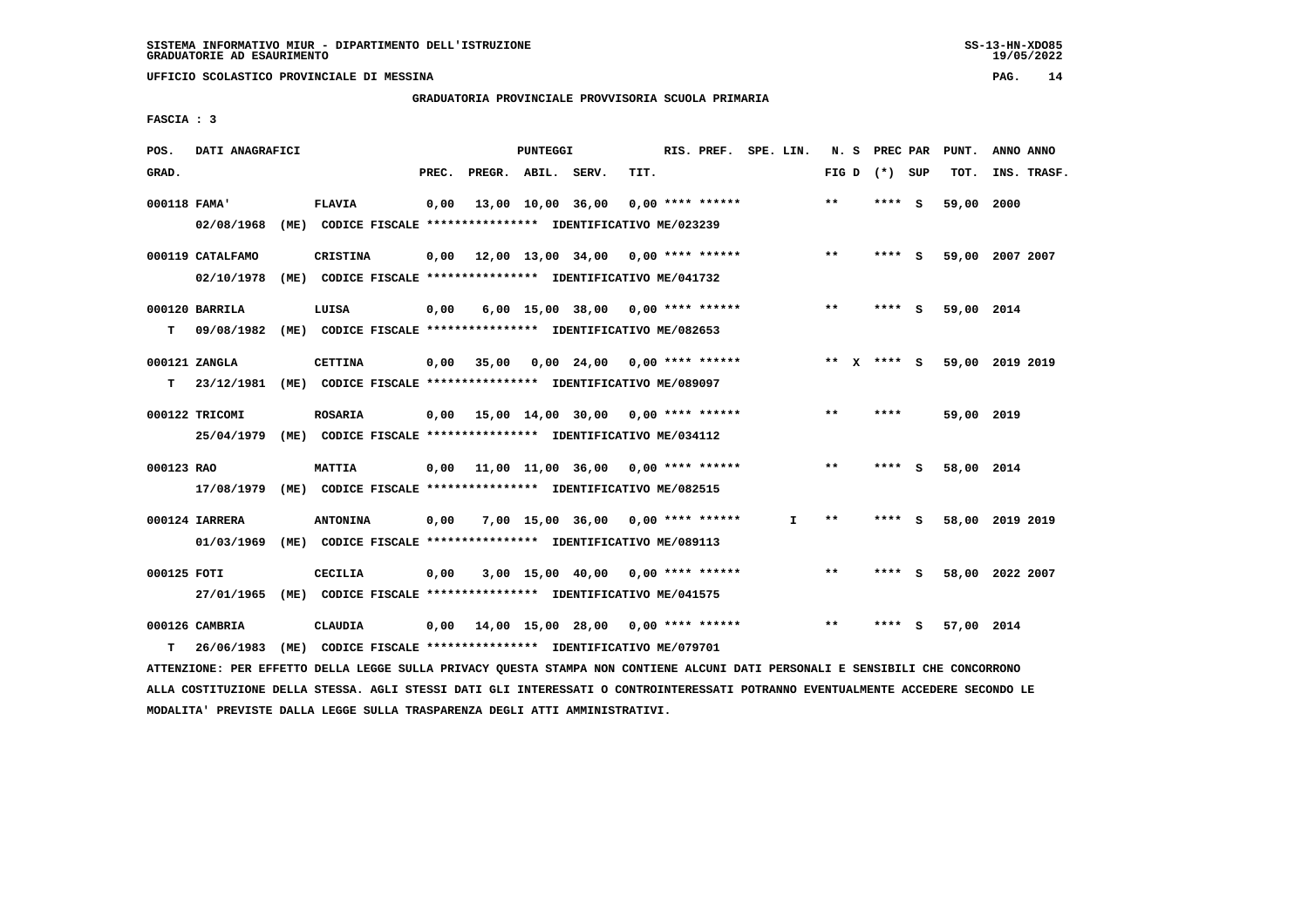**UFFICIO SCOLASTICO PROVINCIALE DI MESSINA PAG. 14**

 **GRADUATORIA PROVINCIALE PROVVISORIA SCUOLA PRIMARIA**

 **FASCIA : 3**

| POS.         | DATI ANAGRAFICI                                                                                                                    |                                                               |       |                    | PUNTEGGI |                                           |      | RIS. PREF. SPE. LIN. |    |       | N. S PREC PAR   |     | PUNT.           |      | ANNO ANNO   |
|--------------|------------------------------------------------------------------------------------------------------------------------------------|---------------------------------------------------------------|-------|--------------------|----------|-------------------------------------------|------|----------------------|----|-------|-----------------|-----|-----------------|------|-------------|
| GRAD.        |                                                                                                                                    |                                                               | PREC. | PREGR. ABIL. SERV. |          |                                           | TIT. |                      |    |       | FIG D $(*)$ SUP |     | TOT.            |      | INS. TRASF. |
| 000118 FAMA' |                                                                                                                                    | FLAVIA                                                        | 0,00  |                    |          | 13,00 10,00 36,00                         |      | $0.00$ **** ******   |    | $* *$ | **** S          |     | 59,00           | 2000 |             |
|              | 02/08/1968                                                                                                                         | (ME) CODICE FISCALE **************** IDENTIFICATIVO ME/023239 |       |                    |          |                                           |      |                      |    |       |                 |     |                 |      |             |
|              | 000119 CATALFAMO                                                                                                                   | <b>CRISTINA</b>                                               | 0,00  |                    |          | 12,00 13,00 34,00 0,00 **** ******        |      |                      |    | $***$ | **** S          |     | 59,00 2007 2007 |      |             |
|              | 02/10/1978                                                                                                                         | (ME) CODICE FISCALE **************** IDENTIFICATIVO ME/041732 |       |                    |          |                                           |      |                      |    |       |                 |     |                 |      |             |
|              | 000120 BARRILA                                                                                                                     | LUISA                                                         | 0,00  |                    |          | 6,00 15,00 38,00 0,00 **** ******         |      |                      |    | $***$ | ****            | - 5 | 59,00 2014      |      |             |
| т            | 09/08/1982                                                                                                                         | (ME) CODICE FISCALE **************** IDENTIFICATIVO ME/082653 |       |                    |          |                                           |      |                      |    |       |                 |     |                 |      |             |
|              | 000121 ZANGLA                                                                                                                      | <b>CETTINA</b>                                                | 0,00  | 35,00              |          | $0,00$ 24,00 0,00 **** ******             |      |                      |    |       | ** $X$ **** S   |     | 59,00 2019 2019 |      |             |
| т            | 23/12/1981 (ME) CODICE FISCALE *************** IDENTIFICATIVO ME/089097                                                            |                                                               |       |                    |          |                                           |      |                      |    |       |                 |     |                 |      |             |
|              | 000122 TRICOMI                                                                                                                     | <b>ROSARIA</b>                                                |       |                    |          | $0,00$ 15,00 14,00 30,00 0,00 **** ****** |      |                      |    | $**$  | ****            |     | 59,00 2019      |      |             |
|              | 25/04/1979 (ME) CODICE FISCALE *************** IDENTIFICATIVO ME/034112                                                            |                                                               |       |                    |          |                                           |      |                      |    |       |                 |     |                 |      |             |
|              |                                                                                                                                    |                                                               |       |                    |          |                                           |      |                      |    |       |                 |     |                 |      |             |
| 000123 RAO   |                                                                                                                                    | <b>MATTIA</b>                                                 |       |                    |          | $0.00$ 11.00 11.00 36.00 0.00 **** ****** |      |                      |    | $* *$ | **** S          |     | 58,00 2014      |      |             |
|              | 17/08/1979 (ME) CODICE FISCALE *************** IDENTIFICATIVO ME/082515                                                            |                                                               |       |                    |          |                                           |      |                      |    |       |                 |     |                 |      |             |
|              | 000124 IARRERA                                                                                                                     | <b>ANTONINA</b>                                               | 0,00  |                    |          | $7,00$ 15,00 36,00 0,00 **** ******       |      |                      | I. | **    | **** S          |     | 58,00 2019 2019 |      |             |
|              | 01/03/1969                                                                                                                         | (ME) CODICE FISCALE **************** IDENTIFICATIVO ME/089113 |       |                    |          |                                           |      |                      |    |       |                 |     |                 |      |             |
| 000125 FOTI  |                                                                                                                                    | <b>CECILIA</b>                                                | 0,00  |                    |          | 3,00 15,00 40,00 0,00 **** ******         |      |                      |    | $***$ | **** S          |     | 58,00 2022 2007 |      |             |
|              | 27/01/1965 (ME) CODICE FISCALE *************** IDENTIFICATIVO ME/041575                                                            |                                                               |       |                    |          |                                           |      |                      |    |       |                 |     |                 |      |             |
|              | 000126 CAMBRIA                                                                                                                     | CLAUDIA                                                       | 0,00  |                    |          | 14,00 15,00 28,00 0,00 **** ******        |      |                      |    | $* *$ | **** S          |     | 57,00 2014      |      |             |
| т            | 26/06/1983                                                                                                                         | (ME) CODICE FISCALE **************** IDENTIFICATIVO ME/079701 |       |                    |          |                                           |      |                      |    |       |                 |     |                 |      |             |
|              | MARINEZAIR DED PERSANA DRIIS IRAAR 411115 DRIILAU AUGARI 481161 JAIL 40187010 JIANIE DJAF DROAAILII A 4014-0017 4110 4014-00000014 |                                                               |       |                    |          |                                           |      |                      |    |       |                 |     |                 |      |             |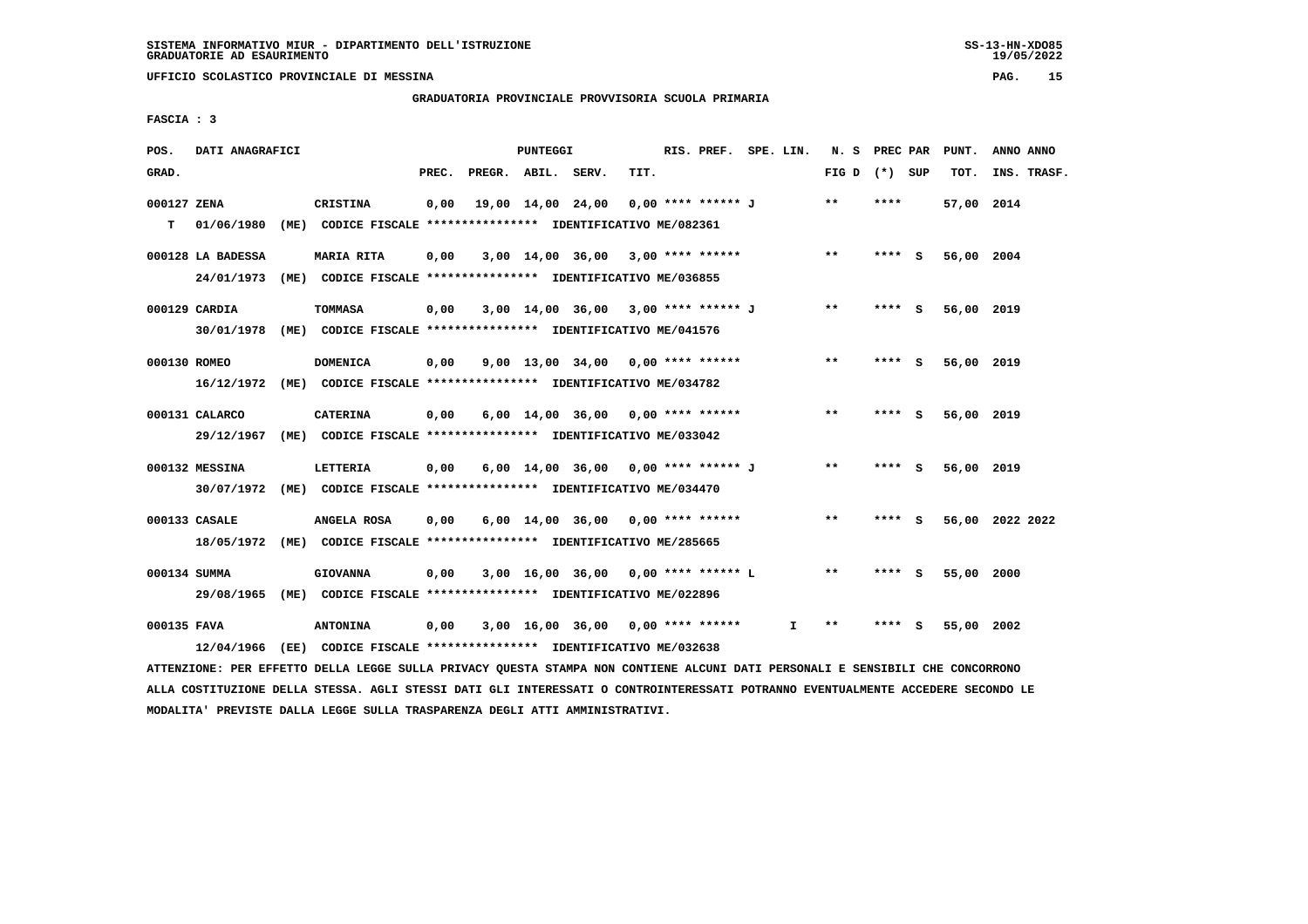## **GRADUATORIA PROVINCIALE PROVVISORIA SCUOLA PRIMARIA**

 **FASCIA : 3**

| POS.         | DATI ANAGRAFICI   |      |                                                                         |       |                    | PUNTEGGI |                                     |      | RIS. PREF. SPE. LIN. |    | N.S             | PREC PAR |     | PUNT.      | ANNO ANNO       |
|--------------|-------------------|------|-------------------------------------------------------------------------|-------|--------------------|----------|-------------------------------------|------|----------------------|----|-----------------|----------|-----|------------|-----------------|
| GRAD.        |                   |      |                                                                         | PREC. | PREGR. ABIL. SERV. |          |                                     | TIT. |                      |    | FIG D $(*)$ SUP |          |     | TOT.       | INS. TRASF.     |
| 000127 ZENA  |                   |      | CRISTINA                                                                | 0,00  |                    |          | 19,00 14,00 24,00                   |      | 0,00 **** ****** J   |    | $***$           | ****     |     | 57,00 2014 |                 |
| т            | 01/06/1980        | (ME) | CODICE FISCALE **************** IDENTIFICATIVO ME/082361                |       |                    |          |                                     |      |                      |    |                 |          |     |            |                 |
|              | 000128 LA BADESSA |      | <b>MARIA RITA</b>                                                       | 0,00  |                    |          | $3,00$ 14,00 36,00 3,00 **** ****** |      |                      |    | $\star\star$    | **** S   |     | 56,00 2004 |                 |
|              | 24/01/1973        |      | (ME) CODICE FISCALE *************** IDENTIFICATIVO ME/036855            |       |                    |          |                                     |      |                      |    |                 |          |     |            |                 |
|              | 000129 CARDIA     |      | <b>TOMMASA</b>                                                          | 0,00  |                    |          | 3,00 14,00 36,00 3,00 **** ****** J |      |                      |    | $***$           | **** S   |     | 56,00 2019 |                 |
|              | 30/01/1978        |      | (ME) CODICE FISCALE **************** IDENTIFICATIVO ME/041576           |       |                    |          |                                     |      |                      |    |                 |          |     |            |                 |
| 000130 ROMEO |                   |      | <b>DOMENICA</b>                                                         | 0,00  |                    |          | $9,00$ 13,00 34,00 0,00 **** ****** |      |                      |    | $**$            | **** S   |     | 56,00 2019 |                 |
|              |                   |      | 16/12/1972 (ME) CODICE FISCALE *************** IDENTIFICATIVO ME/034782 |       |                    |          |                                     |      |                      |    |                 |          |     |            |                 |
|              | 000131 CALARCO    |      | <b>CATERINA</b>                                                         | 0,00  |                    |          | $6,00$ 14,00 36,00 0,00 **** ****** |      |                      |    | $***$           | ****     | - S | 56,00 2019 |                 |
|              | 29/12/1967        |      | (ME) CODICE FISCALE **************** IDENTIFICATIVO ME/033042           |       |                    |          |                                     |      |                      |    |                 |          |     |            |                 |
|              | 000132 MESSINA    |      | LETTERIA                                                                | 0,00  |                    |          | 6,00 14,00 36,00 0,00 **** ****** J |      |                      |    | $* *$           | **** S   |     | 56,00 2019 |                 |
|              |                   |      | 30/07/1972 (ME) CODICE FISCALE *************** IDENTIFICATIVO ME/034470 |       |                    |          |                                     |      |                      |    |                 |          |     |            |                 |
|              | 000133 CASALE     |      | ANGELA ROSA                                                             | 0.00  |                    |          | $6,00$ 14,00 36,00 0,00 **** ****** |      |                      |    | $* *$           | **** S   |     |            | 56,00 2022 2022 |
|              | 18/05/1972        |      | (ME) CODICE FISCALE **************** IDENTIFICATIVO ME/285665           |       |                    |          |                                     |      |                      |    |                 |          |     |            |                 |
| 000134 SUMMA |                   |      | <b>GIOVANNA</b>                                                         | 0,00  |                    |          | 3,00 16,00 36,00 0,00 **** ****** L |      |                      |    | $* *$           | ****     | - 5 | 55,00      | 2000            |
|              | 29/08/1965        |      | (ME) CODICE FISCALE **************** IDENTIFICATIVO ME/022896           |       |                    |          |                                     |      |                      |    |                 |          |     |            |                 |
| 000135 FAVA  |                   |      | <b>ANTONINA</b>                                                         | 0,00  |                    |          | $3,00$ 16,00 36,00 0,00 **** ****** |      |                      | I. | **              |          | s   | 55,00      | 2002            |
|              |                   |      | 12/04/1966 (EE) CODICE FISCALE *************** IDENTIFICATIVO ME/032638 |       |                    |          |                                     |      |                      |    |                 |          |     |            |                 |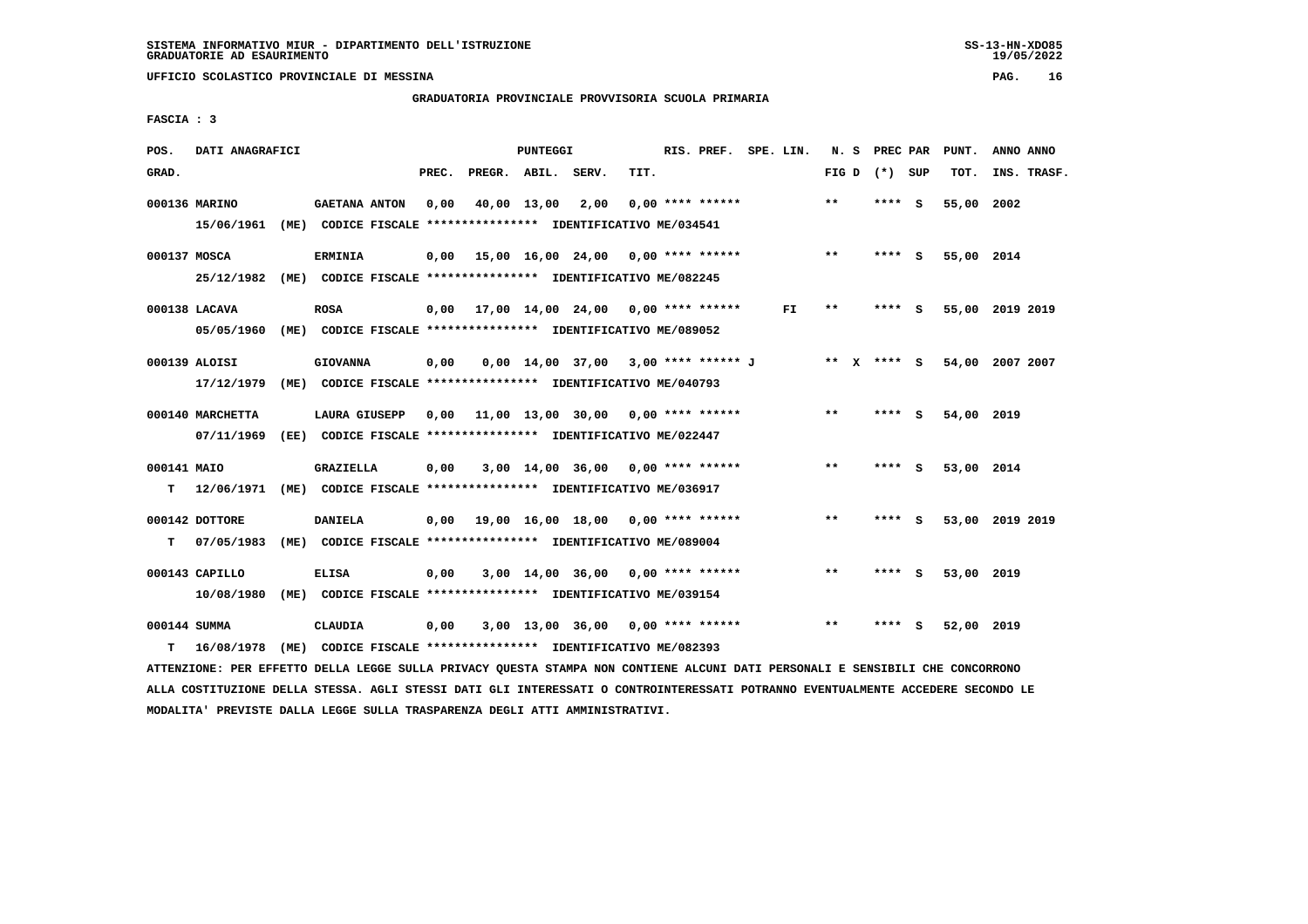## **GRADUATORIA PROVINCIALE PROVVISORIA SCUOLA PRIMARIA**

 **FASCIA : 3**

| POS.         | DATI ANAGRAFICI             |      |                                                                                       |       |              | <b>PUNTEGGI</b> |                                           |      | RIS. PREF. SPE. LIN. |     | N. S    |      | PREC PAR | PUNT.      | ANNO ANNO       |
|--------------|-----------------------------|------|---------------------------------------------------------------------------------------|-------|--------------|-----------------|-------------------------------------------|------|----------------------|-----|---------|------|----------|------------|-----------------|
| GRAD.        |                             |      |                                                                                       | PREC. | PREGR. ABIL. |                 | SERV.                                     | TIT. |                      |     | FIG D   |      | (*) SUP  | TOT.       | INS. TRASF.     |
|              | 000136 MARINO<br>15/06/1961 |      | <b>GAETANA ANTON</b><br>(ME) CODICE FISCALE **************** IDENTIFICATIVO ME/034541 | 0,00  |              | 40,00 13,00     | 2,00                                      |      | $0.00$ **** ******   |     | $**$    |      | **** S   | 55,00      | 2002            |
| 000137 MOSCA |                             |      | <b>ERMINIA</b>                                                                        |       |              |                 | 15,00 16,00 24,00 0,00 **** ******        |      |                      |     | **      |      | **** S   | 55,00 2014 |                 |
|              | 25/12/1982                  |      | (ME) CODICE FISCALE **************** IDENTIFICATIVO ME/082245                         | 0,00  |              |                 |                                           |      |                      |     |         |      |          |            |                 |
|              | 000138 LACAVA               |      | <b>ROSA</b>                                                                           | 0,00  |              |                 | 17,00 14,00 24,00 0,00 **** ******        |      |                      | FI. | $* *$   |      | **** S   |            | 55,00 2019 2019 |
|              | 05/05/1960                  |      | (ME) CODICE FISCALE **************** IDENTIFICATIVO ME/089052                         |       |              |                 |                                           |      |                      |     |         |      |          |            |                 |
|              | 000139 ALOISI               |      | <b>GIOVANNA</b>                                                                       | 0,00  |              |                 | $0.00$ 14.00 37.00 3.00 **** ****** J     |      |                      |     | $***$ X |      | $***$ S  |            | 54,00 2007 2007 |
|              | 17/12/1979                  |      | (ME) CODICE FISCALE **************** IDENTIFICATIVO ME/040793                         |       |              |                 |                                           |      |                      |     |         |      |          |            |                 |
|              | 000140 MARCHETTA            |      | LAURA GIUSEPP                                                                         |       |              |                 | $0.00$ 11.00 13.00 30.00 0.00 **** ****** |      |                      |     | $**$    | **** | - S      | 54,00 2019 |                 |
|              | 07/11/1969                  |      | (EE) CODICE FISCALE **************** IDENTIFICATIVO ME/022447                         |       |              |                 |                                           |      |                      |     |         |      |          |            |                 |
| 000141 MAIO  |                             |      | GRAZIELLA                                                                             | 0,00  |              |                 | $3,00$ 14,00 36,00 0,00 **** ******       |      |                      |     | $* *$   |      | **** S   | 53,00 2014 |                 |
| т            | 12/06/1971                  |      | (ME) CODICE FISCALE **************** IDENTIFICATIVO ME/036917                         |       |              |                 |                                           |      |                      |     |         |      |          |            |                 |
|              | 000142 DOTTORE              |      | <b>DANIELA</b>                                                                        |       |              |                 | $0.00$ 19.00 16.00 18.00 0.00 **** ****** |      |                      |     | $* *$   | **** | <b>S</b> |            | 53,00 2019 2019 |
| т            | 07/05/1983                  |      | (ME) CODICE FISCALE **************** IDENTIFICATIVO ME/089004                         |       |              |                 |                                           |      |                      |     |         |      |          |            |                 |
|              | 000143 CAPILLO              |      | <b>ELISA</b>                                                                          | 0.00  |              |                 | $3,00$ 14,00 36,00 0,00 **** ******       |      |                      |     | $***$   | **** | - S      | 53,00 2019 |                 |
|              | 10/08/1980                  |      | (ME) CODICE FISCALE **************** IDENTIFICATIVO ME/039154                         |       |              |                 |                                           |      |                      |     |         |      |          |            |                 |
| 000144 SUMMA |                             |      | CLAUDIA                                                                               | 0,00  |              |                 | $3,00$ 13,00 36,00 0,00 **** ******       |      |                      |     | $* *$   | **** | s        | 52,00 2019 |                 |
| т            | 16/08/1978                  | (ME) | CODICE FISCALE **************** IDENTIFICATIVO ME/082393                              |       |              |                 |                                           |      |                      |     |         |      |          |            |                 |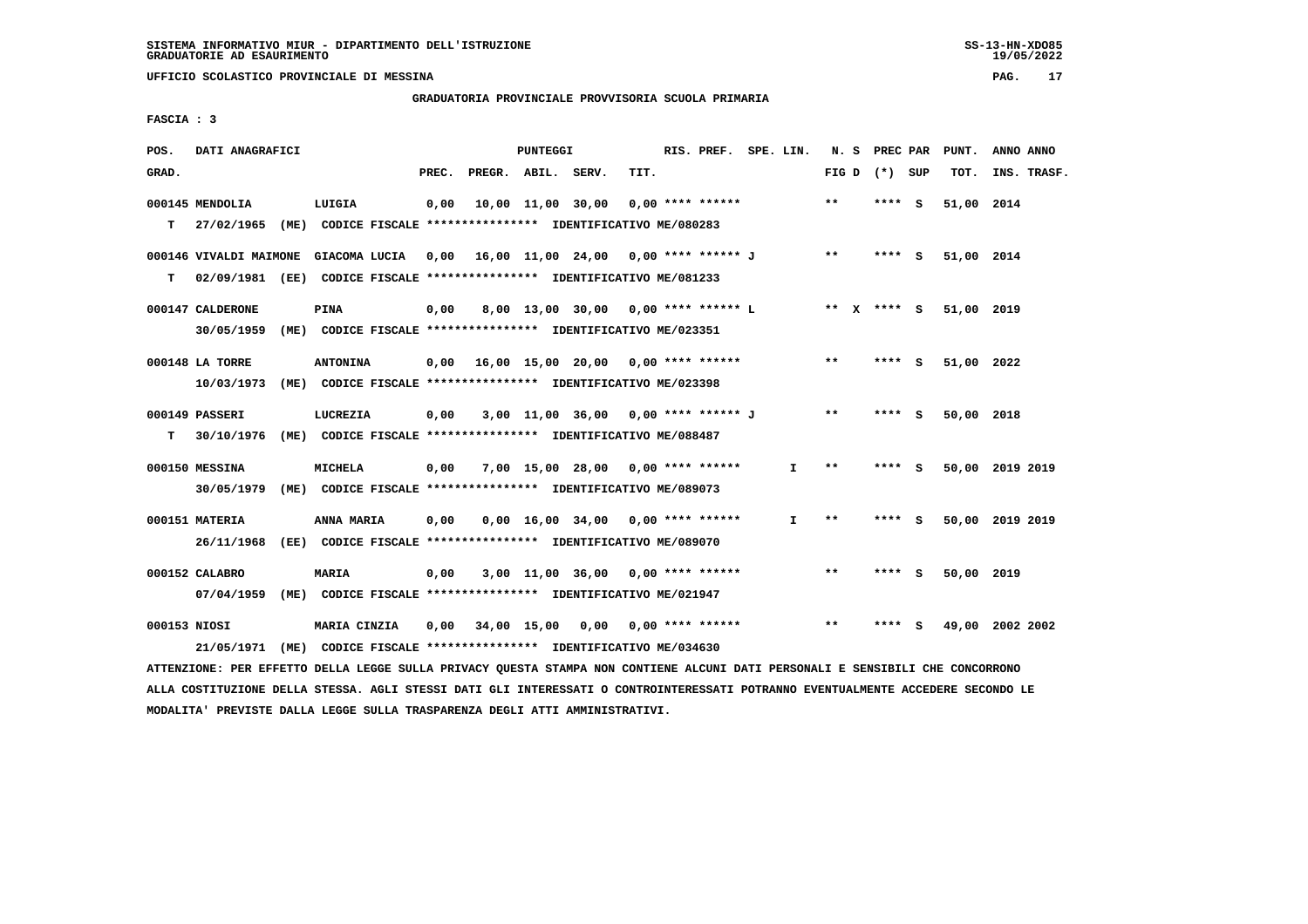## **GRADUATORIA PROVINCIALE PROVVISORIA SCUOLA PRIMARIA**

 **FASCIA : 3**

| POS.  | DATI ANAGRAFICI                                                                                                               |                 |       |                    | PUNTEGGI |                                                         |      | RIS. PREF. SPE. LIN. |              |             | N. S PREC PAR   | PUNT.      | ANNO ANNO       |
|-------|-------------------------------------------------------------------------------------------------------------------------------|-----------------|-------|--------------------|----------|---------------------------------------------------------|------|----------------------|--------------|-------------|-----------------|------------|-----------------|
| GRAD. |                                                                                                                               |                 | PREC. | PREGR. ABIL. SERV. |          |                                                         | TIT. |                      |              |             | FIG D $(*)$ SUP | TOT.       | INS. TRASF.     |
|       | 000145 MENDOLIA                                                                                                               | LUIGIA          | 0,00  |                    |          | 10,00 11,00 30,00                                       |      | $0.00$ **** ******   |              | **          | **** S          | 51,00 2014 |                 |
| т     | 27/02/1965 (ME) CODICE FISCALE *************** IDENTIFICATIVO ME/080283                                                       |                 |       |                    |          |                                                         |      |                      |              |             |                 |            |                 |
|       | 000146 VIVALDI MAIMONE                                                                                                        |                 |       |                    |          | GIACOMA LUCIA 0,00 16,00 11,00 24,00 0,00 **** ****** J |      |                      |              | $***$       | $***$ S         | 51,00 2014 |                 |
| т     | 02/09/1981 (EE) CODICE FISCALE *************** IDENTIFICATIVO ME/081233                                                       |                 |       |                    |          |                                                         |      |                      |              |             |                 |            |                 |
|       | 000147 CALDERONE                                                                                                              | PINA            | 0,00  |                    |          | 8,00 13,00 30,00 0,00 **** ****** L                     |      |                      |              | ** X **** S |                 | 51,00 2019 |                 |
|       | 30/05/1959 (ME) CODICE FISCALE *************** IDENTIFICATIVO ME/023351                                                       |                 |       |                    |          |                                                         |      |                      |              |             |                 |            |                 |
|       | 000148 LA TORRE                                                                                                               | <b>ANTONINA</b> |       |                    |          |                                                         |      |                      |              | $***$       | $***$ S         | 51,00 2022 |                 |
|       | 10/03/1973 (ME) CODICE FISCALE *************** IDENTIFICATIVO ME/023398                                                       |                 |       |                    |          |                                                         |      |                      |              |             |                 |            |                 |
|       | 000149 PASSERI                                                                                                                |                 |       |                    |          |                                                         |      |                      |              | $* *$       |                 |            |                 |
| т     | 30/10/1976 (ME) CODICE FISCALE **************** IDENTIFICATIVO ME/088487                                                      | LUCREZIA        | 0,00  |                    |          | 3,00 11,00 36,00 0,00 **** ****** J                     |      |                      |              |             | **** S          | 50,00 2018 |                 |
|       |                                                                                                                               |                 |       |                    |          |                                                         |      |                      |              |             |                 |            |                 |
|       | 000150 MESSINA                                                                                                                | <b>MICHELA</b>  | 0,00  |                    |          | 7,00 15,00 28,00 0,00 **** ******                       |      |                      | I.           | $***$       | **** S          |            | 50,00 2019 2019 |
|       | 30/05/1979 (ME) CODICE FISCALE *************** IDENTIFICATIVO ME/089073                                                       |                 |       |                    |          |                                                         |      |                      |              |             |                 |            |                 |
|       | 000151 MATERIA                                                                                                                | ANNA MARIA      | 0,00  |                    |          | $0,00$ 16,00 34,00 0,00 **** ******                     |      |                      | $\mathbf{I}$ | $* *$       | **** S          |            | 50,00 2019 2019 |
|       | 26/11/1968 (EE) CODICE FISCALE *************** IDENTIFICATIVO ME/089070                                                       |                 |       |                    |          |                                                         |      |                      |              |             |                 |            |                 |
|       | 000152 CALABRO                                                                                                                | <b>MARIA</b>    | 0,00  |                    |          | $3,00$ 11,00 36,00 0,00 **** ******                     |      |                      |              | $***$       | **** S          | 50,00 2019 |                 |
|       | 07/04/1959 (ME) CODICE FISCALE *************** IDENTIFICATIVO ME/021947                                                       |                 |       |                    |          |                                                         |      |                      |              |             |                 |            |                 |
|       | 000153 NIOSI                                                                                                                  | MARIA CINZIA    |       |                    |          | 0,00 34,00 15,00 0,00 0,00 **** ******                  |      |                      |              | $***$       | **** S          |            | 49,00 2002 2002 |
|       | 21/05/1971 (ME) CODICE FISCALE *************** IDENTIFICATIVO ME/034630                                                       |                 |       |                    |          |                                                         |      |                      |              |             |                 |            |                 |
|       | ATTENZIONE: PER EFFETTO DELLA LEGGE SULLA PRIVACY QUESTA STAMPA NON CONTIENE ALCUNI DATI PERSONALI E SENSIBILI CHE CONCORRONO |                 |       |                    |          |                                                         |      |                      |              |             |                 |            |                 |

 **ALLA COSTITUZIONE DELLA STESSA. AGLI STESSI DATI GLI INTERESSATI O CONTROINTERESSATI POTRANNO EVENTUALMENTE ACCEDERE SECONDO LE MODALITA' PREVISTE DALLA LEGGE SULLA TRASPARENZA DEGLI ATTI AMMINISTRATIVI.**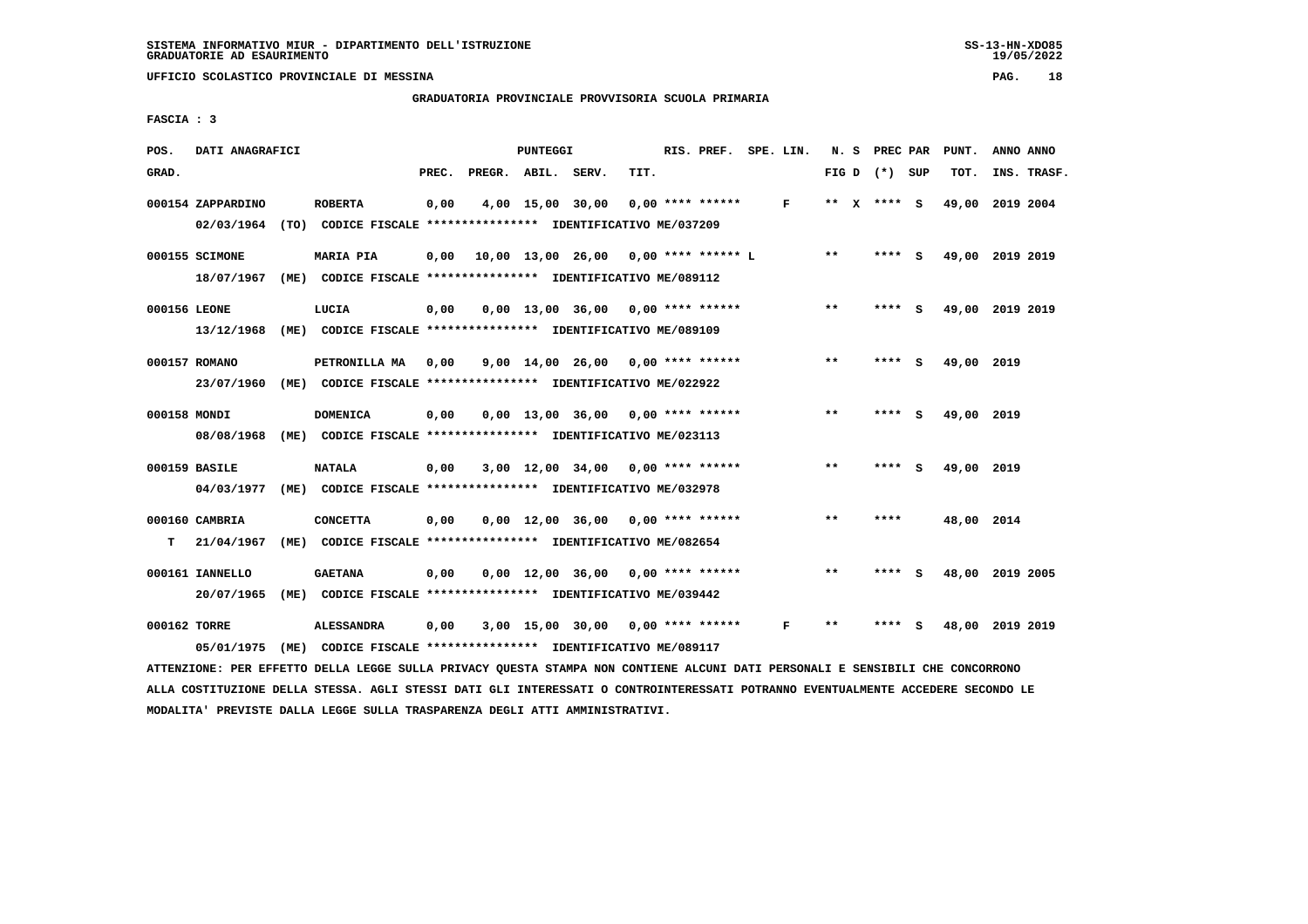**GRADUATORIA PROVINCIALE PROVVISORIA SCUOLA PRIMARIA**

 **FASCIA : 3**

| POS.         | DATI ANAGRAFICI   |                                                               |       |        | PUNTEGGI |                                      |      | RIS. PREF.         | SPE. LIN. | N. S  |              | PREC PAR        |     | PUNT.           | ANNO ANNO |             |
|--------------|-------------------|---------------------------------------------------------------|-------|--------|----------|--------------------------------------|------|--------------------|-----------|-------|--------------|-----------------|-----|-----------------|-----------|-------------|
| GRAD.        |                   |                                                               | PREC. | PREGR. | ABIL.    | SERV.                                | TIT. |                    |           |       |              | FIG D $(*)$ SUP |     | TOT.            |           | INS. TRASF. |
|              | 000154 ZAPPARDINO | <b>ROBERTA</b>                                                | 0,00  |        |          | 4,00 15,00 30,00                     |      | $0.00$ **** ****** | F         | **    | $\mathbf{x}$ | **** S          |     | 49,00           | 2019 2004 |             |
|              | 02/03/1964        | (TO) CODICE FISCALE **************** IDENTIFICATIVO ME/037209 |       |        |          |                                      |      |                    |           |       |              |                 |     |                 |           |             |
|              | 000155 SCIMONE    | <b>MARIA PIA</b>                                              | 0,00  |        |          | 10,00 13,00 26,00 0,00 **** ****** L |      |                    |           | $* *$ |              | **** S          |     | 49,00 2019 2019 |           |             |
|              | 18/07/1967        | (ME) CODICE FISCALE **************** IDENTIFICATIVO ME/089112 |       |        |          |                                      |      |                    |           |       |              |                 |     |                 |           |             |
| 000156 LEONE |                   | LUCIA                                                         | 0,00  |        |          | $0.00$ 13.00 36.00 0.00 **** ******  |      |                    |           | $***$ |              | **** S          |     | 49,00 2019 2019 |           |             |
|              | 13/12/1968        | (ME) CODICE FISCALE **************** IDENTIFICATIVO ME/089109 |       |        |          |                                      |      |                    |           |       |              |                 |     |                 |           |             |
|              | 000157 ROMANO     | PETRONILLA MA                                                 | 0,00  |        |          | $9,00$ 14,00 26,00 0,00 **** ******  |      |                    |           | $***$ |              | **** S          |     | 49,00 2019      |           |             |
|              | 23/07/1960        | (ME) CODICE FISCALE **************** IDENTIFICATIVO ME/022922 |       |        |          |                                      |      |                    |           |       |              |                 |     |                 |           |             |
| 000158 MONDI |                   | <b>DOMENICA</b>                                               | 0,00  |        |          | 0,00 13,00 36,00                     |      | $0.00$ **** ****** |           | $***$ |              | **** S          |     | 49,00           | 2019      |             |
|              | 08/08/1968        | (ME) CODICE FISCALE **************** IDENTIFICATIVO ME/023113 |       |        |          |                                      |      |                    |           |       |              |                 |     |                 |           |             |
|              | 000159 BASILE     | <b>NATALA</b>                                                 | 0,00  |        |          | $3,00$ 12,00 34,00 0,00 **** ******  |      |                    |           | $***$ |              | **** S          |     | 49,00 2019      |           |             |
|              | 04/03/1977        | (ME) CODICE FISCALE **************** IDENTIFICATIVO ME/032978 |       |        |          |                                      |      |                    |           |       |              |                 |     |                 |           |             |
|              | 000160 CAMBRIA    | <b>CONCETTA</b>                                               | 0,00  |        |          | $0,00 \quad 12,00 \quad 36,00$       |      | $0.00$ **** ****** |           | $***$ |              | ****            |     | 48,00 2014      |           |             |
| т            | 21/04/1967        | (ME) CODICE FISCALE **************** IDENTIFICATIVO ME/082654 |       |        |          |                                      |      |                    |           |       |              |                 |     |                 |           |             |
|              | 000161 IANNELLO   | <b>GAETANA</b>                                                | 0,00  |        |          | $0.00 \quad 12.00 \quad 36.00$       |      | $0.00$ **** ****** |           | $* *$ |              | ****            | - 5 | 48,00           | 2019 2005 |             |
|              | 20/07/1965        | (ME) CODICE FISCALE **************** IDENTIFICATIVO ME/039442 |       |        |          |                                      |      |                    |           |       |              |                 |     |                 |           |             |
| 000162 TORRE |                   | <b>ALESSANDRA</b>                                             | 0,00  |        |          | 3,00 15,00 30,00                     |      | $0.00$ **** ****** | F         | $***$ |              | ****            |     | 48,00           | 2019 2019 |             |
|              | 05/01/1975        | (ME) CODICE FISCALE **************** IDENTIFICATIVO ME/089117 |       |        |          |                                      |      |                    |           |       |              |                 |     |                 |           |             |
|              |                   |                                                               |       |        |          |                                      |      |                    |           |       |              |                 |     |                 |           |             |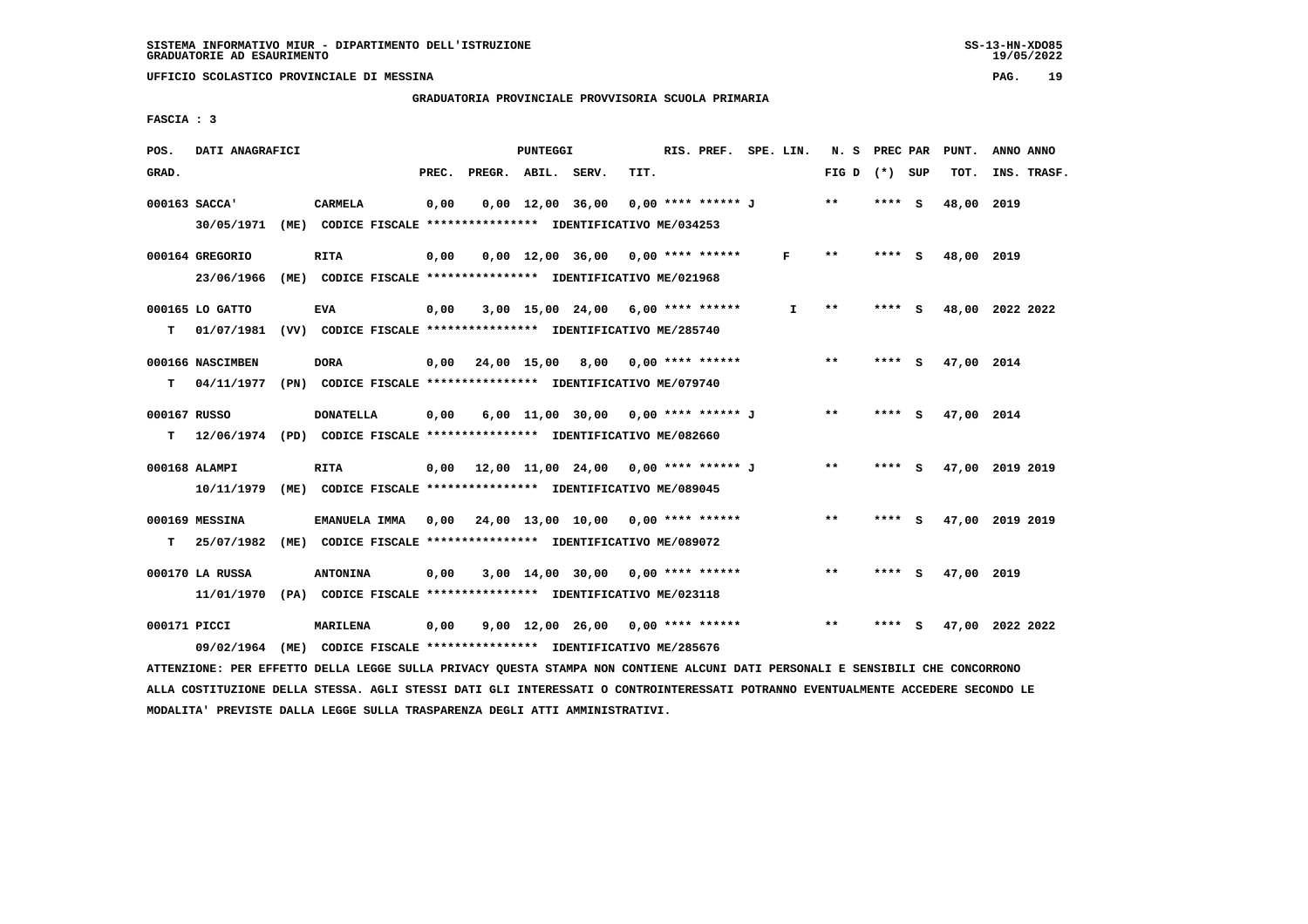**GRADUATORIA PROVINCIALE PROVVISORIA SCUOLA PRIMARIA**

 **FASCIA : 3**

| POS.         | DATI ANAGRAFICI  |                                                                                                                               |       |                    | PUNTEGGI |                                             |      | RIS. PREF. SPE. LIN. |              | N. S PREC PAR   |         |     | PUNT.           | ANNO ANNO |             |
|--------------|------------------|-------------------------------------------------------------------------------------------------------------------------------|-------|--------------------|----------|---------------------------------------------|------|----------------------|--------------|-----------------|---------|-----|-----------------|-----------|-------------|
| GRAD.        |                  |                                                                                                                               | PREC. | PREGR. ABIL. SERV. |          |                                             | TIT. |                      |              | FIG D $(*)$ SUP |         |     | TOT.            |           | INS. TRASF. |
|              | 000163 SACCA'    | CARMELA                                                                                                                       | 0,00  |                    |          | 0,00 12,00 36,00 0,00 **** ****** J         |      |                      |              | $* *$           | $***$ S |     | 48,00 2019      |           |             |
|              |                  | 30/05/1971 (ME) CODICE FISCALE *************** IDENTIFICATIVO ME/034253                                                       |       |                    |          |                                             |      |                      |              |                 |         |     |                 |           |             |
|              | 000164 GREGORIO  | <b>RITA</b>                                                                                                                   | 0,00  |                    |          | $0.00$ 12.00 36.00 0.00 **** ******         |      |                      | F            | $***$           | **** S  |     | 48,00 2019      |           |             |
|              |                  | 23/06/1966 (ME) CODICE FISCALE *************** IDENTIFICATIVO ME/021968                                                       |       |                    |          |                                             |      |                      |              |                 |         |     |                 |           |             |
|              | 000165 LO GATTO  | <b>EVA</b>                                                                                                                    | 0,00  |                    |          | $3,00$ 15,00 24,00 6,00 **** ******         |      |                      | $\mathbf{I}$ | $***$           | **** S  |     | 48,00 2022 2022 |           |             |
|              |                  | T 01/07/1981 (VV) CODICE FISCALE **************** IDENTIFICATIVO ME/285740                                                    |       |                    |          |                                             |      |                      |              |                 |         |     |                 |           |             |
|              | 000166 NASCIMBEN | <b>DORA</b>                                                                                                                   |       |                    |          | $0,00$ 24,00 15,00 8,00 0,00 **** ******    |      |                      |              | $* *$           | **** S  |     | 47,00 2014      |           |             |
|              |                  | T 04/11/1977 (PN) CODICE FISCALE *************** IDENTIFICATIVO ME/079740                                                     |       |                    |          |                                             |      |                      |              |                 |         |     |                 |           |             |
| 000167 RUSSO |                  | <b>DONATELLA</b>                                                                                                              | 0,00  |                    |          | 6,00 11,00 30,00 0,00 **** ****** J         |      |                      |              | $***$           | **** S  |     | 47,00 2014      |           |             |
|              |                  | T 12/06/1974 (PD) CODICE FISCALE *************** IDENTIFICATIVO ME/082660                                                     |       |                    |          |                                             |      |                      |              |                 |         |     |                 |           |             |
|              | 000168 ALAMPI    | RITA                                                                                                                          |       |                    |          | $0.00$ 12.00 11.00 24.00 0.00 **** ****** J |      |                      |              | $***$           | **** S  |     | 47,00 2019 2019 |           |             |
|              |                  | 10/11/1979 (ME) CODICE FISCALE *************** IDENTIFICATIVO ME/089045                                                       |       |                    |          |                                             |      |                      |              |                 |         |     |                 |           |             |
|              | 000169 MESSINA   | EMANUELA IMMA                                                                                                                 |       |                    |          | 0,00 24,00 13,00 10,00 0,00 **** ******     |      |                      |              | $***$           | **** S  |     | 47,00 2019 2019 |           |             |
| T.           |                  | 25/07/1982 (ME) CODICE FISCALE **************** IDENTIFICATIVO ME/089072                                                      |       |                    |          |                                             |      |                      |              |                 |         |     |                 |           |             |
|              | 000170 LA RUSSA  | <b>ANTONINA</b>                                                                                                               | 0,00  |                    |          | $3,00$ 14,00 30,00 0,00 **** ******         |      |                      |              | $* *$           | **** S  |     | 47,00 2019      |           |             |
|              |                  | 11/01/1970 (PA) CODICE FISCALE **************** IDENTIFICATIVO ME/023118                                                      |       |                    |          |                                             |      |                      |              |                 |         |     |                 |           |             |
| 000171 PICCI |                  | <b>MARILENA</b>                                                                                                               | 0,00  |                    |          | 9,00 12,00 26,00 0,00 **** ******           |      |                      |              | $***$           | ****    | - S | 47,00 2022 2022 |           |             |
|              |                  | 09/02/1964 (ME) CODICE FISCALE *************** IDENTIFICATIVO ME/285676                                                       |       |                    |          |                                             |      |                      |              |                 |         |     |                 |           |             |
|              |                  | ATTENZIONE: PER EFFETTO DELLA LEGGE SULLA PRIVACY QUESTA STAMPA NON CONTIENE ALCUNI DATI PERSONALI E SENSIBILI CHE CONCORRONO |       |                    |          |                                             |      |                      |              |                 |         |     |                 |           |             |

 **ALLA COSTITUZIONE DELLA STESSA. AGLI STESSI DATI GLI INTERESSATI O CONTROINTERESSATI POTRANNO EVENTUALMENTE ACCEDERE SECONDO LE MODALITA' PREVISTE DALLA LEGGE SULLA TRASPARENZA DEGLI ATTI AMMINISTRATIVI.**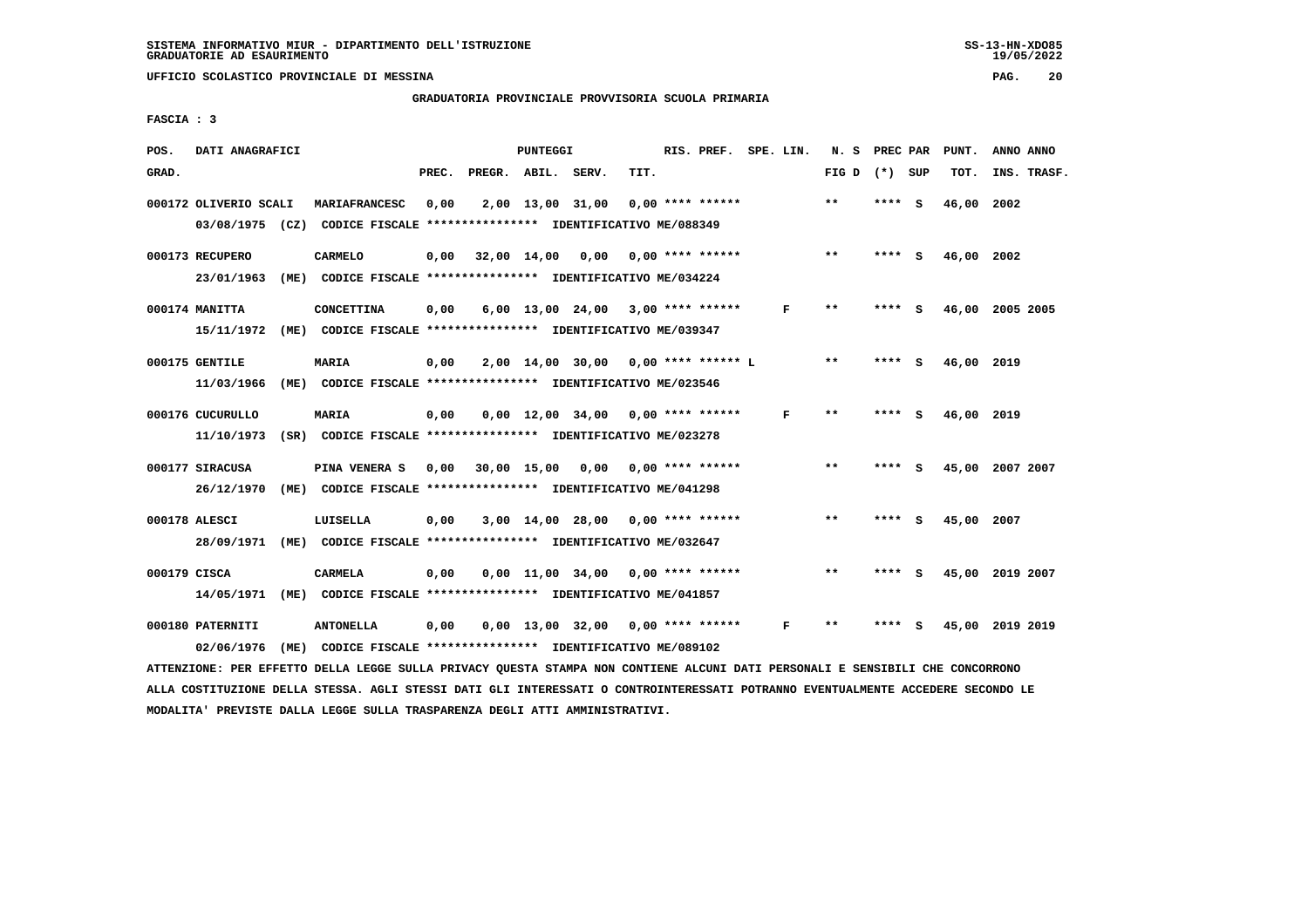#### **GRADUATORIA PROVINCIALE PROVVISORIA SCUOLA PRIMARIA**

 **FASCIA : 3**

| POS.  | DATI ANAGRAFICI                                                         |                   |       | PUNTEGGI |                                                               |      | RIS. PREF. SPE. LIN. |              | N. S PREC PAR |         |     | PUNT.      | ANNO ANNO       |
|-------|-------------------------------------------------------------------------|-------------------|-------|----------|---------------------------------------------------------------|------|----------------------|--------------|---------------|---------|-----|------------|-----------------|
| GRAD. |                                                                         |                   | PREC. |          | PREGR. ABIL. SERV.                                            | TIT. |                      |              | FIG D         | (*) SUP |     | TOT.       | INS. TRASF.     |
|       | 000172 OLIVERIO SCALI                                                   | MARIAFRANCESC     | 0,00  |          | 2,00 13,00 31,00                                              |      | $0.00$ **** ******   |              | $**$          | **** S  |     | 46,00      | 2002            |
|       | 03/08/1975 (CZ) CODICE FISCALE *************** IDENTIFICATIVO ME/088349 |                   |       |          |                                                               |      |                      |              |               |         |     |            |                 |
|       | 000173 RECUPERO                                                         | <b>CARMELO</b>    |       |          | $0,00$ 32,00 14,00 0,00 0,00 **** ******                      |      |                      |              | $***$         | **** S  |     | 46,00 2002 |                 |
|       | 23/01/1963                                                              |                   |       |          | (ME) CODICE FISCALE **************** IDENTIFICATIVO ME/034224 |      |                      |              |               |         |     |            |                 |
|       | 000174 MANITTA                                                          | <b>CONCETTINA</b> | 0,00  |          | $6,00$ 13,00 24,00 3,00 **** ******                           |      |                      | F            | $\star\star$  | **** S  |     |            | 46,00 2005 2005 |
|       | 15/11/1972 (ME) CODICE FISCALE *************** IDENTIFICATIVO ME/039347 |                   |       |          |                                                               |      |                      |              |               |         |     |            |                 |
|       | 000175 GENTILE                                                          | <b>MARIA</b>      | 0,00  |          | 2,00 14,00 30,00 0,00 **** ****** L                           |      |                      |              | $* *$         | **** S  |     | 46,00 2019 |                 |
|       | 11/03/1966 (ME) CODICE FISCALE *************** IDENTIFICATIVO ME/023546 |                   |       |          |                                                               |      |                      |              |               |         |     |            |                 |
|       | 000176 CUCURULLO                                                        | <b>MARIA</b>      | 0,00  |          | $0,00$ 12,00 34,00 0,00 **** ******                           |      |                      | $\mathbf{F}$ | **            | **** S  |     | 46,00 2019 |                 |
|       | 11/10/1973                                                              |                   |       |          | (SR) CODICE FISCALE **************** IDENTIFICATIVO ME/023278 |      |                      |              |               |         |     |            |                 |
|       | 000177 SIRACUSA                                                         | PINA VENERA S     |       |          | 0,00 30,00 15,00 0,00 0,00 **** ******                        |      |                      |              | $**$          | ****    | - S |            | 45,00 2007 2007 |
|       | 26/12/1970 (ME) CODICE FISCALE *************** IDENTIFICATIVO ME/041298 |                   |       |          |                                                               |      |                      |              |               |         |     |            |                 |
|       | 000178 ALESCI                                                           | LUISELLA          | 0,00  |          | 3,00 14,00 28,00 0,00 **** ******                             |      |                      |              | $* *$         | ****    | ్   | 45,00 2007 |                 |
|       | 28/09/1971 (ME) CODICE FISCALE *************** IDENTIFICATIVO ME/032647 |                   |       |          |                                                               |      |                      |              |               |         |     |            |                 |
|       | 000179 CISCA                                                            |                   | 0,00  |          | $0,00$ 11,00 34,00 0,00 **** ******                           |      |                      |              | $\star\star$  | **** S  |     |            | 45,00 2019 2007 |
|       |                                                                         | CARMELA           |       |          |                                                               |      |                      |              |               |         |     |            |                 |
|       | 14/05/1971 (ME) CODICE FISCALE *************** IDENTIFICATIVO ME/041857 |                   |       |          |                                                               |      |                      |              |               |         |     |            |                 |
|       | 000180 PATERNITI                                                        | <b>ANTONELLA</b>  | 0,00  |          | $0,00$ 13,00 32,00 0,00 **** ******                           |      |                      | $\mathbf{F}$ | $***$         | **** S  |     |            | 45,00 2019 2019 |
|       | 02/06/1976 (ME) CODICE FISCALE *************** IDENTIFICATIVO ME/089102 |                   |       |          |                                                               |      |                      |              |               |         |     |            |                 |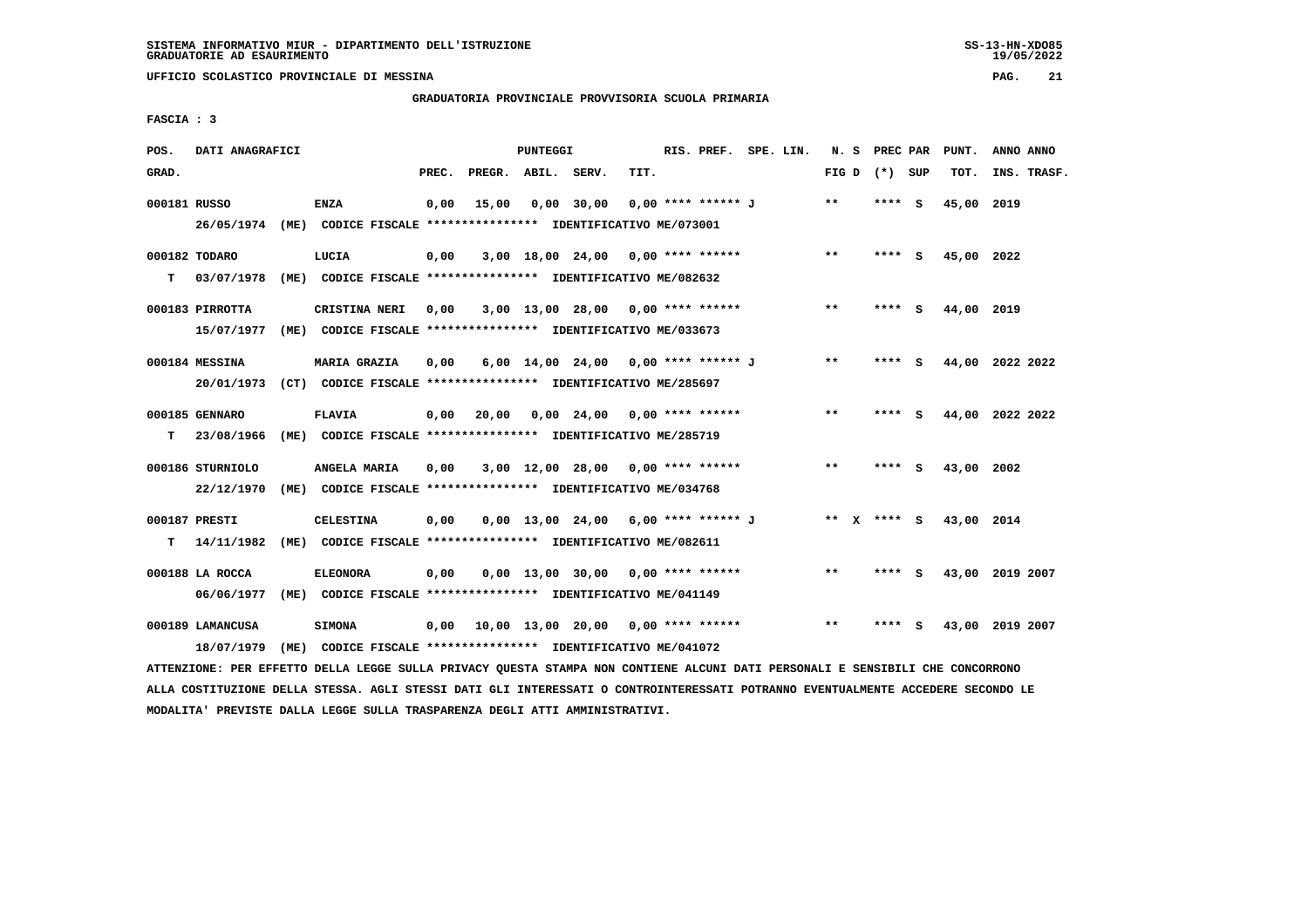**GRADUATORIA PROVINCIALE PROVVISORIA SCUOLA PRIMARIA**

 **FASCIA : 3**

| POS.         | DATI ANAGRAFICI  |                                                                         |       |                    | PUNTEGGI |                                       |      | RIS. PREF. SPE. LIN. |  | N. S         | PREC PAR        |     | PUNT.      | ANNO ANNO       |  |
|--------------|------------------|-------------------------------------------------------------------------|-------|--------------------|----------|---------------------------------------|------|----------------------|--|--------------|-----------------|-----|------------|-----------------|--|
| GRAD.        |                  |                                                                         | PREC. | PREGR. ABIL. SERV. |          |                                       | TIT. |                      |  |              | FIG D $(*)$ SUP |     | TOT.       | INS. TRASF.     |  |
| 000181 RUSSO |                  | <b>ENZA</b>                                                             | 0,00  | 15,00              |          | $0,00$ 30,00                          |      | 0,00 **** ****** J   |  | $**$         | ****            | - S | 45,00 2019 |                 |  |
|              |                  | 26/05/1974 (ME) CODICE FISCALE *************** IDENTIFICATIVO ME/073001 |       |                    |          |                                       |      |                      |  |              |                 |     |            |                 |  |
|              | 000182 TODARO    | LUCIA                                                                   | 0,00  |                    |          | $3,00$ 18,00 24,00 0,00 **** ******   |      |                      |  | $***$        | $***$ S         |     | 45,00 2022 |                 |  |
| т            | 03/07/1978       | (ME) CODICE FISCALE **************** IDENTIFICATIVO ME/082632           |       |                    |          |                                       |      |                      |  |              |                 |     |            |                 |  |
|              | 000183 PIRROTTA  | CRISTINA NERI                                                           | 0,00  |                    |          | $3,00$ 13,00 28,00 0,00 **** ******   |      |                      |  | **           | **** S          |     | 44,00 2019 |                 |  |
|              | 15/07/1977       | (ME) CODICE FISCALE **************** IDENTIFICATIVO ME/033673           |       |                    |          |                                       |      |                      |  |              |                 |     |            |                 |  |
|              | 000184 MESSINA   | <b>MARIA GRAZIA</b>                                                     | 0,00  |                    |          | 6,00 14,00 24,00 0,00 **** ****** J   |      |                      |  | $***$        | **** S          |     |            | 44,00 2022 2022 |  |
|              | 20/01/1973       | (CT) CODICE FISCALE **************** IDENTIFICATIVO ME/285697           |       |                    |          |                                       |      |                      |  |              |                 |     |            |                 |  |
|              | 000185 GENNARO   | <b>FLAVIA</b>                                                           | 0,00  | 20,00              |          | 0,00 24,00                            |      | $0.00$ **** ******   |  | $\star\star$ | **** S          |     |            | 44,00 2022 2022 |  |
| т            | 23/08/1966       | (ME) CODICE FISCALE **************** IDENTIFICATIVO ME/285719           |       |                    |          |                                       |      |                      |  |              |                 |     |            |                 |  |
|              | 000186 STURNIOLO | ANGELA MARIA                                                            | 0,00  |                    |          | $3,00$ 12,00 28,00 0,00 **** ******   |      |                      |  | $***$        | **** S          |     | 43,00 2002 |                 |  |
|              | 22/12/1970       | (ME) CODICE FISCALE **************** IDENTIFICATIVO ME/034768           |       |                    |          |                                       |      |                      |  |              |                 |     |            |                 |  |
|              | 000187 PRESTI    | CELESTINA                                                               | 0.00  |                    |          | $0.00$ 13.00 24.00 6.00 **** ****** J |      |                      |  |              | ** x **** s     |     | 43,00 2014 |                 |  |
| т            | 14/11/1982       | (ME) CODICE FISCALE **************** IDENTIFICATIVO ME/082611           |       |                    |          |                                       |      |                      |  |              |                 |     |            |                 |  |
|              | 000188 LA ROCCA  | <b>ELEONORA</b>                                                         | 0,00  |                    |          | $0.00$ 13.00 30.00 0.00 **** ******   |      |                      |  | **           |                 | ్   |            | 43,00 2019 2007 |  |
|              | 06/06/1977       | (ME) CODICE FISCALE **************** IDENTIFICATIVO ME/041149           |       |                    |          |                                       |      |                      |  |              |                 |     |            |                 |  |
|              | 000189 LAMANCUSA | <b>SIMONA</b>                                                           | 0.00  |                    |          | 10,00 13,00 20,00                     |      | 0,00 **** ******     |  | $* *$        |                 |     |            | 43,00 2019 2007 |  |
|              | 18/07/1979       | (ME) CODICE FISCALE **************** IDENTIFICATIVO ME/041072           |       |                    |          |                                       |      |                      |  |              |                 |     |            |                 |  |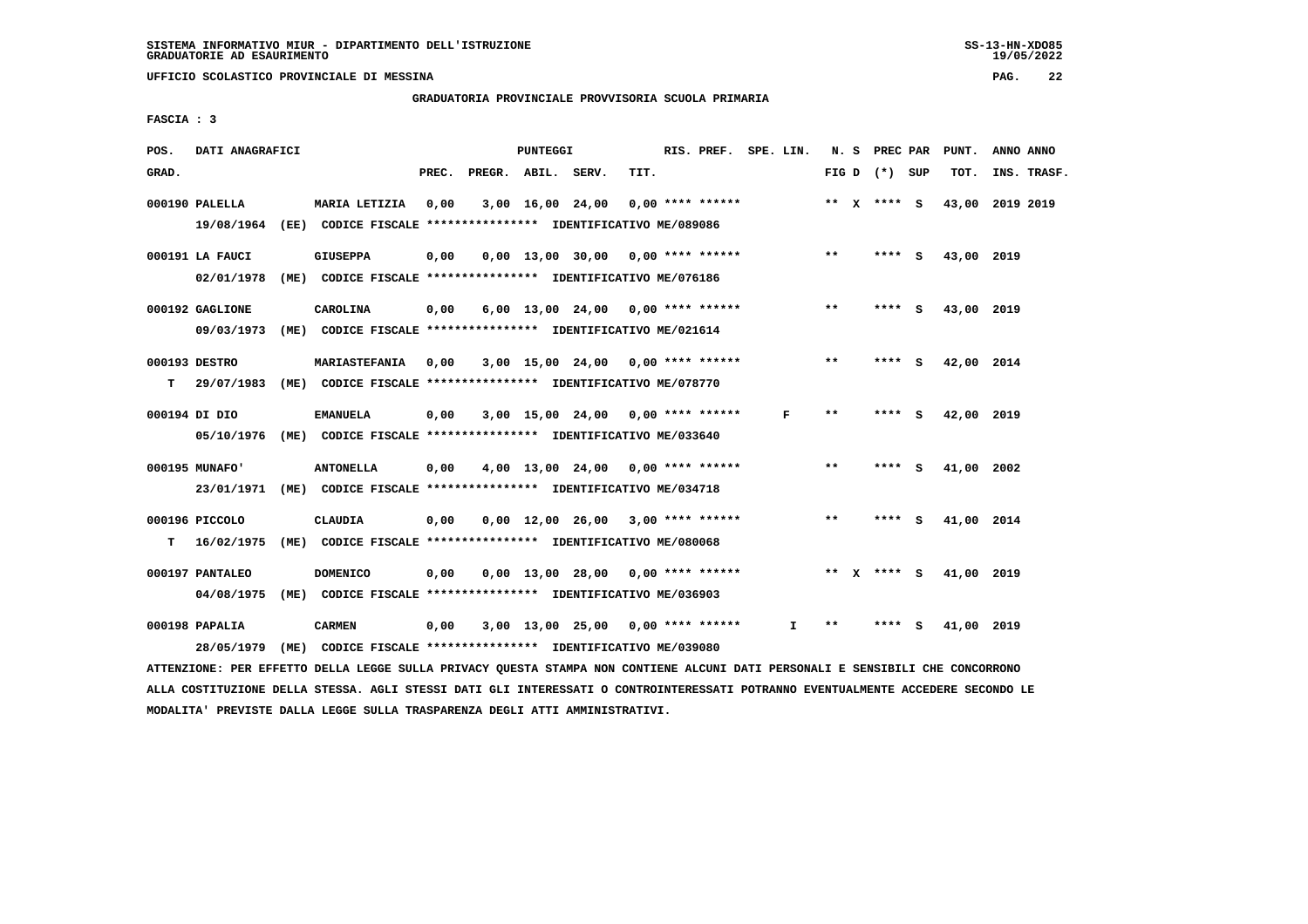**GRADUATORIA PROVINCIALE PROVVISORIA SCUOLA PRIMARIA**

 **FASCIA : 3**

| POS.  | DATI ANAGRAFICI  |      |                                                               |       |                    | PUNTEGGI |                                     |      | RIS. PREF. SPE. LIN. |              |       | N. S PREC PAR   |          | PUNT.      | ANNO ANNO |             |
|-------|------------------|------|---------------------------------------------------------------|-------|--------------------|----------|-------------------------------------|------|----------------------|--------------|-------|-----------------|----------|------------|-----------|-------------|
| GRAD. |                  |      |                                                               | PREC. | PREGR. ABIL. SERV. |          |                                     | TIT. |                      |              |       | FIG D $(*)$ SUP |          | TOT.       |           | INS. TRASF. |
|       | 000190 PALELLA   |      | MARIA LETIZIA                                                 | 0,00  |                    |          | 3,00 16,00 24,00                    |      | $0.00$ **** ******   |              |       | ** $X$ **** S   |          | 43,00      | 2019 2019 |             |
|       | 19/08/1964       |      | (EE) CODICE FISCALE **************** IDENTIFICATIVO ME/089086 |       |                    |          |                                     |      |                      |              |       |                 |          |            |           |             |
|       | 000191 LA FAUCI  |      | <b>GIUSEPPA</b>                                               | 0,00  |                    |          | $0.00$ 13.00 30.00 0.00 **** ****** |      |                      |              | $***$ | ****            | - S      | 43,00 2019 |           |             |
|       | 02/01/1978       |      | (ME) CODICE FISCALE **************** IDENTIFICATIVO ME/076186 |       |                    |          |                                     |      |                      |              |       |                 |          |            |           |             |
|       | 000192 GAGLIONE  |      | CAROLINA                                                      | 0,00  |                    |          | $6,00$ 13,00 24,00 0,00 **** ****** |      |                      |              | $***$ | ****            | - S      | 43,00 2019 |           |             |
|       | 09/03/1973       |      | (ME) CODICE FISCALE **************** IDENTIFICATIVO ME/021614 |       |                    |          |                                     |      |                      |              |       |                 |          |            |           |             |
|       | 000193 DESTRO    |      | <b>MARIASTEFANIA</b>                                          | 0.00  |                    |          | $3,00$ 15,00 24,00 0,00 **** ****** |      |                      |              | $* *$ | **** S          |          | 42,00 2014 |           |             |
| т     | 29/07/1983       |      | (ME) CODICE FISCALE **************** IDENTIFICATIVO ME/078770 |       |                    |          |                                     |      |                      |              |       |                 |          |            |           |             |
|       | 000194 בת 000194 |      | <b>EMANUELA</b>                                               | 0,00  |                    |          | $3,00$ 15,00 24,00 0,00 **** ****** |      |                      | F            | $* *$ |                 | - 5      | 42,00 2019 |           |             |
|       | 05/10/1976       |      | (ME) CODICE FISCALE **************** IDENTIFICATIVO ME/033640 |       |                    |          |                                     |      |                      |              |       |                 |          |            |           |             |
|       | 000195 MUNAFO'   |      | <b>ANTONELLA</b>                                              | 0,00  |                    |          | 4,00 13,00 24,00 0,00 **** ******   |      |                      |              | **    | **** S          |          | 41,00 2002 |           |             |
|       | 23/01/1971       |      | (ME) CODICE FISCALE **************** IDENTIFICATIVO ME/034718 |       |                    |          |                                     |      |                      |              |       |                 |          |            |           |             |
|       | 000196 PICCOLO   |      | <b>CLAUDIA</b>                                                | 0,00  |                    |          | 0,00 12,00 26,00                    |      | $3,00$ **** ******   |              | **    | ****            | <b>S</b> | 41,00 2014 |           |             |
| т     | 16/02/1975       |      | (ME) CODICE FISCALE **************** IDENTIFICATIVO ME/080068 |       |                    |          |                                     |      |                      |              |       |                 |          |            |           |             |
|       | 000197 PANTALEO  |      | <b>DOMENICO</b>                                               | 0,00  |                    |          | 0,00 13,00 28,00                    |      | $0.00$ **** ******   |              |       | ** $X$ **** S   |          | 41,00 2019 |           |             |
|       | 04/08/1975       | (ME) | CODICE FISCALE **************** IDENTIFICATIVO ME/036903      |       |                    |          |                                     |      |                      |              |       |                 |          |            |           |             |
|       | 000198 PAPALIA   |      | <b>CARMEN</b>                                                 | 0,00  |                    |          | $3,00$ 13,00 25,00 0,00 **** ****** |      |                      | $\mathbf{I}$ | $***$ | **** S          |          | 41,00 2019 |           |             |
|       | 28/05/1979       | (ME) | CODICE FISCALE **************** IDENTIFICATIVO ME/039080      |       |                    |          |                                     |      |                      |              |       |                 |          |            |           |             |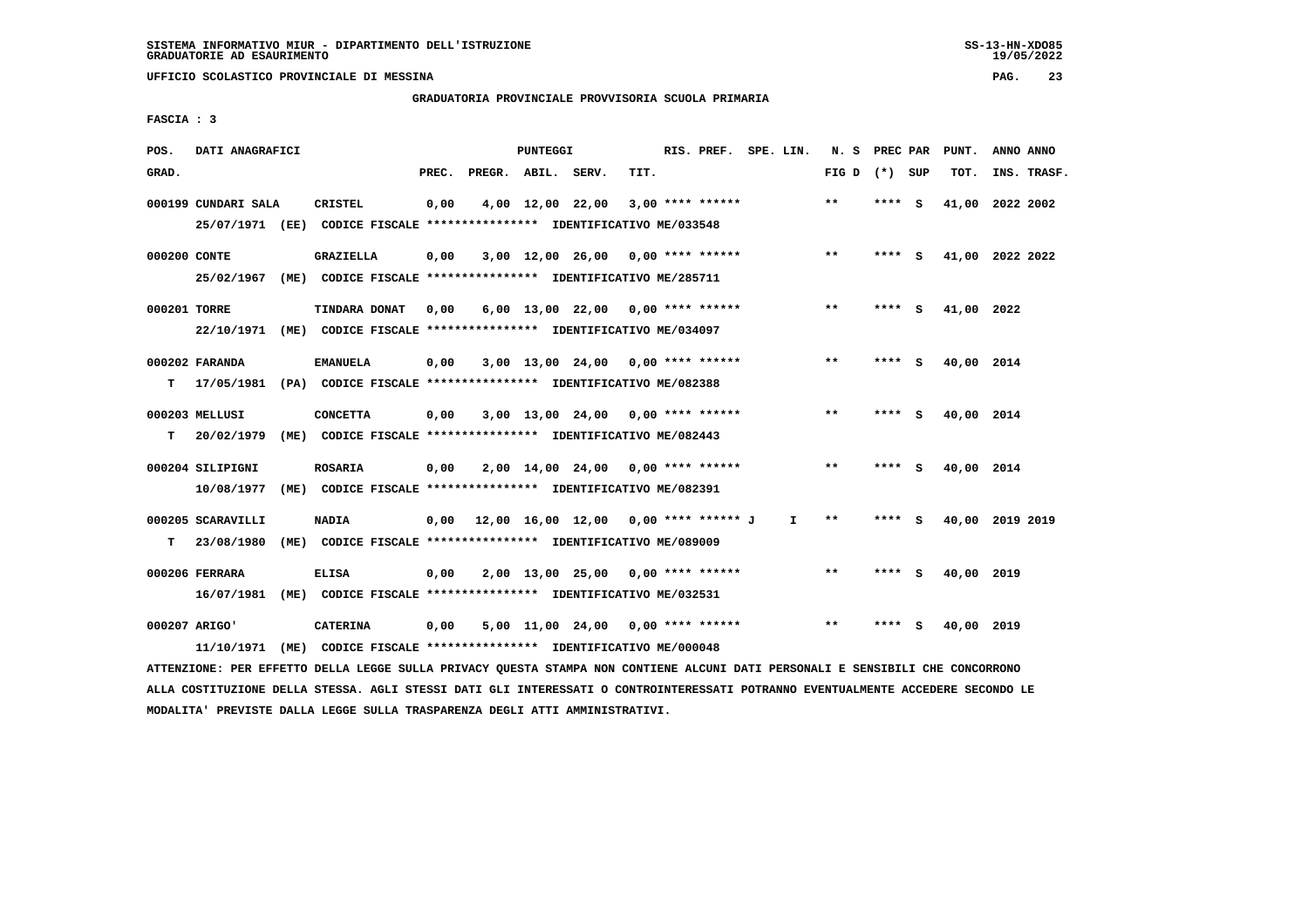## **GRADUATORIA PROVINCIALE PROVVISORIA SCUOLA PRIMARIA**

 **FASCIA : 3**

| POS.         | DATI ANAGRAFICI     |      |                                                                         |       |                    | PUNTEGGI |                                      |      | RIS. PREF. SPE. LIN. |    | N. S            | PREC PAR |     | PUNT.      | ANNO ANNO       |
|--------------|---------------------|------|-------------------------------------------------------------------------|-------|--------------------|----------|--------------------------------------|------|----------------------|----|-----------------|----------|-----|------------|-----------------|
| GRAD.        |                     |      |                                                                         | PREC. | PREGR. ABIL. SERV. |          |                                      | TIT. |                      |    | FIG D $(*)$ SUP |          |     | TOT.       | INS. TRASF.     |
|              | 000199 CUNDARI SALA |      | CRISTEL                                                                 | 0,00  |                    |          | 4,00 12,00 22,00                     |      | $3,00$ **** ******   |    | $\star\star$    | **** S   |     |            | 41,00 2022 2002 |
|              |                     |      | 25/07/1971 (EE) CODICE FISCALE *************** IDENTIFICATIVO ME/033548 |       |                    |          |                                      |      |                      |    |                 |          |     |            |                 |
| 000200 CONTE |                     |      | GRAZIELLA                                                               | 0,00  |                    |          | $3,00$ 12,00 26,00 0,00 **** ******  |      |                      |    | $***$           | **** S   |     |            | 41,00 2022 2022 |
|              | 25/02/1967          |      |                                                                         |       |                    |          |                                      |      |                      |    |                 |          |     |            |                 |
| 000201 TORRE |                     |      | TINDARA DONAT                                                           | 0,00  |                    |          | $6,00$ 13,00 22,00 0,00 **** ******  |      |                      |    | $***$           | **** S   |     | 41,00 2022 |                 |
|              | 22/10/1971          |      | (ME) CODICE FISCALE **************** IDENTIFICATIVO ME/034097           |       |                    |          |                                      |      |                      |    |                 |          |     |            |                 |
|              | 000202 FARANDA      |      | <b>EMANUELA</b>                                                         | 0,00  |                    |          | $3,00$ 13,00 24,00 0,00 **** ******  |      |                      |    | $**$            | **** S   |     | 40,00 2014 |                 |
| т            |                     |      | 17/05/1981 (PA) CODICE FISCALE *************** IDENTIFICATIVO ME/082388 |       |                    |          |                                      |      |                      |    |                 |          |     |            |                 |
|              | 000203 MELLUSI      |      | <b>CONCETTA</b>                                                         | 0,00  |                    |          | $3,00$ 13,00 24,00 0,00 **** ******  |      |                      |    | $**$            | **** S   |     | 40,00 2014 |                 |
| т            | 20/02/1979          | (ME) | CODICE FISCALE **************** IDENTIFICATIVO ME/082443                |       |                    |          |                                      |      |                      |    |                 |          |     |            |                 |
|              | 000204 SILIPIGNI    |      | <b>ROSARIA</b>                                                          | 0,00  |                    |          | $2,00$ 14,00 24,00 0,00 **** ******  |      |                      |    | $* *$           | **** S   |     | 40,00 2014 |                 |
|              | 10/08/1977          |      | (ME) CODICE FISCALE **************** IDENTIFICATIVO ME/082391           |       |                    |          |                                      |      |                      |    |                 |          |     |            |                 |
|              | 000205 SCARAVILLI   |      | <b>NADIA</b>                                                            | 0,00  |                    |          | 12,00 16,00 12,00 0,00 **** ****** J |      |                      | I. | **              | ****     | - S |            | 40,00 2019 2019 |
| т            | 23/08/1980          |      | (ME) CODICE FISCALE **************** IDENTIFICATIVO ME/089009           |       |                    |          |                                      |      |                      |    |                 |          |     |            |                 |
|              | 000206 FERRARA      |      | <b>ELISA</b>                                                            | 0,00  |                    |          | 2,00 13,00 25,00 0,00 **** ******    |      |                      |    | $* *$           | **** S   |     | 40,00 2019 |                 |
|              | 16/07/1981          |      | (ME) CODICE FISCALE **************** IDENTIFICATIVO ME/032531           |       |                    |          |                                      |      |                      |    |                 |          |     |            |                 |
|              | 000207 ARIGO'       |      | <b>CATERINA</b>                                                         | 0,00  |                    |          | 5,00 11,00 24,00                     |      | $0.00$ **** ******   |    | $* *$           | ****     | - S | 40,00 2019 |                 |
|              |                     |      | 11/10/1971 (ME) CODICE FISCALE *************** IDENTIFICATIVO ME/000048 |       |                    |          |                                      |      |                      |    |                 |          |     |            |                 |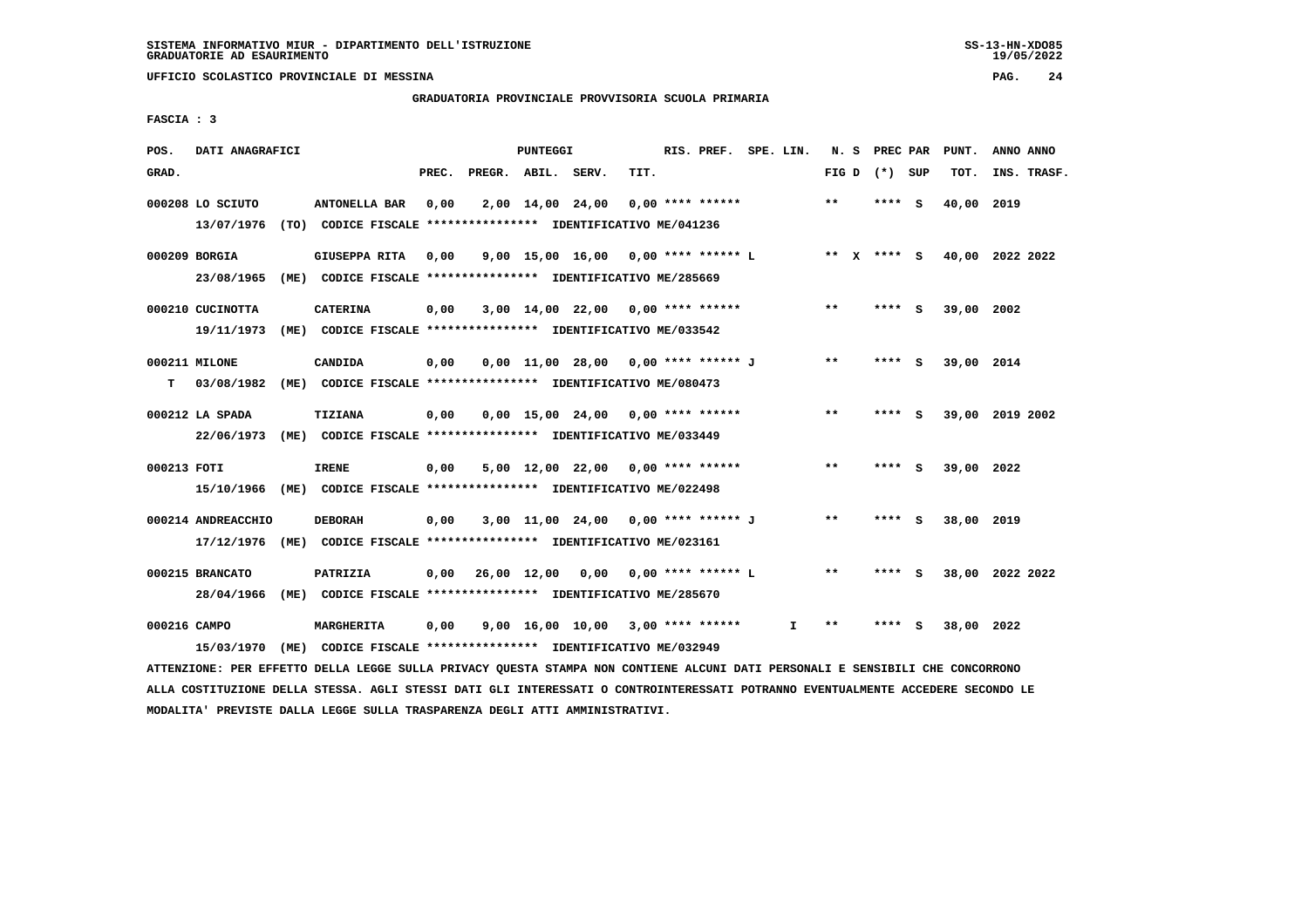## **GRADUATORIA PROVINCIALE PROVVISORIA SCUOLA PRIMARIA**

 **FASCIA : 3**

| POS.         | DATI ANAGRAFICI    |                                                                                                                               |       |                    | PUNTEGGI |                                      |      | RIS. PREF. SPE. LIN. |    |       | N. S PREC PAR   |     | PUNT.                       | ANNO ANNO |             |
|--------------|--------------------|-------------------------------------------------------------------------------------------------------------------------------|-------|--------------------|----------|--------------------------------------|------|----------------------|----|-------|-----------------|-----|-----------------------------|-----------|-------------|
| GRAD.        |                    |                                                                                                                               | PREC. | PREGR. ABIL. SERV. |          |                                      | TIT. |                      |    |       | FIG D $(*)$ SUP |     | TOT.                        |           | INS. TRASF. |
|              | 000208 LO SCIUTO   | <b>ANTONELLA BAR</b>                                                                                                          | 0,00  |                    |          | 2,00 14,00 24,00                     |      | $0,00$ **** ******   |    | $* *$ | $***$ S         |     | 40,00 2019                  |           |             |
|              | 13/07/1976         | (TO) CODICE FISCALE **************** IDENTIFICATIVO ME/041236                                                                 |       |                    |          |                                      |      |                      |    |       |                 |     |                             |           |             |
|              | 000209 BORGIA      | GIUSEPPA RITA 0,00                                                                                                            |       |                    |          | 9,00 15,00 16,00 0,00 **** ******* L |      |                      |    |       |                 |     | ** X **** S 40,00 2022 2022 |           |             |
|              | 23/08/1965         | (ME) CODICE FISCALE **************** IDENTIFICATIVO ME/285669                                                                 |       |                    |          |                                      |      |                      |    |       |                 |     |                             |           |             |
|              | 000210 CUCINOTTA   | <b>CATERINA</b>                                                                                                               | 0,00  |                    |          | $3,00$ 14,00 22,00 0,00 **** ******  |      |                      |    | $* *$ | **** S          |     | 39,00 2002                  |           |             |
|              | 19/11/1973         | (ME) CODICE FISCALE **************** IDENTIFICATIVO ME/033542                                                                 |       |                    |          |                                      |      |                      |    |       |                 |     |                             |           |             |
|              | 000211 MILONE      | CANDIDA                                                                                                                       | 0,00  |                    |          | 0,00 11,00 28,00 0,00 **** ****** J  |      |                      |    | $* *$ | **** S          |     | 39,00 2014                  |           |             |
| т            | 03/08/1982         | (ME) CODICE FISCALE **************** IDENTIFICATIVO ME/080473                                                                 |       |                    |          |                                      |      |                      |    |       |                 |     |                             |           |             |
|              | 000212 LA SPADA    | TIZIANA                                                                                                                       | 0,00  |                    |          | $0,00$ 15,00 24,00 0,00 **** ******  |      |                      |    | $***$ | **** S          |     | 39,00 2019 2002             |           |             |
|              | 22/06/1973         | (ME) CODICE FISCALE **************** IDENTIFICATIVO ME/033449                                                                 |       |                    |          |                                      |      |                      |    |       |                 |     |                             |           |             |
| 000213 FOTI  |                    | <b>IRENE</b>                                                                                                                  | 0,00  |                    |          | 5,00 12,00 22,00 0,00 **** ******    |      |                      |    | $***$ | **** S          |     | 39,00 2022                  |           |             |
|              | 15/10/1966         | (ME) CODICE FISCALE *************** IDENTIFICATIVO ME/022498                                                                  |       |                    |          |                                      |      |                      |    |       |                 |     |                             |           |             |
|              | 000214 ANDREACCHIO | <b>DEBORAH</b>                                                                                                                | 0,00  |                    |          | 3,00 11,00 24,00 0,00 **** ****** J  |      |                      |    | **    | **** S          |     | 38,00 2019                  |           |             |
|              | 17/12/1976         | (ME) CODICE FISCALE *************** IDENTIFICATIVO ME/023161                                                                  |       |                    |          |                                      |      |                      |    |       |                 |     |                             |           |             |
|              | 000215 BRANCATO    | PATRIZIA                                                                                                                      | 0,00  |                    |          | 26,00 12,00 0,00 0,00 **** ****** L  |      |                      |    | $* *$ | **** S          |     | 38,00 2022 2022             |           |             |
|              | 28/04/1966         | (ME) CODICE FISCALE **************** IDENTIFICATIVO ME/285670                                                                 |       |                    |          |                                      |      |                      |    |       |                 |     |                             |           |             |
| 000216 CAMPO |                    | <b>MARGHERITA</b>                                                                                                             | 0,00  |                    |          | $9,00$ 16,00 10,00 3,00 **** ******  |      |                      | I. | **    | ****            | - S | 38,00 2022                  |           |             |
|              | 15/03/1970         | (ME) CODICE FISCALE **************** IDENTIFICATIVO ME/032949                                                                 |       |                    |          |                                      |      |                      |    |       |                 |     |                             |           |             |
|              |                    | ATTENZIONE: PER EFFETTO DELLA LEGGE SULLA PRIVACY QUESTA STAMPA NON CONTIENE ALCUNI DATI PERSONALI E SENSIBILI CHE CONCORRONO |       |                    |          |                                      |      |                      |    |       |                 |     |                             |           |             |

 **ALLA COSTITUZIONE DELLA STESSA. AGLI STESSI DATI GLI INTERESSATI O CONTROINTERESSATI POTRANNO EVENTUALMENTE ACCEDERE SECONDO LE MODALITA' PREVISTE DALLA LEGGE SULLA TRASPARENZA DEGLI ATTI AMMINISTRATIVI.**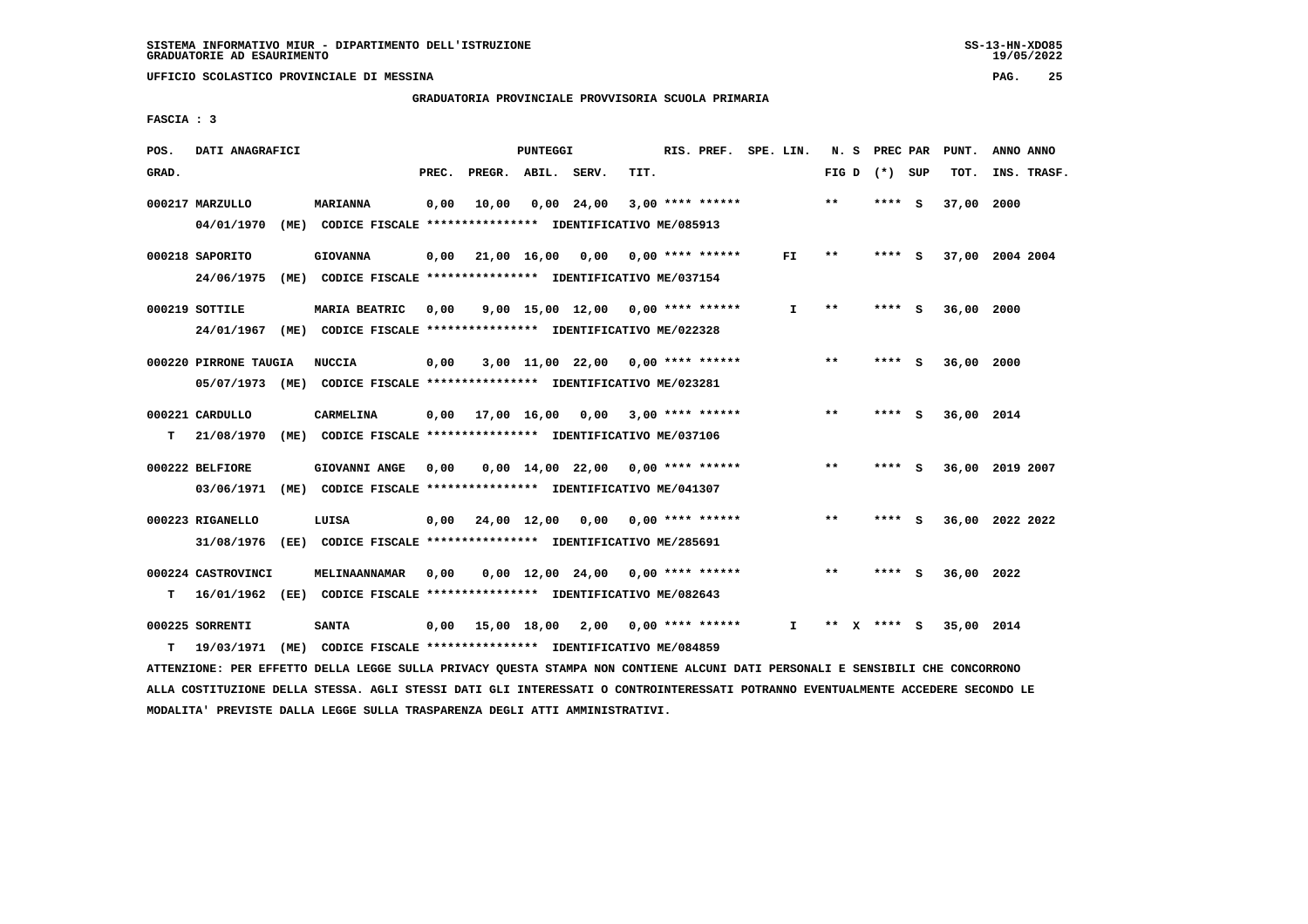**GRADUATORIA PROVINCIALE PROVVISORIA SCUOLA PRIMARIA**

 **FASCIA : 3**

| POS.  | DATI ANAGRAFICI                        |                                                                                           |       |                               | PUNTEGGI |                                     |      |                    | RIS. PREF. SPE. LIN. | N. S  |        | PREC PAR | PUNT.      | ANNO ANNO       |
|-------|----------------------------------------|-------------------------------------------------------------------------------------------|-------|-------------------------------|----------|-------------------------------------|------|--------------------|----------------------|-------|--------|----------|------------|-----------------|
| GRAD. |                                        |                                                                                           | PREC. | PREGR. ABIL.                  |          | SERV.                               | TIT. |                    |                      | FIG D |        | (*) SUP  | TOT.       | INS. TRASF.     |
|       | 000217 MARZULLO<br>04/01/1970          | <b>MARIANNA</b><br>(ME) CODICE FISCALE **************** IDENTIFICATIVO ME/085913          | 0,00  | 10,00                         |          | $0.00$ 24.00                        |      | $3,00$ **** ****** |                      | $***$ | **** S |          | 37,00      | 2000            |
|       | 000218 SAPORITO<br>24/06/1975<br>(ME)  | <b>GIOVANNA</b><br>CODICE FISCALE **************** IDENTIFICATIVO ME/037154               | 0,00  |                               |          | 21,00 16,00 0,00                    |      | $0.00$ **** ****** | FI.                  | $* *$ | ****   | - 5      |            | 37,00 2004 2004 |
|       | 000219 SOTTILE                         | MARIA BEATRIC<br>24/01/1967 (ME) CODICE FISCALE *************** IDENTIFICATIVO ME/022328  | 0,00  |                               |          | 9,00 15,00 12,00                    |      | $0.00$ **** ****** | $\mathbf{I}$         | $* *$ | **** S |          | 36,00 2000 |                 |
|       | 000220 PIRRONE TAUGIA                  | <b>NUCCIA</b><br>05/07/1973 (ME) CODICE FISCALE *************** IDENTIFICATIVO ME/023281  | 0,00  |                               |          | $3,00$ 11,00 22,00 0,00 **** ****** |      |                    |                      | $**$  | ****   | - S      | 36,00 2000 |                 |
| T.    | 000221 CARDULLO<br>21/08/1970          | CARMELINA<br>(ME) CODICE FISCALE **************** IDENTIFICATIVO ME/037106                |       | $0.00$ $17.00$ $16.00$ $0.00$ |          |                                     |      | $3,00$ **** ****** |                      | **    | **** S |          | 36,00 2014 |                 |
|       | 000222 BELFIORE<br>03/06/1971          | GIOVANNI ANGE<br>(ME) CODICE FISCALE **************** IDENTIFICATIVO ME/041307            | 0,00  |                               |          | $0,00 \quad 14,00 \quad 22,00$      |      | $0.00$ **** ****** |                      | $***$ | ****   | <b>S</b> | 36,00      | 2019 2007       |
|       | 000223 RIGANELLO<br>31/08/1976<br>(EE) | LUISA<br>CODICE FISCALE **************** IDENTIFICATIVO ME/285691                         | 0,00  | 24,00 12,00 0,00              |          |                                     |      | $0.00$ **** ****** |                      | $* *$ | ****   | - S      |            | 36,00 2022 2022 |
| т     | 000224 CASTROVINCI                     | MELINAANNAMAR<br>16/01/1962 (EE) CODICE FISCALE **************** IDENTIFICATIVO ME/082643 | 0.00  |                               |          | $0.00 \quad 12.00 \quad 24.00$      |      | 0,00 **** ******   |                      | **    | **** S |          | 36,00 2022 |                 |
| т     | 000225 SORRENTI<br>19/03/1971<br>(ME)  | <b>SANTA</b><br>CODICE FISCALE **************** IDENTIFICATIVO ME/084859                  | 0,00  | 15,00 18,00 2,00              |          |                                     |      | $0.00$ **** ****** | Ι.                   | **    | $***5$ |          | 35,00 2014 |                 |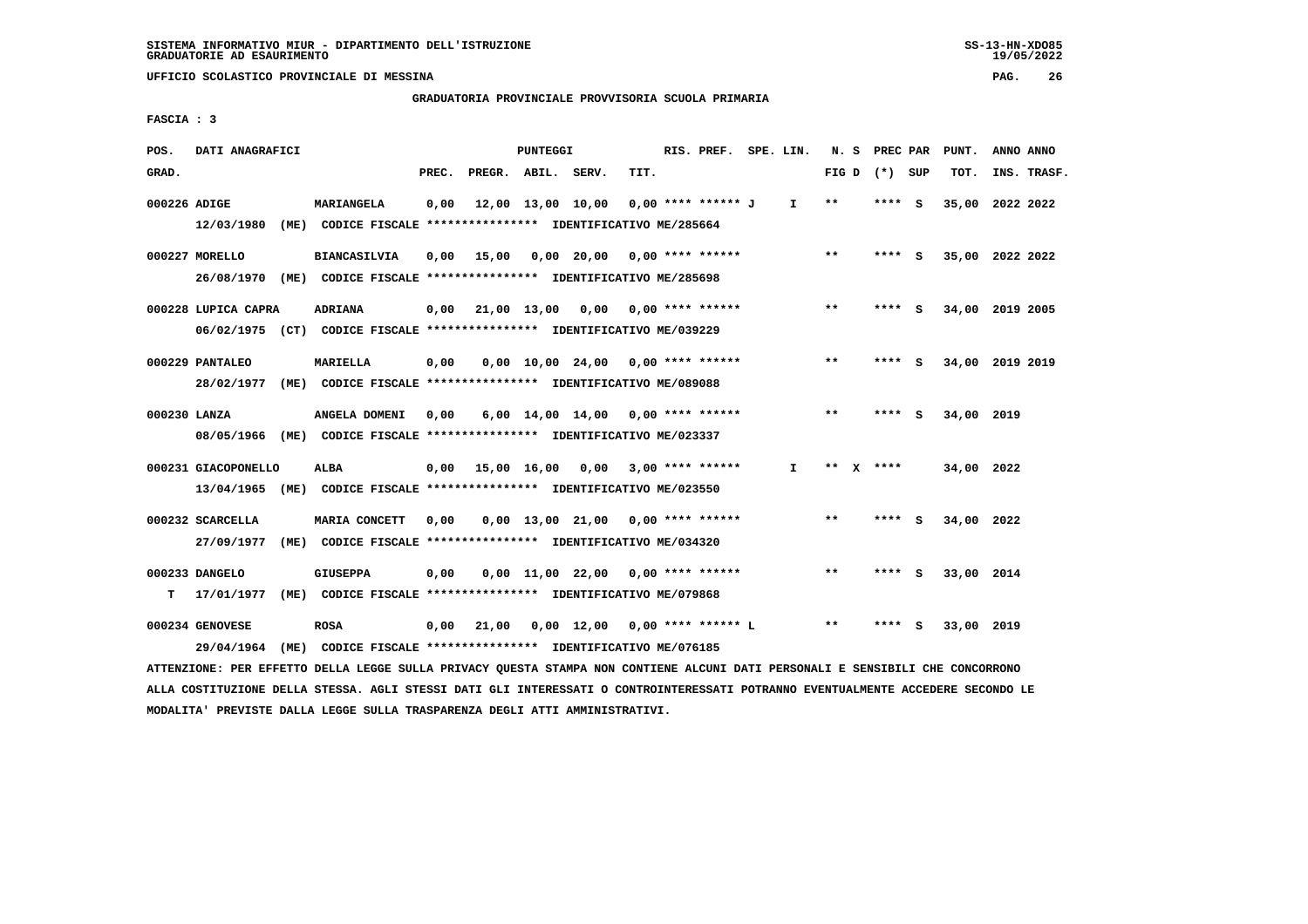**GRADUATORIA PROVINCIALE PROVVISORIA SCUOLA PRIMARIA**

 **FASCIA : 3**

| POS.         | DATI ANAGRAFICI                                                         |      |                     |       |                    | PUNTEGGI |                                                               |      | RIS. PREF. SPE. LIN. |              |       | N. S PREC PAR   |          | PUNT.           | ANNO ANNO |             |
|--------------|-------------------------------------------------------------------------|------|---------------------|-------|--------------------|----------|---------------------------------------------------------------|------|----------------------|--------------|-------|-----------------|----------|-----------------|-----------|-------------|
| GRAD.        |                                                                         |      |                     | PREC. | PREGR. ABIL. SERV. |          |                                                               | TIT. |                      |              |       | FIG D $(*)$ SUP |          | TOT.            |           | INS. TRASF. |
|              |                                                                         |      |                     |       |                    |          |                                                               |      |                      |              |       |                 |          |                 |           |             |
| 000226 ADIGE |                                                                         |      | MARIANGELA          | 0,00  |                    |          | 12,00 13,00 10,00                                             |      | 0,00 **** ****** J   | $\mathbf{I}$ | $***$ | $***$ S         |          | 35,00 2022 2022 |           |             |
|              | 12/03/1980                                                              |      |                     |       |                    |          | (ME) CODICE FISCALE **************** IDENTIFICATIVO ME/285664 |      |                      |              |       |                 |          |                 |           |             |
|              | 000227 MORELLO                                                          |      | <b>BIANCASILVIA</b> | 0,00  | 15,00              |          | 0,00 20,00                                                    |      | $0.00$ **** ******   |              | $***$ | $***$ S         |          | 35,00 2022 2022 |           |             |
|              | 26/08/1970 (ME) CODICE FISCALE *************** IDENTIFICATIVO ME/285698 |      |                     |       |                    |          |                                                               |      |                      |              |       |                 |          |                 |           |             |
|              |                                                                         |      |                     |       |                    |          |                                                               |      |                      |              |       |                 |          |                 |           |             |
|              | 000228 LUPICA CAPRA                                                     |      | <b>ADRIANA</b>      | 0.00  | 21,00 13,00 0,00   |          |                                                               |      | $0.00$ **** ******   |              | $***$ | ****            | - 5      | 34,00 2019 2005 |           |             |
|              | 06/02/1975 (CT) CODICE FISCALE *************** IDENTIFICATIVO ME/039229 |      |                     |       |                    |          |                                                               |      |                      |              |       |                 |          |                 |           |             |
|              | 000229 PANTALEO                                                         |      | MARIELLA            | 0,00  |                    |          | $0.00$ 10.00 24.00 0.00 **** ******                           |      |                      |              | $* *$ | **** S          |          | 34,00 2019 2019 |           |             |
|              |                                                                         |      |                     |       |                    |          |                                                               |      |                      |              |       |                 |          |                 |           |             |
|              | 28/02/1977 (ME) CODICE FISCALE *************** IDENTIFICATIVO ME/089088 |      |                     |       |                    |          |                                                               |      |                      |              |       |                 |          |                 |           |             |
| 000230 LANZA |                                                                         |      | ANGELA DOMENI       | 0,00  |                    |          | $6,00$ 14,00 14,00 0,00 **** ******                           |      |                      |              | $***$ | ****            | <b>S</b> | 34,00 2019      |           |             |
|              | 08/05/1966 (ME) CODICE FISCALE *************** IDENTIFICATIVO ME/023337 |      |                     |       |                    |          |                                                               |      |                      |              |       |                 |          |                 |           |             |
|              |                                                                         |      |                     |       |                    |          |                                                               |      |                      |              |       |                 |          |                 |           |             |
|              | 000231 GIACOPONELLO                                                     |      | ALBA                |       |                    |          | $0,00$ 15,00 16,00 0,00                                       |      | $3,00$ **** ******   | I.           |       | ** x ****       |          | 34,00 2022      |           |             |
|              | 13/04/1965 (ME) CODICE FISCALE *************** IDENTIFICATIVO ME/023550 |      |                     |       |                    |          |                                                               |      |                      |              |       |                 |          |                 |           |             |
|              | 000232 SCARCELLA                                                        |      | MARIA CONCETT       | 0.00  |                    |          | 0,00 13,00 21,00                                              |      | $0.00$ **** ******   |              | $* *$ | ****            | <b>S</b> | 34,00 2022      |           |             |
|              | 27/09/1977                                                              |      |                     |       |                    |          | (ME) CODICE FISCALE **************** IDENTIFICATIVO ME/034320 |      |                      |              |       |                 |          |                 |           |             |
|              |                                                                         |      |                     |       |                    |          |                                                               |      |                      |              |       |                 |          |                 |           |             |
|              | 000233 DANGELO                                                          |      | <b>GIUSEPPA</b>     | 0,00  |                    |          | 0,00 11,00 22,00                                              |      | $0.00$ **** ******   |              | $* *$ | ****            | - 5      | 33,00 2014      |           |             |
| т            | 17/01/1977                                                              | (ME) |                     |       |                    |          | CODICE FISCALE **************** IDENTIFICATIVO ME/079868      |      |                      |              |       |                 |          |                 |           |             |
|              | 000234 GENOVESE                                                         |      | <b>ROSA</b>         | 0,00  | 21,00              |          | $0,00$ 12,00                                                  |      | 0,00 **** ****** L   |              | $***$ | ****            | s        | 33,00 2019      |           |             |
|              |                                                                         |      |                     |       |                    |          |                                                               |      |                      |              |       |                 |          |                 |           |             |
|              | 29/04/1964                                                              | (ME) |                     |       |                    |          | CODICE FISCALE **************** IDENTIFICATIVO ME/076185      |      |                      |              |       |                 |          |                 |           |             |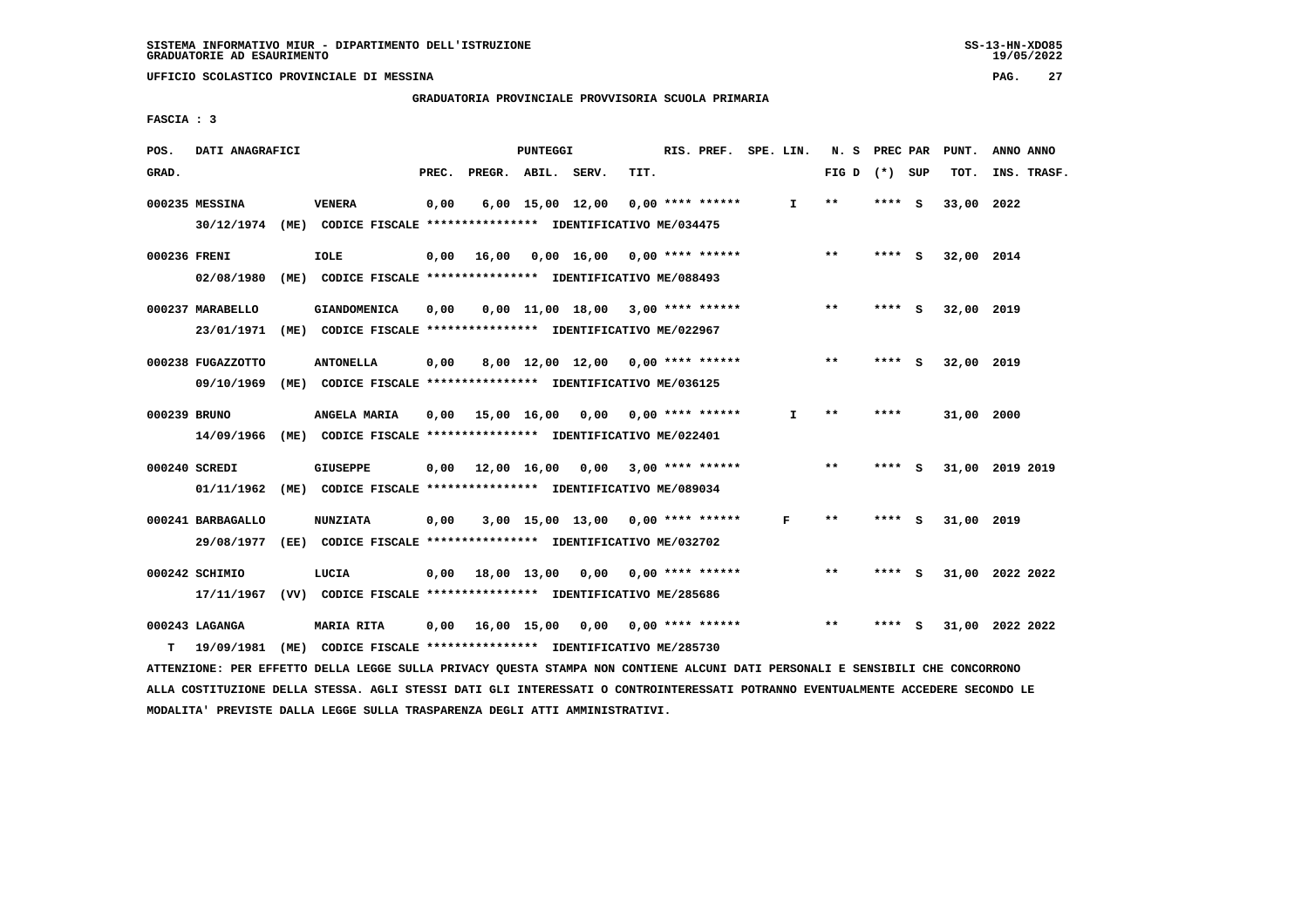**GRADUATORIA PROVINCIALE PROVVISORIA SCUOLA PRIMARIA**

 **FASCIA : 3**

| POS.         | DATI ANAGRAFICI   |                                                                         |       |                    | PUNTEGGI |                                     |      | RIS. PREF. SPE. LIN. |    | N. S            | PREC PAR |     | PUNT.      | ANNO ANNO       |
|--------------|-------------------|-------------------------------------------------------------------------|-------|--------------------|----------|-------------------------------------|------|----------------------|----|-----------------|----------|-----|------------|-----------------|
| GRAD.        |                   |                                                                         | PREC. | PREGR. ABIL. SERV. |          |                                     | TIT. |                      |    | FIG D $(*)$ SUP |          |     | TOT.       | INS. TRASF.     |
|              | 000235 MESSINA    | <b>VENERA</b>                                                           | 0,00  |                    |          | $6,00$ 15,00 12,00                  |      | $0.00$ **** ******   | I. | $**$            | **** S   |     | 33,00 2022 |                 |
|              |                   | 30/12/1974 (ME) CODICE FISCALE *************** IDENTIFICATIVO ME/034475 |       |                    |          |                                     |      |                      |    |                 |          |     |            |                 |
| 000236 FRENI |                   | <b>IOLE</b>                                                             | 0,00  | 16,00              |          | $0.00$ 16.00 0.00 **** ******       |      |                      |    | $* *$           | $***$ S  |     | 32,00 2014 |                 |
|              | 02/08/1980        | (ME) CODICE FISCALE **************** IDENTIFICATIVO ME/088493           |       |                    |          |                                     |      |                      |    |                 |          |     |            |                 |
|              | 000237 MARABELLO  | <b>GIANDOMENICA</b>                                                     | 0.00  |                    |          | $0.00$ 11.00 18.00 3.00 **** ****** |      |                      |    | $**$            | ****     | - S | 32,00 2019 |                 |
|              | 23/01/1971        | (ME) CODICE FISCALE **************** IDENTIFICATIVO ME/022967           |       |                    |          |                                     |      |                      |    |                 |          |     |            |                 |
|              | 000238 FUGAZZOTTO | <b>ANTONELLA</b>                                                        | 0,00  |                    |          | 8,00 12,00 12,00 0,00 **** ******   |      |                      |    | **              | **** S   |     | 32,00 2019 |                 |
|              | 09/10/1969        | (ME) CODICE FISCALE **************** IDENTIFICATIVO ME/036125           |       |                    |          |                                     |      |                      |    |                 |          |     |            |                 |
| 000239 BRUNO |                   | ANGELA MARIA                                                            | 0.00  | 15,00 16,00 0,00   |          |                                     |      | $0.00$ **** ******   | I. | $**$            | ****     |     | 31,00 2000 |                 |
|              |                   | 14/09/1966 (ME) CODICE FISCALE *************** IDENTIFICATIVO ME/022401 |       |                    |          |                                     |      |                      |    |                 |          |     |            |                 |
|              | 000240 SCREDI     | <b>GIUSEPPE</b>                                                         | 0,00  |                    |          | 12,00 16,00 0,00 3,00 **** ******   |      |                      |    | $\star\star$    | ****     | - S |            | 31,00 2019 2019 |
|              | 01/11/1962        | (ME) CODICE FISCALE **************** IDENTIFICATIVO ME/089034           |       |                    |          |                                     |      |                      |    |                 |          |     |            |                 |
|              | 000241 BARBAGALLO | <b>NUNZIATA</b>                                                         | 0.00  |                    |          | $3,00$ 15,00 13,00 0,00 **** ****** |      |                      | F  | $* *$           | ****     | - S | 31,00 2019 |                 |
|              | 29/08/1977        | (EE) CODICE FISCALE **************** IDENTIFICATIVO ME/032702           |       |                    |          |                                     |      |                      |    |                 |          |     |            |                 |
|              | 000242 SCHIMIO    | LUCIA                                                                   | 0,00  |                    |          | 18,00 13,00 0,00 0,00 **** ******   |      |                      |    | $* *$           | ****     | - S |            | 31,00 2022 2022 |
|              | 17/11/1967        | (VV) CODICE FISCALE **************** IDENTIFICATIVO ME/285686           |       |                    |          |                                     |      |                      |    |                 |          |     |            |                 |
|              | 000243 LAGANGA    | <b>MARIA RITA</b>                                                       | 0,00  | 16,00 15,00        |          | 0,00                                |      | $0.00$ **** ******   |    | $* *$           |          | s   |            | 31,00 2022 2022 |
| т            | 19/09/1981        | (ME) CODICE FISCALE **************** IDENTIFICATIVO ME/285730           |       |                    |          |                                     |      |                      |    |                 |          |     |            |                 |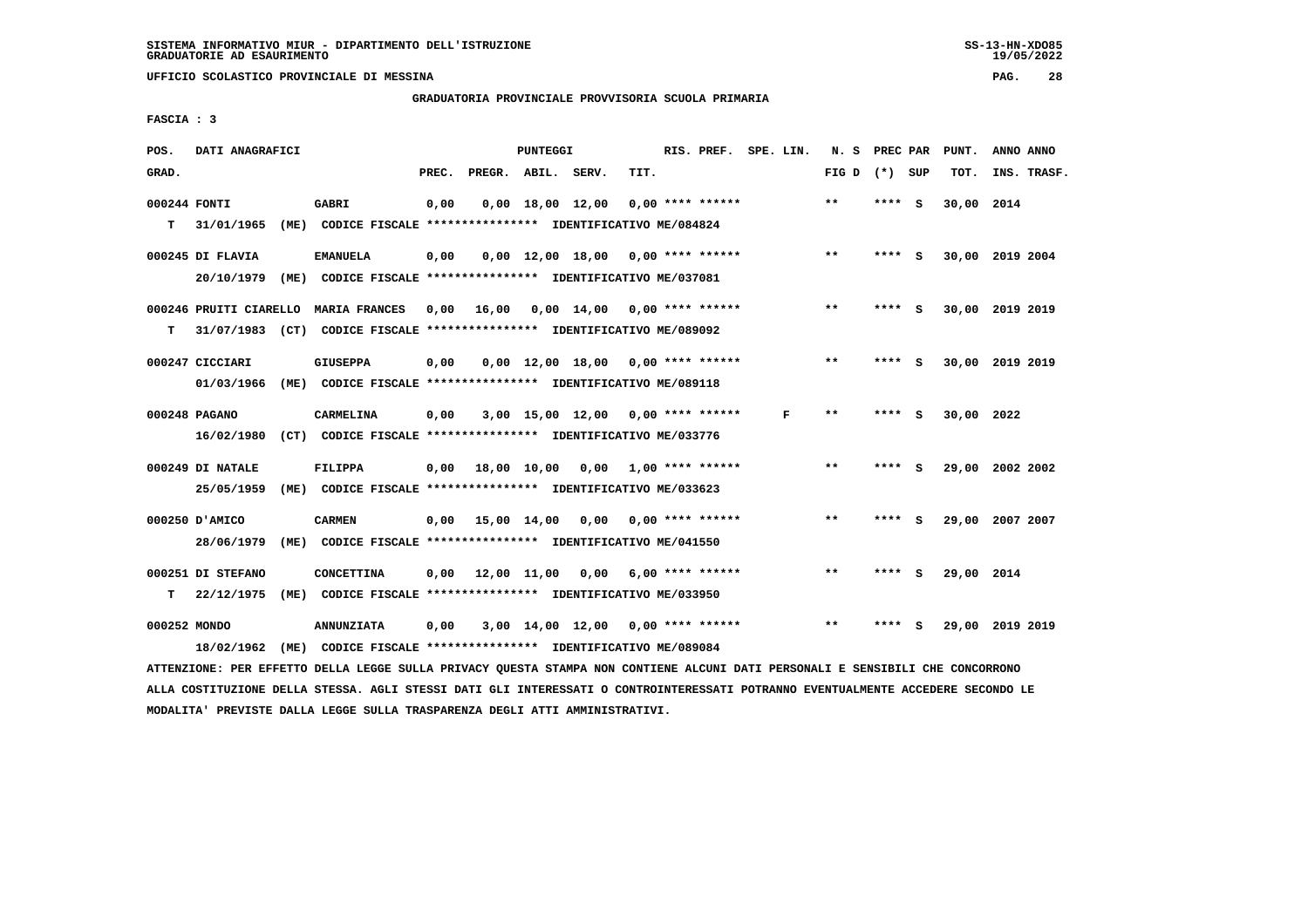**UFFICIO SCOLASTICO PROVINCIALE DI MESSINA PAG. 28**

## **GRADUATORIA PROVINCIALE PROVVISORIA SCUOLA PRIMARIA**

 **FASCIA : 3**

| POS.         | DATI ANAGRAFICI                |                                                                                                                               |       |                    | PUNTEGGI |                                     |      | RIS. PREF. SPE. LIN. |   | N. S PREC PAR   |        |     | PUNT.           | ANNO ANNO |             |
|--------------|--------------------------------|-------------------------------------------------------------------------------------------------------------------------------|-------|--------------------|----------|-------------------------------------|------|----------------------|---|-----------------|--------|-----|-----------------|-----------|-------------|
| GRAD.        |                                |                                                                                                                               | PREC. | PREGR. ABIL. SERV. |          |                                     | TIT. |                      |   | FIG D $(*)$ SUP |        |     | TOT.            |           | INS. TRASF. |
| 000244 FONTI |                                | GABRI                                                                                                                         | 0,00  |                    |          | $0,00$ 18,00 12,00                  |      | 0,00 **** ******     |   | $**$            | ****   | - S | 30,00 2014      |           |             |
| T.           | 31/01/1965                     | (ME) CODICE FISCALE **************** IDENTIFICATIVO ME/084824                                                                 |       |                    |          |                                     |      |                      |   |                 |        |     |                 |           |             |
|              |                                |                                                                                                                               |       |                    |          |                                     |      |                      |   | $***$           |        |     |                 |           |             |
|              | 000245 DI FLAVIA<br>20/10/1979 | <b>EMANUELA</b><br>(ME) CODICE FISCALE **************** IDENTIFICATIVO ME/037081                                              | 0,00  |                    |          | $0,00$ 12,00 18,00 0,00 **** ****** |      |                      |   |                 | **** S |     | 30,00 2019 2004 |           |             |
|              |                                |                                                                                                                               |       |                    |          |                                     |      |                      |   |                 |        |     |                 |           |             |
|              |                                | 000246 PRUITI CIARELLO MARIA FRANCES 0,00                                                                                     |       | 16,00              |          | $0,00$ 14,00 0,00 **** ******       |      |                      |   | **              | **** S |     | 30,00 2019 2019 |           |             |
| т            |                                | 31/07/1983 (CT) CODICE FISCALE **************** IDENTIFICATIVO ME/089092                                                      |       |                    |          |                                     |      |                      |   |                 |        |     |                 |           |             |
|              | 000247 CICCIARI                | <b>GIUSEPPA</b>                                                                                                               | 0,00  |                    |          | $0.00$ 12.00 18.00 0.00 **** ****** |      |                      |   | $***$           | **** S |     | 30,00 2019 2019 |           |             |
|              | 01/03/1966                     | (ME) CODICE FISCALE **************** IDENTIFICATIVO ME/089118                                                                 |       |                    |          |                                     |      |                      |   |                 |        |     |                 |           |             |
|              |                                |                                                                                                                               |       |                    |          |                                     |      |                      |   |                 |        |     |                 |           |             |
|              | 000248 PAGANO                  | CARMELINA                                                                                                                     | 0,00  |                    |          | $3,00$ 15,00 12,00 0,00 **** ****** |      |                      | F | **              | **** S |     | 30,00 2022      |           |             |
|              | 16/02/1980                     | (CT) CODICE FISCALE **************** IDENTIFICATIVO ME/033776                                                                 |       |                    |          |                                     |      |                      |   |                 |        |     |                 |           |             |
|              | 000249 DI NATALE               | <b>FILIPPA</b>                                                                                                                | 0,00  |                    |          | 18,00 10,00 0,00 1,00 **** ******   |      |                      |   | $***$           | **** S |     | 29,00 2002 2002 |           |             |
|              | 25/05/1959                     | (ME) CODICE FISCALE **************** IDENTIFICATIVO ME/033623                                                                 |       |                    |          |                                     |      |                      |   |                 |        |     |                 |           |             |
|              | 000250 D'AMICO                 | <b>CARMEN</b>                                                                                                                 |       |                    |          | 0,00 15,00 14,00 0,00               |      | $0.00$ **** ******   |   | $* *$           | **** S |     | 29,00 2007 2007 |           |             |
|              | 28/06/1979                     | (ME) CODICE FISCALE **************** IDENTIFICATIVO ME/041550                                                                 |       |                    |          |                                     |      |                      |   |                 |        |     |                 |           |             |
|              |                                |                                                                                                                               |       |                    |          |                                     |      |                      |   |                 |        |     |                 |           |             |
|              | 000251 DI STEFANO              | <b>CONCETTINA</b>                                                                                                             | 0.00  |                    |          | 12,00 11,00 0,00 6,00 **** ******   |      |                      |   | $* *$           | **** S |     | 29,00 2014      |           |             |
| т            | 22/12/1975                     | (ME) CODICE FISCALE **************** IDENTIFICATIVO ME/033950                                                                 |       |                    |          |                                     |      |                      |   |                 |        |     |                 |           |             |
| 000252 MONDO |                                | <b>ANNUNZIATA</b>                                                                                                             | 0,00  |                    |          | 3,00 14,00 12,00 0,00 **** ******   |      |                      |   | $**$            | **** S |     | 29,00 2019 2019 |           |             |
|              | 18/02/1962                     | (ME) CODICE FISCALE **************** IDENTIFICATIVO ME/089084                                                                 |       |                    |          |                                     |      |                      |   |                 |        |     |                 |           |             |
|              |                                | ATTENZIONE: PER EFFETTO DELLA LEGGE SULLA PRIVACY QUESTA STAMPA NON CONTIENE ALCUNI DATI PERSONALI E SENSIBILI CHE CONCORRONO |       |                    |          |                                     |      |                      |   |                 |        |     |                 |           |             |

 **ALLA COSTITUZIONE DELLA STESSA. AGLI STESSI DATI GLI INTERESSATI O CONTROINTERESSATI POTRANNO EVENTUALMENTE ACCEDERE SECONDO LE MODALITA' PREVISTE DALLA LEGGE SULLA TRASPARENZA DEGLI ATTI AMMINISTRATIVI.**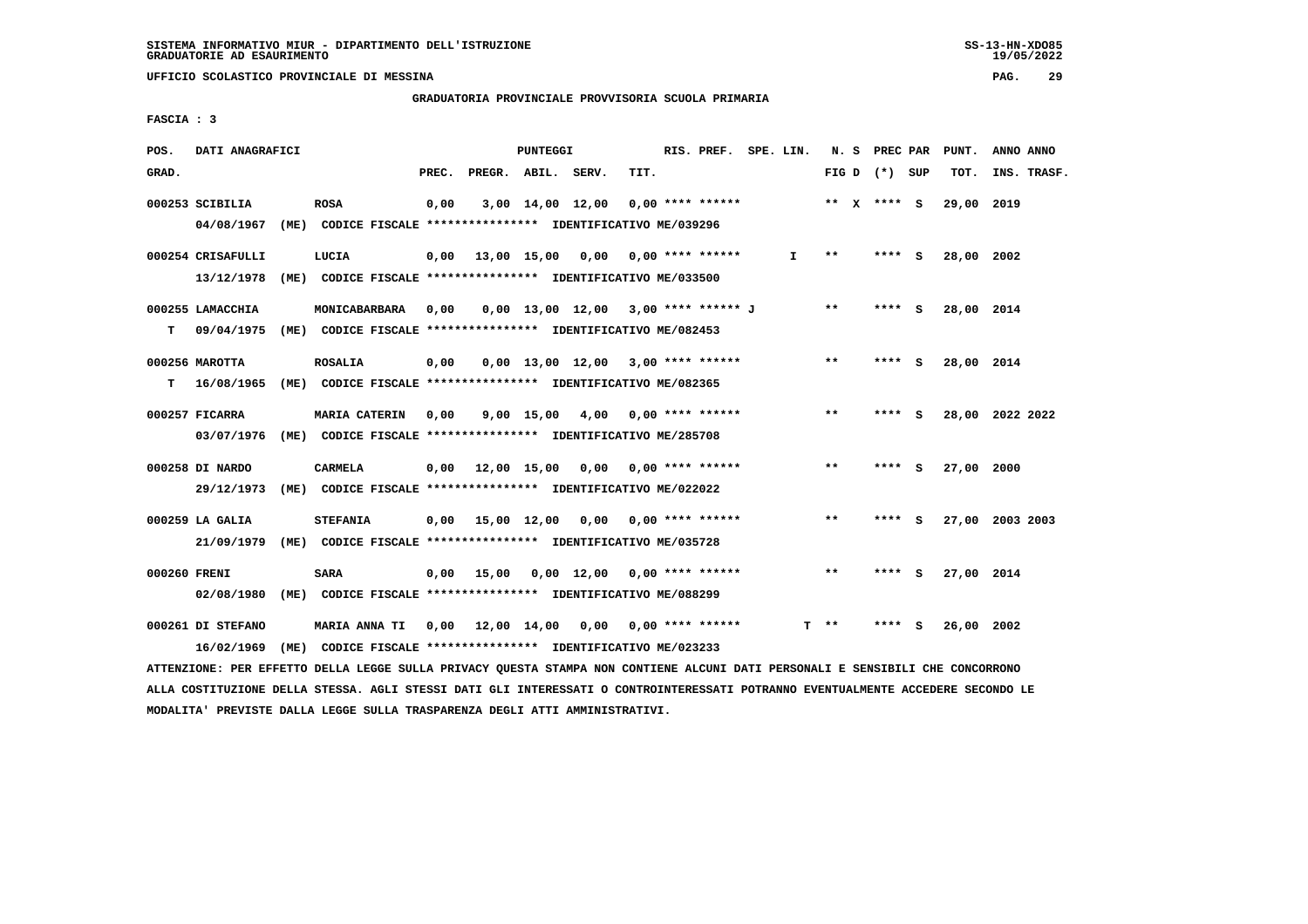**UFFICIO SCOLASTICO PROVINCIALE DI MESSINA PAG. 29**

## **GRADUATORIA PROVINCIALE PROVVISORIA SCUOLA PRIMARIA**

 **FASCIA : 3**

| POS.         | DATI ANAGRAFICI   |                                                               |       |                    | PUNTEGGI |                                       |                    | RIS. PREF. SPE. LIN. |              |       |                 |     | N. S PREC PAR PUNT. | ANNO ANNO       |
|--------------|-------------------|---------------------------------------------------------------|-------|--------------------|----------|---------------------------------------|--------------------|----------------------|--------------|-------|-----------------|-----|---------------------|-----------------|
| GRAD.        |                   |                                                               | PREC. | PREGR. ABIL. SERV. |          |                                       | TIT.               |                      |              |       | FIG D $(*)$ SUP |     | TOT.                | INS. TRASF.     |
|              | 000253 SCIBILIA   | <b>ROSA</b>                                                   | 0,00  |                    |          | 3,00 14,00 12,00                      | $0.00$ **** ****** |                      |              |       | ** $X$ **** S   |     | 29,00 2019          |                 |
|              | 04/08/1967        | (ME) CODICE FISCALE **************** IDENTIFICATIVO ME/039296 |       |                    |          |                                       |                    |                      |              |       |                 |     |                     |                 |
|              | 000254 CRISAFULLI | LUCIA                                                         | 0,00  |                    |          | 13,00 15,00 0,00 0,00 **** ******     |                    |                      | $\mathbf{I}$ | $***$ | **** S          |     | 28,00 2002          |                 |
|              | 13/12/1978        | (ME) CODICE FISCALE **************** IDENTIFICATIVO ME/033500 |       |                    |          |                                       |                    |                      |              |       |                 |     |                     |                 |
|              | 000255 LAMACCHIA  | MONICABARBARA                                                 | 0,00  |                    |          | $0,00$ 13,00 12,00 3,00 **** ****** J |                    |                      |              | $* *$ | **** S          |     | 28,00 2014          |                 |
| т            | 09/04/1975        | (ME) CODICE FISCALE **************** IDENTIFICATIVO ME/082453 |       |                    |          |                                       |                    |                      |              |       |                 |     |                     |                 |
|              | 000256 MAROTTA    | <b>ROSALIA</b>                                                | 0,00  |                    |          | $0.00$ 13.00 12.00 3.00 **** ******   |                    |                      |              | $* *$ | ****            | - S | 28,00 2014          |                 |
| т            | 16/08/1965        | (ME) CODICE FISCALE **************** IDENTIFICATIVO ME/082365 |       |                    |          |                                       |                    |                      |              |       |                 |     |                     |                 |
|              | 000257 FICARRA    | <b>MARIA CATERIN</b>                                          | 0,00  |                    |          | 9,00 15,00 4,00 0,00 **** ******      |                    |                      |              | $* *$ | **** S          |     |                     | 28,00 2022 2022 |
|              | 03/07/1976        | (ME) CODICE FISCALE **************** IDENTIFICATIVO ME/285708 |       |                    |          |                                       |                    |                      |              |       |                 |     |                     |                 |
|              | 000258 DI NARDO   | <b>CARMELA</b>                                                |       |                    |          | $0,00$ $12,00$ $15,00$ $0,00$         | $0.00$ **** ****** |                      |              | $***$ | ****            | - S | 27,00 2000          |                 |
|              | 29/12/1973        | (ME) CODICE FISCALE **************** IDENTIFICATIVO ME/022022 |       |                    |          |                                       |                    |                      |              |       |                 |     |                     |                 |
|              | 000259 LA GALIA   | <b>STEFANIA</b>                                               | 0,00  |                    |          | 15,00 12,00 0,00 0,00 **** ******     |                    |                      |              | $***$ | **** S          |     |                     | 27,00 2003 2003 |
|              | 21/09/1979        | (ME) CODICE FISCALE **************** IDENTIFICATIVO ME/035728 |       |                    |          |                                       |                    |                      |              |       |                 |     |                     |                 |
| 000260 FRENI |                   | <b>SARA</b>                                                   | 0,00  | 15,00              |          | $0,00$ 12,00 0,00 **** ******         |                    |                      |              | $* *$ | **** S          |     | 27,00 2014          |                 |
|              | 02/08/1980        | (ME) CODICE FISCALE **************** IDENTIFICATIVO ME/088299 |       |                    |          |                                       |                    |                      |              |       |                 |     |                     |                 |
|              | 000261 DI STEFANO | MARIA ANNA TI 0,00 12,00 14,00 0,00                           |       |                    |          |                                       | $0.00$ **** ****** |                      |              | **    |                 |     | 26,00 2002          |                 |
|              | 16/02/1969        | (ME) CODICE FISCALE *************** IDENTIFICATIVO ME/023233  |       |                    |          |                                       |                    |                      |              |       |                 |     |                     |                 |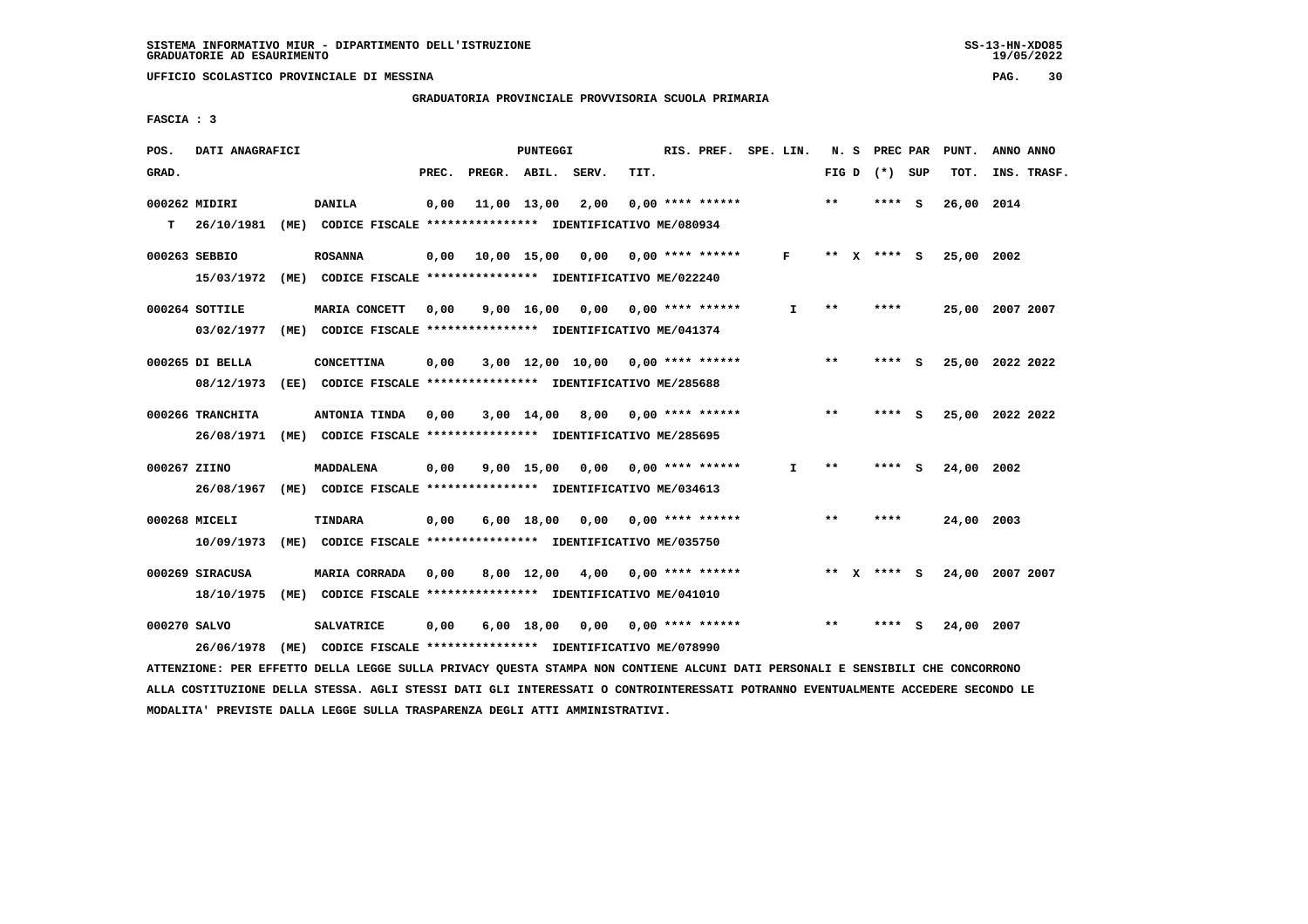**UFFICIO SCOLASTICO PROVINCIALE DI MESSINA PAG. 30**

## **GRADUATORIA PROVINCIALE PROVVISORIA SCUOLA PRIMARIA**

 **FASCIA : 3**

| POS.         | DATI ANAGRAFICI  |      |                                                                         |       |                                   | <b>PUNTEGGI</b>  |                                     |      | RIS. PREF. SPE. LIN.      |              | N.S   |              | <b>PREC PAR</b> |     | PUNT.      | ANNO ANNO       |
|--------------|------------------|------|-------------------------------------------------------------------------|-------|-----------------------------------|------------------|-------------------------------------|------|---------------------------|--------------|-------|--------------|-----------------|-----|------------|-----------------|
| GRAD.        |                  |      |                                                                         | PREC. | PREGR. ABIL. SERV.                |                  |                                     | TIT. |                           |              |       |              | FIG D $(*)$ SUP |     | TOT.       | INS. TRASF.     |
|              | 000262 MIDIRI    |      | <b>DANILA</b>                                                           | 0,00  |                                   | 11,00 13,00 2,00 |                                     |      | $0.00$ **** ******        |              | $***$ |              | ****            | - S | 26,00 2014 |                 |
| т            | 26/10/1981       |      | (ME) CODICE FISCALE **************** IDENTIFICATIVO ME/080934           |       |                                   |                  |                                     |      |                           |              |       |              |                 |     |            |                 |
|              | 000263 SEBBIO    |      | <b>ROSANNA</b>                                                          | 0,00  | 10,00 15,00 0,00 0,00 **** ****** |                  |                                     |      |                           | $\mathbf{F}$ | $***$ | $\mathbf{x}$ | $***$ S         |     | 25,00 2002 |                 |
|              |                  |      | 15/03/1972 (ME) CODICE FISCALE *************** IDENTIFICATIVO ME/022240 |       |                                   |                  |                                     |      |                           |              |       |              |                 |     |            |                 |
|              | 000264 SOTTILE   |      | MARIA CONCETT                                                           | 0,00  |                                   | 9,00 16,00       |                                     |      | $0,00$ 0,00 **** ******   | I.           | * *   |              | ****            |     |            | 25,00 2007 2007 |
|              | 03/02/1977       |      | (ME) CODICE FISCALE **************** IDENTIFICATIVO ME/041374           |       |                                   |                  |                                     |      |                           |              |       |              |                 |     |            |                 |
|              | 000265 DI BELLA  |      | <b>CONCETTINA</b>                                                       | 0,00  |                                   |                  | $3,00$ 12,00 10,00 0,00 **** ****** |      |                           |              | $* *$ |              | **** S          |     |            | 25,00 2022 2022 |
|              | 08/12/1973       |      | (EE) CODICE FISCALE **************** IDENTIFICATIVO ME/285688           |       |                                   |                  |                                     |      |                           |              |       |              |                 |     |            |                 |
|              | 000266 TRANCHITA |      | ANTONIA TINDA                                                           | 0,00  |                                   |                  | 3,00 14,00 8,00                     |      | $0.00$ **** ******        |              | $**$  |              | ****            | - S |            | 25,00 2022 2022 |
|              | 26/08/1971       |      | (ME) CODICE FISCALE **************** IDENTIFICATIVO ME/285695           |       |                                   |                  |                                     |      |                           |              |       |              |                 |     |            |                 |
| 000267 ZIINO |                  |      | MADDALENA                                                               | 0,00  |                                   |                  | $9,00$ 15,00 0,00 0,00 **** ******  |      |                           | I.           | $* *$ |              | **** S          |     | 24,00 2002 |                 |
|              | 26/08/1967       |      | (ME) CODICE FISCALE **************** IDENTIFICATIVO ME/034613           |       |                                   |                  |                                     |      |                           |              |       |              |                 |     |            |                 |
|              | 000268 MICELI    |      | TINDARA                                                                 | 0,00  |                                   | $6,00$ 18,00     |                                     |      | $0.00$ $0.00$ **** ****** |              | $* *$ |              | ****            |     | 24,00 2003 |                 |
|              | 10/09/1973       |      | (ME) CODICE FISCALE **************** IDENTIFICATIVO ME/035750           |       |                                   |                  |                                     |      |                           |              |       |              |                 |     |            |                 |
|              | 000269 SIRACUSA  |      | MARIA CORRADA                                                           | 0.00  |                                   | 8,00 12,00       | 4,00 0,00 **** ******               |      |                           |              | $* *$ |              | **** S          |     |            | 24,00 2007 2007 |
|              | 18/10/1975       |      | (ME) CODICE FISCALE **************** IDENTIFICATIVO ME/041010           |       |                                   |                  |                                     |      |                           |              |       |              |                 |     |            |                 |
| 000270 SALVO |                  |      | <b>SALVATRICE</b>                                                       | 0,00  |                                   | $6,00$ 18,00     | 0,00                                |      | $0.00$ **** ******        |              | $* *$ |              | ****            | S   | 24,00      | 2007            |
|              | 26/06/1978       | (ME) | CODICE FISCALE **************** IDENTIFICATIVO ME/078990                |       |                                   |                  |                                     |      |                           |              |       |              |                 |     |            |                 |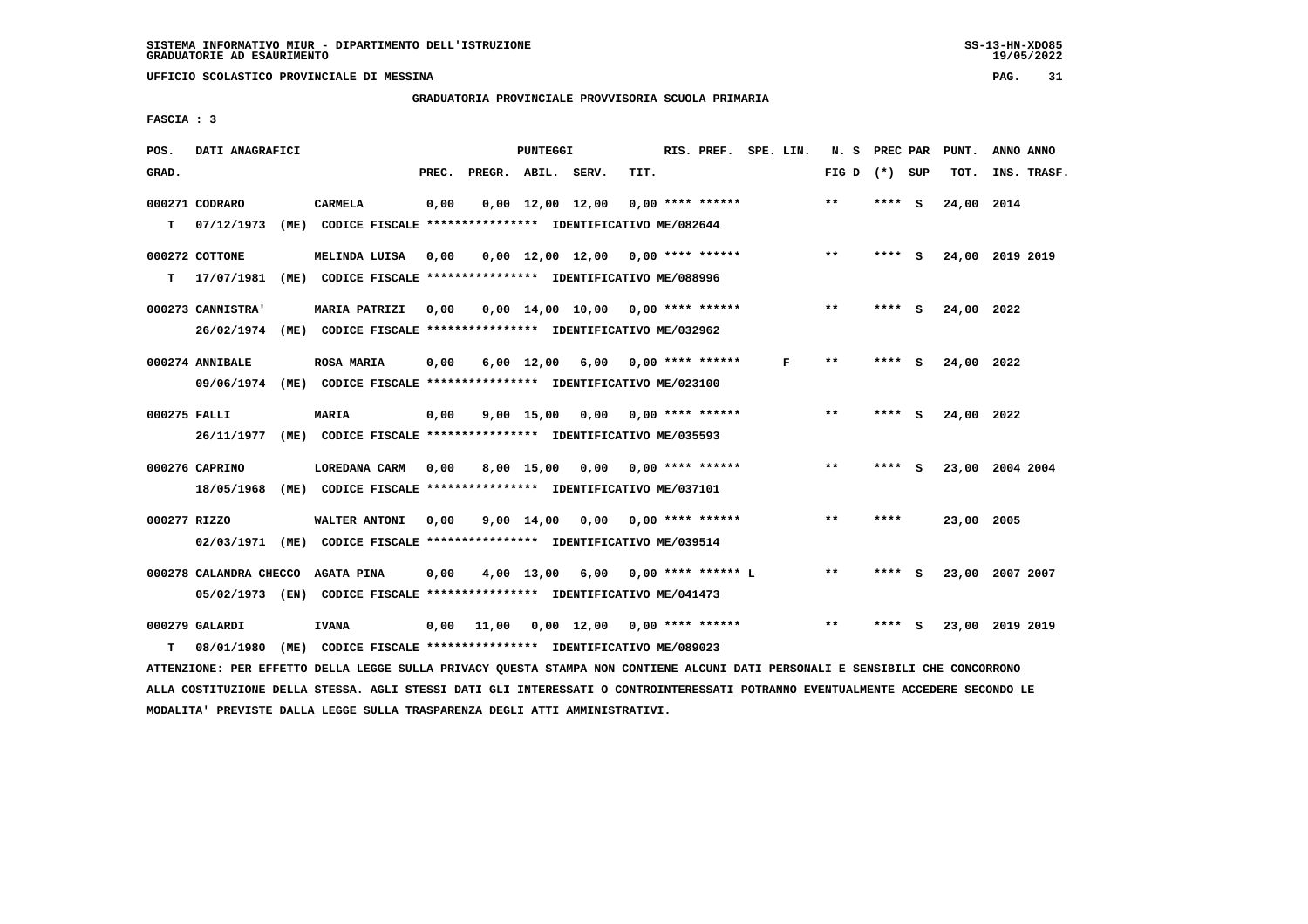**UFFICIO SCOLASTICO PROVINCIALE DI MESSINA PAG. 31**

 **GRADUATORIA PROVINCIALE PROVVISORIA SCUOLA PRIMARIA**

 **FASCIA : 3**

| POS.         | DATI ANAGRAFICI        |                                                                                                                               |       |                    | PUNTEGGI |                                      |      |                    | RIS. PREF. SPE. LIN. |                 |        |          | N. S PREC PAR PUNT. | ANNO ANNO |             |
|--------------|------------------------|-------------------------------------------------------------------------------------------------------------------------------|-------|--------------------|----------|--------------------------------------|------|--------------------|----------------------|-----------------|--------|----------|---------------------|-----------|-------------|
| GRAD.        |                        |                                                                                                                               | PREC. | PREGR. ABIL. SERV. |          |                                      | TIT. |                    |                      | FIG D $(*)$ SUP |        |          | TOT.                |           | INS. TRASF. |
|              | 000271 CODRARO         | <b>CARMELA</b>                                                                                                                | 0,00  |                    |          | $0,00 \quad 12,00 \quad 12,00$       |      | 0,00 **** ******   |                      | $* *$           | ****   | - S      | 24,00 2014          |           |             |
| т            | 07/12/1973             | (ME) CODICE FISCALE **************** IDENTIFICATIVO ME/082644                                                                 |       |                    |          |                                      |      |                    |                      |                 |        |          |                     |           |             |
|              | 000272 COTTONE         | MELINDA LUISA                                                                                                                 | 0,00  |                    |          | $0,00$ 12,00 12,00 0,00 **** ******  |      |                    |                      | $* *$           | **** S |          | 24,00 2019 2019     |           |             |
| т            | 17/07/1981             | (ME) CODICE FISCALE **************** IDENTIFICATIVO ME/088996                                                                 |       |                    |          |                                      |      |                    |                      |                 |        |          |                     |           |             |
|              | 000273 CANNISTRA'      | <b>MARIA PATRIZI</b>                                                                                                          | 0.00  |                    |          | $0.00$ 14.00 10.00 0.00 **** ******  |      |                    |                      | **              | **** S |          | 24,00 2022          |           |             |
|              | 26/02/1974             | (ME) CODICE FISCALE **************** IDENTIFICATIVO ME/032962                                                                 |       |                    |          |                                      |      |                    |                      |                 |        |          |                     |           |             |
|              | 000274 ANNIBALE        | <b>ROSA MARIA</b>                                                                                                             | 0,00  |                    |          | $6,00$ 12,00 $6,00$ 0,00 **** ****** |      |                    | F                    | $* *$           | ****   | - 5      | 24,00 2022          |           |             |
|              | 09/06/1974             | (ME) CODICE FISCALE **************** IDENTIFICATIVO ME/023100                                                                 |       |                    |          |                                      |      |                    |                      |                 |        |          |                     |           |             |
| 000275 FALLI |                        | <b>MARIA</b>                                                                                                                  | 0,00  |                    |          | $9,00$ 15,00 0,00 0,00 **** ******   |      |                    |                      | $***$           | **** S |          | 24,00 2022          |           |             |
|              | 26/11/1977             | (ME) CODICE FISCALE **************** IDENTIFICATIVO ME/035593                                                                 |       |                    |          |                                      |      |                    |                      |                 |        |          |                     |           |             |
|              | 000276 CAPRINO         | LOREDANA CARM                                                                                                                 | 0,00  |                    |          | 8,00 15,00 0,00 0,00 **** ******     |      |                    |                      | $* *$           | **** S |          | 23,00 2004 2004     |           |             |
|              | 18/05/1968             | (ME) CODICE FISCALE **************** IDENTIFICATIVO ME/037101                                                                 |       |                    |          |                                      |      |                    |                      |                 |        |          |                     |           |             |
| 000277 RIZZO |                        | WALTER ANTONI                                                                                                                 | 0,00  |                    |          | 9,00 14,00 0,00                      |      | $0.00$ **** ****** |                      | **              | ****   |          | 23,00 2005          |           |             |
|              |                        | 02/03/1971 (ME) CODICE FISCALE *************** IDENTIFICATIVO ME/039514                                                       |       |                    |          |                                      |      |                    |                      |                 |        |          |                     |           |             |
|              | 000278 CALANDRA CHECCO | <b>AGATA PINA</b>                                                                                                             | 0,00  |                    |          | 4,00 13,00 6,00 0,00 **** ****** L   |      |                    |                      | $* *$           | **** S |          | 23,00 2007 2007     |           |             |
|              |                        | 05/02/1973 (EN) CODICE FISCALE *************** IDENTIFICATIVO ME/041473                                                       |       |                    |          |                                      |      |                    |                      |                 |        |          |                     |           |             |
|              | 000279 GALARDI         | <b>IVANA</b>                                                                                                                  | 0,00  | 11,00              |          | $0,00$ 12,00 0,00 **** ******        |      |                    |                      | $* *$           | ****   | <b>S</b> | 23,00 2019 2019     |           |             |
| т            | 08/01/1980             | (ME) CODICE FISCALE **************** IDENTIFICATIVO ME/089023                                                                 |       |                    |          |                                      |      |                    |                      |                 |        |          |                     |           |             |
|              |                        | ATTENZIONE: PER EFFETTO DELLA LEGGE SULLA PRIVACY QUESTA STAMPA NON CONTIENE ALCUNI DATI PERSONALI E SENSIBILI CHE CONCORRONO |       |                    |          |                                      |      |                    |                      |                 |        |          |                     |           |             |

 **ALLA COSTITUZIONE DELLA STESSA. AGLI STESSI DATI GLI INTERESSATI O CONTROINTERESSATI POTRANNO EVENTUALMENTE ACCEDERE SECONDO LE MODALITA' PREVISTE DALLA LEGGE SULLA TRASPARENZA DEGLI ATTI AMMINISTRATIVI.**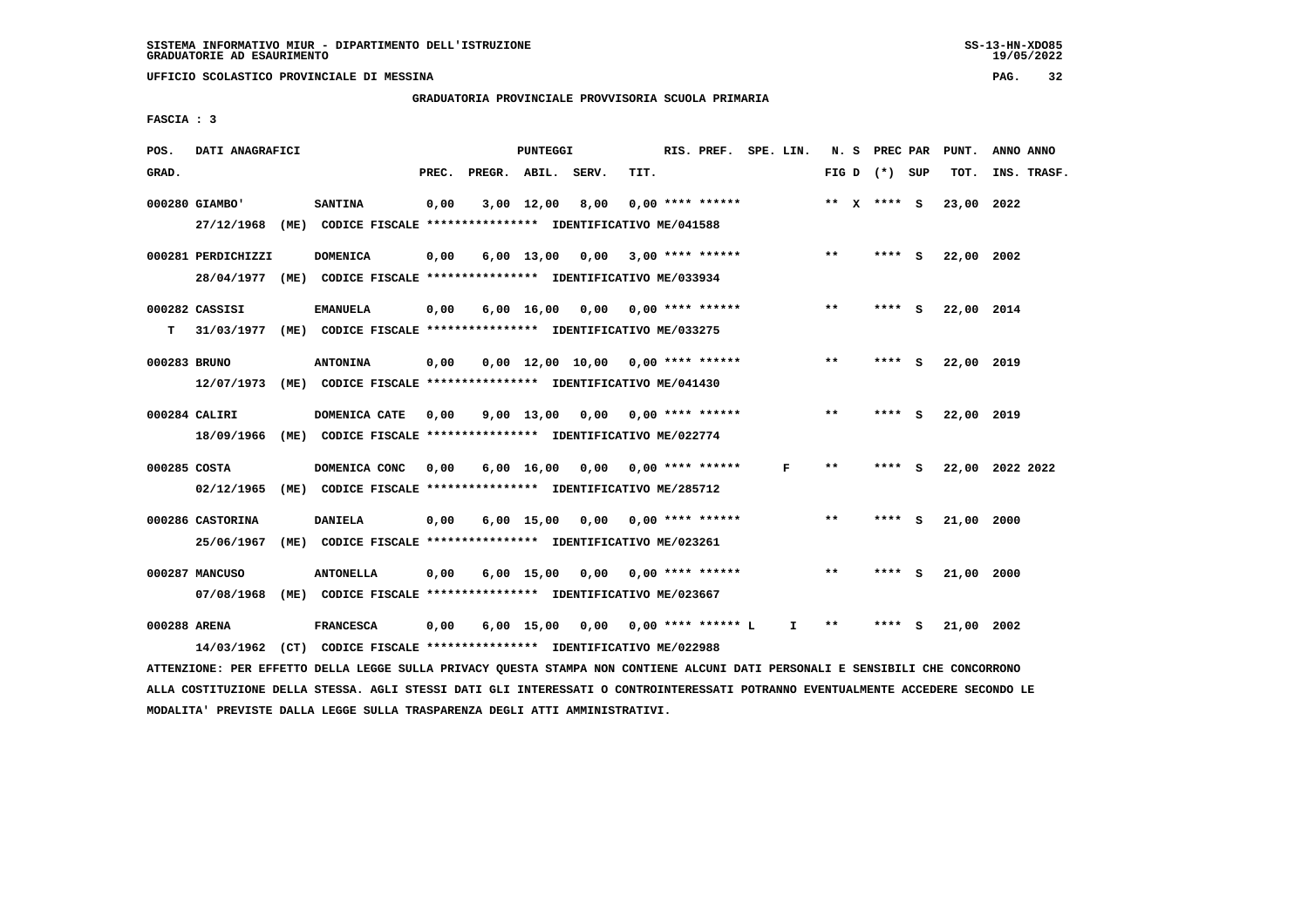**UFFICIO SCOLASTICO PROVINCIALE DI MESSINA PAG. 32**

 **GRADUATORIA PROVINCIALE PROVVISORIA SCUOLA PRIMARIA**

 **FASCIA : 3**

| POS.         | DATI ANAGRAFICI    |                                                               |       |              | <b>PUNTEGGI</b> |       |                                      | RIS. PREF. SPE. LIN. |   |    |       | N. S PREC PAR   |     | PUNT.      | ANNO ANNO       |
|--------------|--------------------|---------------------------------------------------------------|-------|--------------|-----------------|-------|--------------------------------------|----------------------|---|----|-------|-----------------|-----|------------|-----------------|
| GRAD.        |                    |                                                               | PREC. | PREGR. ABIL. |                 | SERV. | TIT.                                 |                      |   |    |       | FIG D $(*)$ SUP |     | TOT.       | INS. TRASF.     |
|              | 000280 GIAMBO'     | <b>SANTINA</b>                                                | 0,00  |              | $3,00$ 12,00    | 8,00  | $0.00$ **** ******                   |                      |   |    |       | ** $X$ **** S   |     | 23,00 2022 |                 |
|              | 27/12/1968         | (ME) CODICE FISCALE **************** IDENTIFICATIVO ME/041588 |       |              |                 |       |                                      |                      |   |    |       |                 |     |            |                 |
|              | 000281 PERDICHIZZI | <b>DOMENICA</b>                                               | 0,00  |              |                 |       | $6,00$ 13,00 0,00 3,00 **** ******   |                      |   |    | $**$  | **** S          |     | 22,00 2002 |                 |
|              | 28/04/1977         | (ME) CODICE FISCALE **************** IDENTIFICATIVO ME/033934 |       |              |                 |       |                                      |                      |   |    |       |                 |     |            |                 |
|              | 000282 CASSISI     | <b>EMANUELA</b>                                               | 0,00  |              |                 |       | $6,00$ 16,00 0,00 0,00 **** ******   |                      |   |    | $***$ | ****            | - S | 22,00 2014 |                 |
| т            | 31/03/1977         | (ME) CODICE FISCALE **************** IDENTIFICATIVO ME/033275 |       |              |                 |       |                                      |                      |   |    |       |                 |     |            |                 |
| 000283 BRUNO |                    | <b>ANTONINA</b>                                               | 0,00  |              |                 |       | $0,00$ 12,00 10,00 0,00 **** ******  |                      |   |    | $**$  | ****            | - 5 | 22,00 2019 |                 |
|              | 12/07/1973         | (ME) CODICE FISCALE **************** IDENTIFICATIVO ME/041430 |       |              |                 |       |                                      |                      |   |    |       |                 |     |            |                 |
|              | 000284 CALIRI      | DOMENICA CATE                                                 | 0.00  |              |                 |       | $9,00$ 13,00 0,00 0,00 **** ******   |                      |   |    | **    | **** S          |     | 22,00 2019 |                 |
|              | 18/09/1966         | (ME) CODICE FISCALE **************** IDENTIFICATIVO ME/022774 |       |              |                 |       |                                      |                      |   |    |       |                 |     |            |                 |
| 000285 COSTA |                    | DOMENICA CONC                                                 | 0.00  |              | 6,00 16,00      | 0,00  | $0.00$ **** ******                   |                      | F |    | $***$ | **** S          |     |            | 22,00 2022 2022 |
|              | 02/12/1965         | (ME) CODICE FISCALE **************** IDENTIFICATIVO ME/285712 |       |              |                 |       |                                      |                      |   |    |       |                 |     |            |                 |
|              | 000286 CASTORINA   | <b>DANIELA</b>                                                | 0,00  |              |                 |       | $6,00$ 15,00 0,00 0,00 **** ******   |                      |   |    | $***$ | ****            | - S | 21,00 2000 |                 |
|              | 25/06/1967         | (ME) CODICE FISCALE **************** IDENTIFICATIVO ME/023261 |       |              |                 |       |                                      |                      |   |    |       |                 |     |            |                 |
|              | 000287 MANCUSO     | <b>ANTONELLA</b>                                              | 0,00  |              | $6,00$ 15,00    |       |                                      |                      |   |    | $**$  | **** S          |     | 21,00 2000 |                 |
|              | 07/08/1968         | (ME) CODICE FISCALE **************** IDENTIFICATIVO ME/023667 |       |              |                 |       |                                      |                      |   |    |       |                 |     |            |                 |
| 000288 ARENA |                    | <b>FRANCESCA</b>                                              | 0,00  |              |                 |       | $6.00$ 15.00 0.00 0.00 **** ****** L |                      |   | I. | **    | ****            | S   | 21,00 2002 |                 |
|              | 14/03/1962         | (CT) CODICE FISCALE **************** IDENTIFICATIVO ME/022988 |       |              |                 |       |                                      |                      |   |    |       |                 |     |            |                 |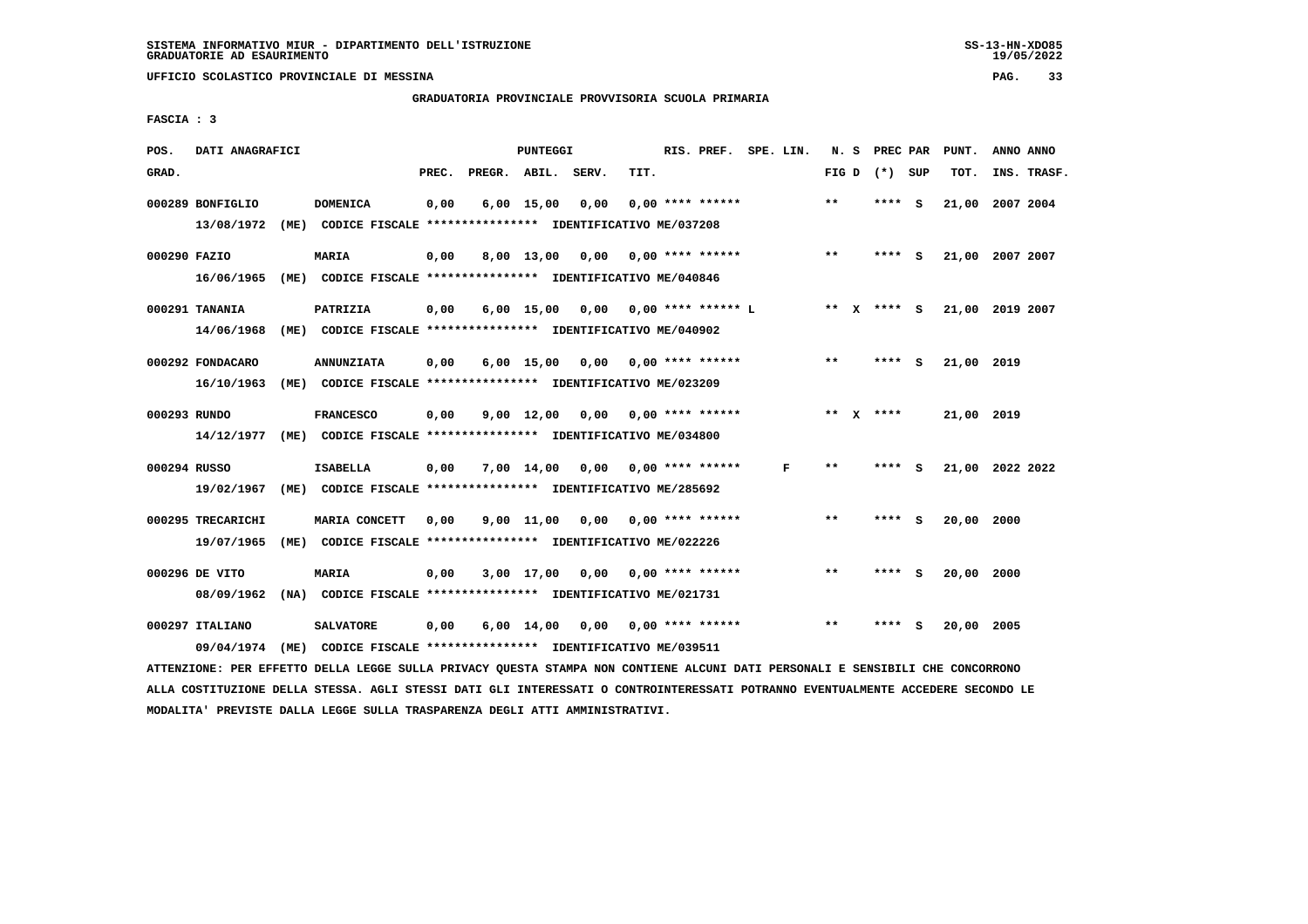## **GRADUATORIA PROVINCIALE PROVVISORIA SCUOLA PRIMARIA**

 **FASCIA : 3**

| POS.         | DATI ANAGRAFICI   |      |                                                               |       |                    | PUNTEGGI           |                                    |      | RIS. PREF. SPE. LIN.           |   | N.S   |              | PREC PAR        |     | PUNT.           | ANNO ANNO |             |
|--------------|-------------------|------|---------------------------------------------------------------|-------|--------------------|--------------------|------------------------------------|------|--------------------------------|---|-------|--------------|-----------------|-----|-----------------|-----------|-------------|
| GRAD.        |                   |      |                                                               | PREC. | PREGR. ABIL. SERV. |                    |                                    | TIT. |                                |   |       |              | FIG D $(*)$ SUP |     | TOT.            |           | INS. TRASF. |
|              | 000289 BONFIGLIO  |      | <b>DOMENICA</b>                                               | 0,00  |                    | $6,00$ 15,00       | 0,00                               |      | $0.00$ **** ******             |   | $* *$ |              | ****            | - S | 21,00 2007 2004 |           |             |
|              | 13/08/1972        |      | (ME) CODICE FISCALE **************** IDENTIFICATIVO ME/037208 |       |                    |                    |                                    |      |                                |   |       |              |                 |     |                 |           |             |
| 000290 FAZIO |                   |      | <b>MARIA</b>                                                  | 0,00  |                    | 8,00 13,00         | 0,00                               |      | 0,00 **** ******               |   | $***$ |              | $***$ S         |     | 21,00 2007 2007 |           |             |
|              | 16/06/1965        |      | (ME) CODICE FISCALE **************** IDENTIFICATIVO ME/040846 |       |                    |                    |                                    |      |                                |   |       |              |                 |     |                 |           |             |
|              | 000291 TANANIA    |      | PATRIZIA                                                      | 0,00  |                    | 6,00 15,00         |                                    |      | $0,00$ $0,00$ **** ****** L    |   |       |              | ** X **** S     |     | 21,00 2019 2007 |           |             |
|              | 14/06/1968        |      | (ME) CODICE FISCALE **************** IDENTIFICATIVO ME/040902 |       |                    |                    |                                    |      |                                |   |       |              |                 |     |                 |           |             |
|              | 000292 FONDACARO  |      | <b>ANNUNZIATA</b>                                             | 0,00  |                    | $6,00$ 15,00       |                                    |      | $0.00$ $0.00$ $***$ **** ***** |   | $* *$ |              | ****            | - S | 21,00 2019      |           |             |
|              | 16/10/1963        |      | (ME) CODICE FISCALE **************** IDENTIFICATIVO ME/023209 |       |                    |                    |                                    |      |                                |   |       |              |                 |     |                 |           |             |
| 000293 RUNDO |                   |      | <b>FRANCESCO</b>                                              | 0,00  |                    | $9,00 \quad 12,00$ | 0,00                               |      | 0,00 **** ******               |   | $***$ | $\mathbf{x}$ | ****            |     | 21,00 2019      |           |             |
|              | 14/12/1977        |      | (ME) CODICE FISCALE **************** IDENTIFICATIVO ME/034800 |       |                    |                    |                                    |      |                                |   |       |              |                 |     |                 |           |             |
| 000294 RUSSO |                   |      | <b>ISABELLA</b>                                               | 0,00  |                    |                    | $7,00$ 14,00 0,00 0,00 **** ****** |      |                                | F | $**$  |              | ****            | - S | 21,00 2022 2022 |           |             |
|              | 19/02/1967        | (ME) | CODICE FISCALE **************** IDENTIFICATIVO ME/285692      |       |                    |                    |                                    |      |                                |   |       |              |                 |     |                 |           |             |
|              | 000295 TRECARICHI |      | MARIA CONCETT                                                 | 0,00  |                    | 9,00 11,00         | 0,00                               |      | 0,00 **** ******               |   | $* *$ |              | **** S          |     | 20,00 2000      |           |             |
|              | 19/07/1965        |      | (ME) CODICE FISCALE **************** IDENTIFICATIVO ME/022226 |       |                    |                    |                                    |      |                                |   |       |              |                 |     |                 |           |             |
|              | 000296 DE VITO    |      | <b>MARIA</b>                                                  | 0,00  |                    | $3,00$ 17,00       |                                    |      | $0,00$ $0,00$ **** ******      |   | $* *$ |              | ****            | - S | 20,00 2000      |           |             |
|              | 08/09/1962        |      | (NA) CODICE FISCALE **************** IDENTIFICATIVO ME/021731 |       |                    |                    |                                    |      |                                |   |       |              |                 |     |                 |           |             |
|              | 000297 ITALIANO   |      | <b>SALVATORE</b>                                              | 0,00  |                    | $6,00$ 14,00       |                                    |      | $0,00$ $0,00$ **** ******      |   | $* *$ |              | ****            | - S | 20,00 2005      |           |             |
|              | 09/04/1974        |      | (ME) CODICE FISCALE **************** IDENTIFICATIVO ME/039511 |       |                    |                    |                                    |      |                                |   |       |              |                 |     |                 |           |             |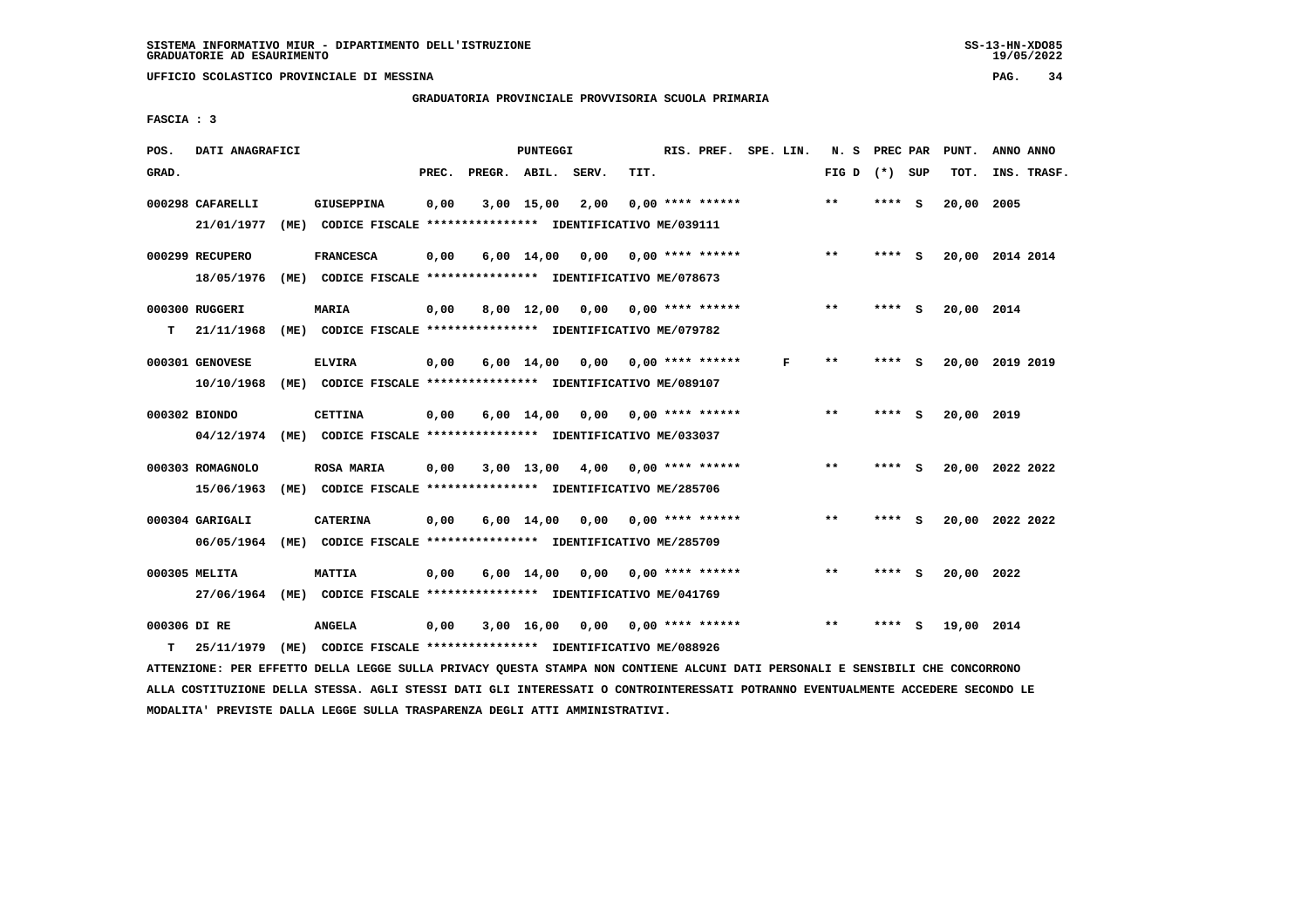**UFFICIO SCOLASTICO PROVINCIALE DI MESSINA PAG. 34**

 **GRADUATORIA PROVINCIALE PROVVISORIA SCUOLA PRIMARIA**

 **FASCIA : 3**

| POS.              | DATI ANAGRAFICI  |      |                                                                           |       |              | <b>PUNTEGGI</b>    |       |      | RIS. PREF.         | SPE. LIN. |   | N.S          | PREC PAR |          | PUNT.      | ANNO ANNO       |
|-------------------|------------------|------|---------------------------------------------------------------------------|-------|--------------|--------------------|-------|------|--------------------|-----------|---|--------------|----------|----------|------------|-----------------|
| GRAD.             |                  |      |                                                                           | PREC. | PREGR. ABIL. |                    | SERV. | TIT. |                    |           |   | FIG D        | (*) SUP  |          | TOT.       | INS. TRASF.     |
|                   | 000298 CAFARELLI |      | <b>GIUSEPPINA</b>                                                         | 0,00  |              | $3,00$ 15,00       | 2,00  |      | $0.00$ **** ****** |           |   | $* *$        | ****     | <b>S</b> | 20,00      | 2005            |
|                   | 21/01/1977       | (ME) | CODICE FISCALE **************** IDENTIFICATIVO ME/039111                  |       |              |                    |       |      |                    |           |   |              |          |          |            |                 |
|                   | 000299 RECUPERO  |      | <b>FRANCESCA</b>                                                          | 0,00  |              | $6,00 \quad 14,00$ | 0,00  |      | $0.00$ **** ****** |           |   | $* *$        | ****     | - S      |            | 20,00 2014 2014 |
|                   | 18/05/1976       | (ME) | CODICE FISCALE **************** IDENTIFICATIVO ME/078673                  |       |              |                    |       |      |                    |           |   |              |          |          |            |                 |
|                   | 000300 RUGGERI   |      | <b>MARIA</b>                                                              | 0,00  |              | 8,00 12,00         | 0,00  |      | $0.00$ **** ****** |           |   | $***$        | **** S   |          | 20,00 2014 |                 |
| т                 | 21/11/1968       | (ME) | CODICE FISCALE **************** IDENTIFICATIVO ME/079782                  |       |              |                    |       |      |                    |           |   |              |          |          |            |                 |
|                   | 000301 GENOVESE  |      | <b>ELVIRA</b>                                                             | 0,00  |              | $6,00 \quad 14,00$ | 0,00  |      | $0.00$ **** ****** |           | F | $***$        |          | S        |            | 20,00 2019 2019 |
|                   | 10/10/1968       | (ME) | CODICE FISCALE **************** IDENTIFICATIVO ME/089107                  |       |              |                    |       |      |                    |           |   |              |          |          |            |                 |
|                   |                  |      |                                                                           |       |              |                    |       |      |                    |           |   |              |          |          |            |                 |
|                   | 000302 BIONDO    |      | <b>CETTINA</b>                                                            | 0,00  |              | $6,00 \quad 14,00$ | 0.00  |      | $0.00$ **** ****** |           |   | $**$         | ****     | s.       | 20,00 2019 |                 |
|                   | 04/12/1974       |      | (ME) CODICE FISCALE **************** IDENTIFICATIVO ME/033037             |       |              |                    |       |      |                    |           |   |              |          |          |            |                 |
|                   | 000303 ROMAGNOLO |      | <b>ROSA MARIA</b>                                                         | 0,00  |              | $3,00$ 13,00       | 4,00  |      | $0.00$ **** ****** |           |   | $* *$        | ****     | - S      |            | 20,00 2022 2022 |
|                   | 15/06/1963       |      | (ME) CODICE FISCALE **************** IDENTIFICATIVO ME/285706             |       |              |                    |       |      |                    |           |   |              |          |          |            |                 |
|                   | 000304 GARIGALI  |      | <b>CATERINA</b>                                                           | 0,00  |              | $6,00 \quad 14,00$ | 0,00  |      | $0.00$ **** ****** |           |   | $\star\star$ | ****     | - S      |            | 20,00 2022 2022 |
|                   | 06/05/1964       | (ME) | CODICE FISCALE **************** IDENTIFICATIVO ME/285709                  |       |              |                    |       |      |                    |           |   |              |          |          |            |                 |
|                   | 000305 MELITA    |      | <b>MATTIA</b>                                                             | 0,00  |              | $6,00 \quad 14,00$ | 0,00  |      | $0.00$ **** ****** |           |   | $**$         | ****     | - 5      | 20,00 2022 |                 |
|                   | 27/06/1964       |      | (ME) CODICE FISCALE **************** IDENTIFICATIVO ME/041769             |       |              |                    |       |      |                    |           |   |              |          |          |            |                 |
|                   |                  |      |                                                                           |       |              |                    |       |      |                    |           |   |              |          |          |            |                 |
|                   |                  |      |                                                                           |       |              |                    |       |      |                    |           |   |              |          |          |            |                 |
| 000306 DI RE<br>т | 25/11/1979       | (ME) | <b>ANGELA</b><br>CODICE FISCALE **************** IDENTIFICATIVO ME/088926 | 0.00  |              | 3,00 16,00         | 0,00  |      | 0,00 **** ******   |           |   | $**$         | ****     | s        | 19,00 2014 |                 |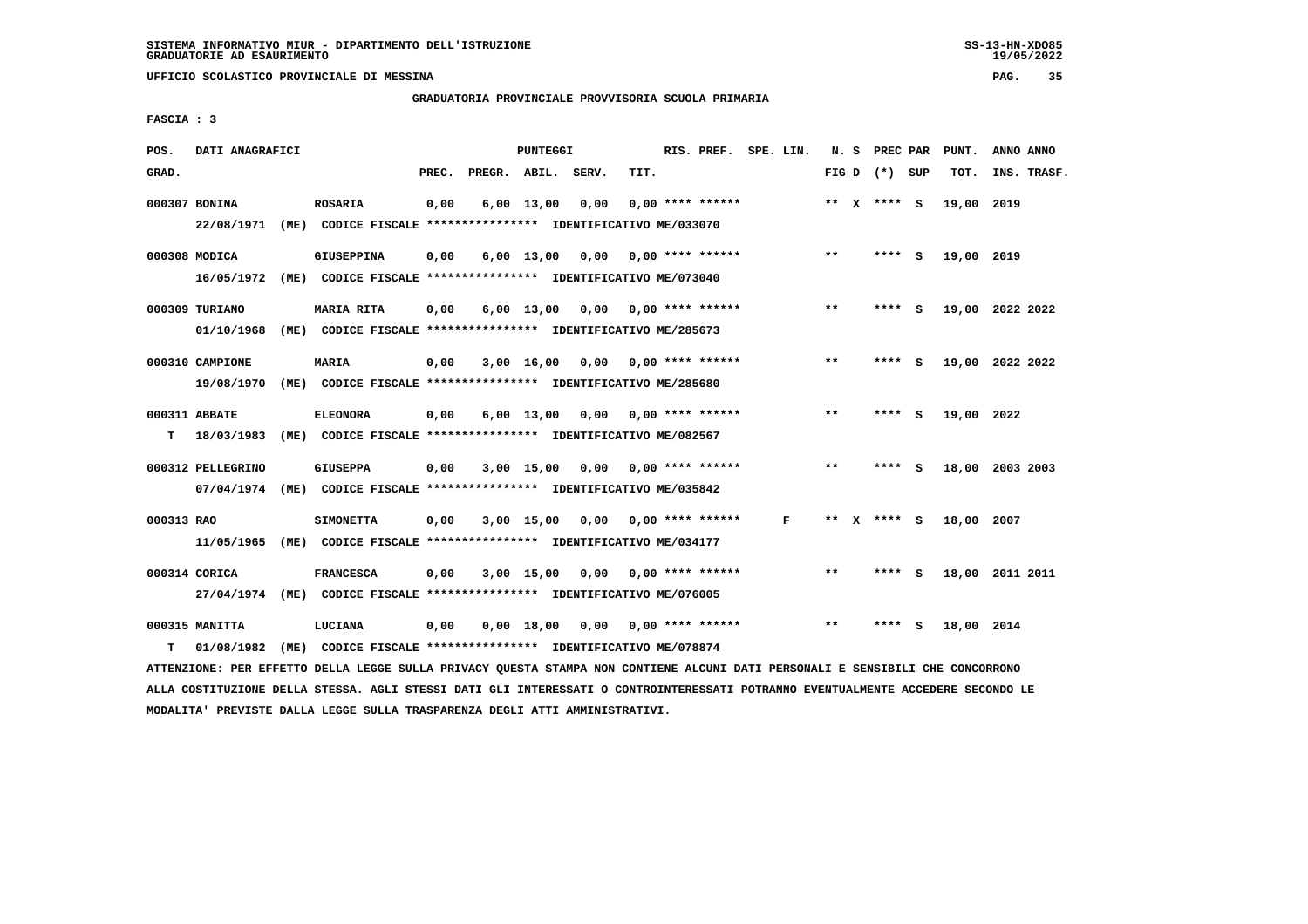**GRADUATORIA PROVINCIALE PROVVISORIA SCUOLA PRIMARIA**

 **FASCIA : 3**

| POS.       | DATI ANAGRAFICI   |                                                               |       |                    | PUNTEGGI     |                                    |      | RIS. PREF.                | SPE. LIN. |              |   | N. S PREC PAR   |   | PUNT.      | ANNO ANNO       |
|------------|-------------------|---------------------------------------------------------------|-------|--------------------|--------------|------------------------------------|------|---------------------------|-----------|--------------|---|-----------------|---|------------|-----------------|
| GRAD.      |                   |                                                               | PREC. | PREGR. ABIL. SERV. |              |                                    | TIT. |                           |           |              |   | FIG D $(*)$ SUP |   | TOT.       | INS. TRASF.     |
|            | 000307 BONINA     | <b>ROSARIA</b>                                                | 0,00  |                    | $6,00$ 13,00 | 0,00                               |      | $0.00$ **** ******        |           |              |   | ** X **** S     |   | 19,00 2019 |                 |
|            | 22/08/1971        | (ME) CODICE FISCALE **************** IDENTIFICATIVO ME/033070 |       |                    |              |                                    |      |                           |           |              |   |                 |   |            |                 |
|            | 000308 MODICA     | <b>GIUSEPPINA</b>                                             | 0,00  |                    | $6,00$ 13,00 | 0,00 0,00 **** ******              |      |                           |           | $***$        |   | **** S          |   | 19,00 2019 |                 |
|            | 16/05/1972        | (ME) CODICE FISCALE **************** IDENTIFICATIVO ME/073040 |       |                    |              |                                    |      |                           |           |              |   |                 |   |            |                 |
|            | 000309 TURIANO    | MARIA RITA                                                    | 0,00  |                    | $6,00$ 13,00 |                                    |      | $0,00$ $0,00$ **** ****** |           | $* *$        |   | **** S          |   |            | 19,00 2022 2022 |
|            | 01/10/1968        | (ME) CODICE FISCALE **************** IDENTIFICATIVO ME/285673 |       |                    |              |                                    |      |                           |           |              |   |                 |   |            |                 |
|            | 000310 CAMPIONE   | <b>MARIA</b>                                                  | 0,00  |                    | $3,00$ 16,00 |                                    |      | $0,00$ $0,00$ **** ****** |           | $\star\star$ |   | **** S          |   |            | 19,00 2022 2022 |
|            | 19/08/1970        | (ME) CODICE FISCALE **************** IDENTIFICATIVO ME/285680 |       |                    |              |                                    |      |                           |           |              |   |                 |   |            |                 |
|            | 000311 ABBATE     | <b>ELEONORA</b>                                               | 0,00  |                    |              | $6,00$ 13,00 0,00                  |      | $0.00$ **** ******        |           | $**$         |   | **** S          |   | 19,00 2022 |                 |
| т          | 18/03/1983        | (ME) CODICE FISCALE **************** IDENTIFICATIVO ME/082567 |       |                    |              |                                    |      |                           |           |              |   |                 |   |            |                 |
|            | 000312 PELLEGRINO | <b>GIUSEPPA</b>                                               | 0,00  |                    |              | $3,00$ 15,00 0,00 0,00 **** ****** |      |                           |           | $***$        |   | **** S          |   |            | 18,00 2003 2003 |
|            | 07/04/1974        | (ME) CODICE FISCALE **************** IDENTIFICATIVO ME/035842 |       |                    |              |                                    |      |                           |           |              |   |                 |   |            |                 |
| 000313 RAO |                   | <b>SIMONETTA</b>                                              | 0,00  |                    | $3,00$ 15,00 |                                    |      | $0,00$ $0,00$ **** ****** | F         | **           | x | **** S          |   | 18,00 2007 |                 |
|            | 11/05/1965        | (ME) CODICE FISCALE **************** IDENTIFICATIVO ME/034177 |       |                    |              |                                    |      |                           |           |              |   |                 |   |            |                 |
|            | 000314 CORICA     | <b>FRANCESCA</b>                                              | 0,00  |                    | $3,00$ 15,00 | 0,00                               |      | $0.00$ **** ******        |           | $**$         |   | **** S          |   |            | 18,00 2011 2011 |
|            | 27/04/1974        | (ME) CODICE FISCALE **************** IDENTIFICATIVO ME/076005 |       |                    |              |                                    |      |                           |           |              |   |                 |   |            |                 |
|            | 000315 MANITTA    | LUCIANA                                                       | 0,00  |                    | 0,00 18,00   | 0,00                               |      | $0.00$ **** ******        |           | $* *$        |   | ****            | ్ | 18,00 2014 |                 |
| т          | 01/08/1982        | (ME) CODICE FISCALE **************** IDENTIFICATIVO ME/078874 |       |                    |              |                                    |      |                           |           |              |   |                 |   |            |                 |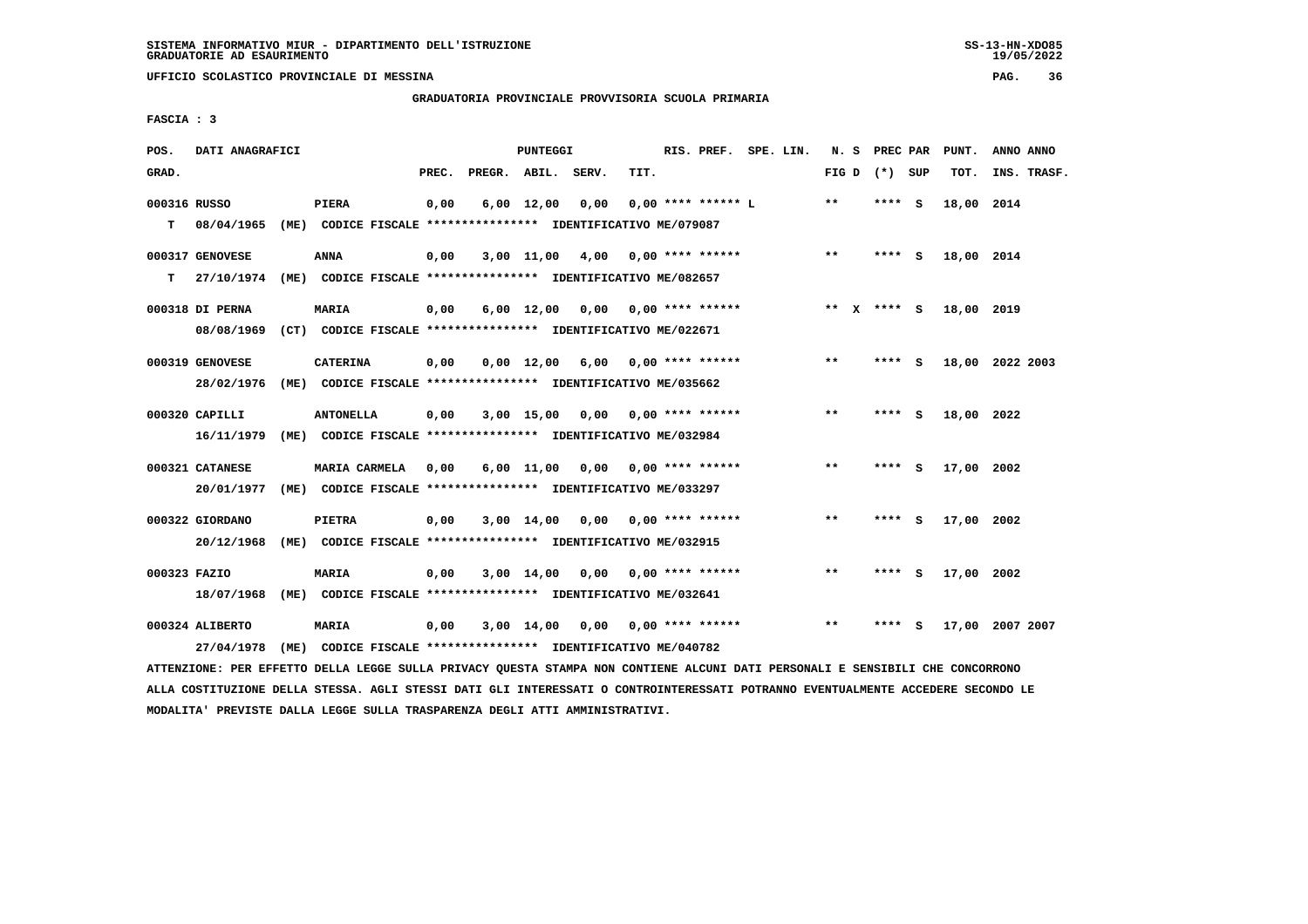**UFFICIO SCOLASTICO PROVINCIALE DI MESSINA PAG. 36**

 **GRADUATORIA PROVINCIALE PROVVISORIA SCUOLA PRIMARIA**

 **FASCIA : 3**

| POS.         | DATI ANAGRAFICI |      |                                                               |       |                    | PUNTEGGI           |      |      | RIS. PREF. SPE. LIN.      |  |         |                 |          | N. S PREC PAR PUNT. | ANNO ANNO       |
|--------------|-----------------|------|---------------------------------------------------------------|-------|--------------------|--------------------|------|------|---------------------------|--|---------|-----------------|----------|---------------------|-----------------|
| GRAD.        |                 |      |                                                               | PREC. | PREGR. ABIL. SERV. |                    |      | TIT. |                           |  |         | FIG D $(*)$ SUP |          | TOT.                | INS. TRASF.     |
| 000316 RUSSO |                 |      | PIERA                                                         | 0,00  |                    | $6,00$ 12,00       | 0,00 |      | $0.00$ **** ****** L      |  | $* *$   | **** S          |          | 18,00 2014          |                 |
| т            | 08/04/1965      |      | (ME) CODICE FISCALE **************** IDENTIFICATIVO ME/079087 |       |                    |                    |      |      |                           |  |         |                 |          |                     |                 |
|              | 000317 GENOVESE |      | <b>ANNA</b>                                                   | 0,00  |                    | 3,00 11,00         | 4,00 |      | $0.00$ **** ******        |  | $* *$   | $***$ S         |          | 18,00 2014          |                 |
| т            | 27/10/1974      |      | (ME) CODICE FISCALE **************** IDENTIFICATIVO ME/082657 |       |                    |                    |      |      |                           |  |         |                 |          |                     |                 |
|              | 000318 DI PERNA |      | <b>MARIA</b>                                                  | 0,00  |                    | $6,00 \quad 12,00$ |      |      | $0,00$ $0,00$ **** ****** |  | $***$ X | $***$ S         |          | 18,00 2019          |                 |
|              | 08/08/1969      |      | (CT) CODICE FISCALE **************** IDENTIFICATIVO ME/022671 |       |                    |                    |      |      |                           |  |         |                 |          |                     |                 |
|              | 000319 GENOVESE |      | <b>CATERINA</b>                                               | 0,00  |                    | $0,00 \quad 12,00$ |      |      | $6,00$ 0,00 **** ******   |  | $* *$   | **** S          |          |                     | 18,00 2022 2003 |
|              | 28/02/1976      |      | (ME) CODICE FISCALE **************** IDENTIFICATIVO ME/035662 |       |                    |                    |      |      |                           |  |         |                 |          |                     |                 |
|              | 000320 CAPILLI  |      | <b>ANTONELLA</b>                                              | 0,00  |                    | $3,00$ 15,00       | 0.00 |      | $0.00$ **** ******        |  | $* *$   | ****            | - 5      | 18,00 2022          |                 |
|              | 16/11/1979      |      | (ME) CODICE FISCALE **************** IDENTIFICATIVO ME/032984 |       |                    |                    |      |      |                           |  |         |                 |          |                     |                 |
|              | 000321 CATANESE |      | <b>MARIA CARMELA</b>                                          | 0.00  |                    | $6.00$ 11.00       | 0.00 |      | $0.00$ **** ******        |  | $* *$   | ****            | - S      | 17,00 2002          |                 |
|              | 20/01/1977      |      | (ME) CODICE FISCALE *************** IDENTIFICATIVO ME/033297  |       |                    |                    |      |      |                           |  |         |                 |          |                     |                 |
|              | 000322 GIORDANO |      | PIETRA                                                        | 0,00  |                    | 3,00 14,00         | 0,00 |      | $0.00$ **** ******        |  | $**$    | ****            | - S      | 17,00 2002          |                 |
|              | 20/12/1968      |      | (ME) CODICE FISCALE **************** IDENTIFICATIVO ME/032915 |       |                    |                    |      |      |                           |  |         |                 |          |                     |                 |
| 000323 FAZIO |                 |      | MARIA                                                         | 0,00  |                    | $3,00 \quad 14,00$ | 0,00 |      | $0.00$ **** ******        |  | $**$    | ****            | <b>S</b> | 17,00 2002          |                 |
|              | 18/07/1968      |      | (ME) CODICE FISCALE **************** IDENTIFICATIVO ME/032641 |       |                    |                    |      |      |                           |  |         |                 |          |                     |                 |
|              | 000324 ALIBERTO |      | MARIA                                                         | 0,00  |                    | $3,00$ 14,00       | 0,00 |      | 0,00 **** ******          |  | **      | ****            | s        |                     | 17,00 2007 2007 |
|              | 27/04/1978      | (ME) | CODICE FISCALE **************** IDENTIFICATIVO ME/040782      |       |                    |                    |      |      |                           |  |         |                 |          |                     |                 |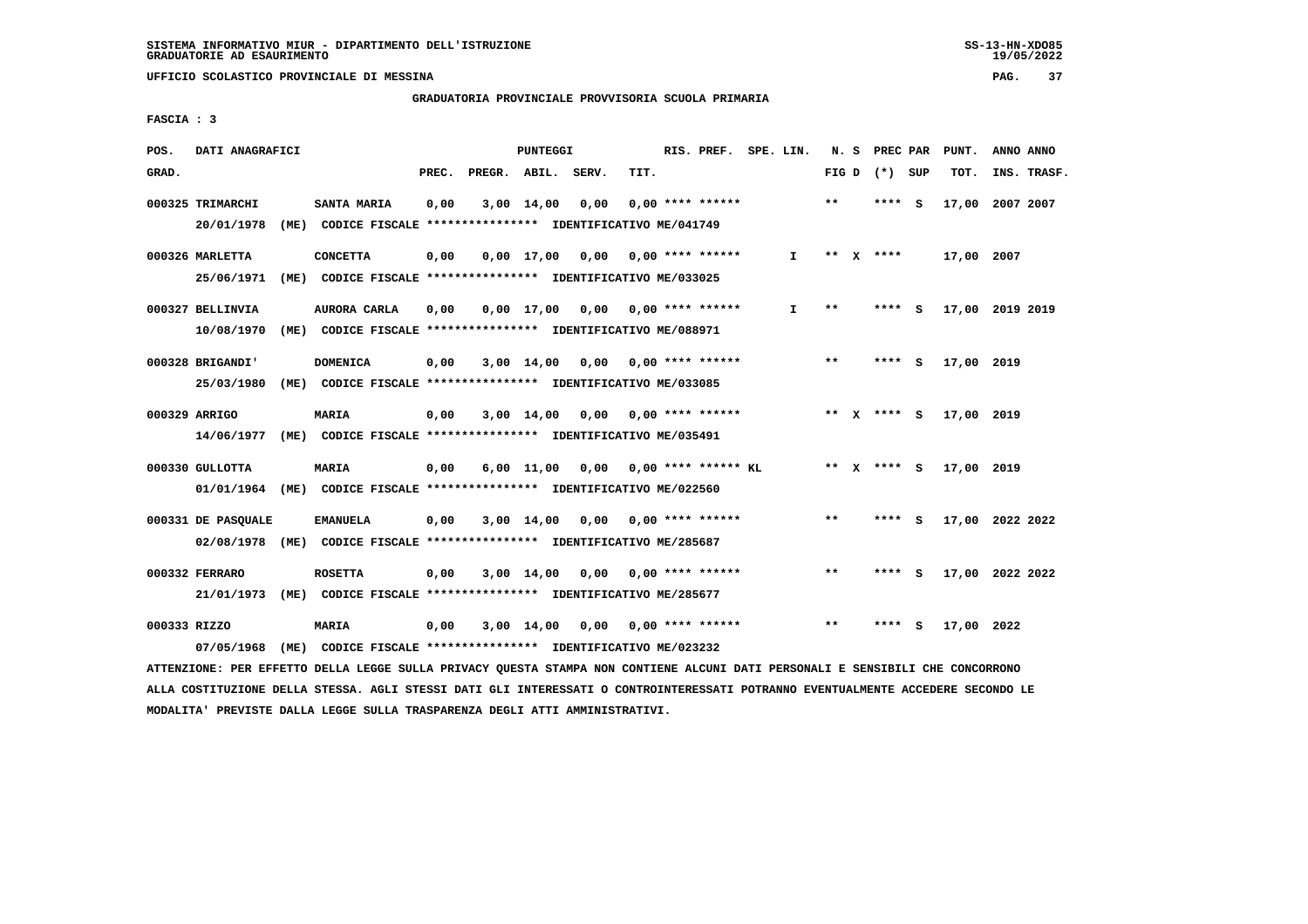## **GRADUATORIA PROVINCIALE PROVVISORIA SCUOLA PRIMARIA**

 **FASCIA : 3**

| POS.         | DATI ANAGRAFICI    |      |                                                               |       |              | <b>PUNTEGGI</b>    |       |      | RIS. PREF.                | SPE. LIN.    | N. S  |              | PREC PAR      |     | PUNT.           | ANNO ANNO |             |
|--------------|--------------------|------|---------------------------------------------------------------|-------|--------------|--------------------|-------|------|---------------------------|--------------|-------|--------------|---------------|-----|-----------------|-----------|-------------|
| GRAD.        |                    |      |                                                               | PREC. | PREGR. ABIL. |                    | SERV. | TIT. |                           |              | FIG D |              | (*) SUP       |     | TOT.            |           | INS. TRASF. |
|              | 000325 TRIMARCHI   |      | SANTA MARIA                                                   | 0,00  |              | $3,00$ 14,00       | 0,00  |      | $0.00$ **** ******        |              | $**$  |              | ****          | - S | 17,00           | 2007 2007 |             |
|              | 20/01/1978         | (ME) | CODICE FISCALE **************** IDENTIFICATIVO ME/041749      |       |              |                    |       |      |                           |              |       |              |               |     |                 |           |             |
|              | 000326 MARLETTA    |      | <b>CONCETTA</b>                                               | 0,00  |              | $0.00$ 17.00       | 0,00  |      | $0.00$ **** ******        | $\mathbf{I}$ | $* *$ | $\mathbf{x}$ | ****          |     | 17,00 2007      |           |             |
|              | 25/06/1971         |      | (ME) CODICE FISCALE *************** IDENTIFICATIVO ME/033025  |       |              |                    |       |      |                           |              |       |              |               |     |                 |           |             |
|              | 000327 BELLINVIA   |      | AURORA CARLA                                                  | 0,00  |              | $0,00$ 17,00       |       |      | $0,00$ $0,00$ **** ****** | I.           | $* *$ |              | ****          | - S | 17,00 2019 2019 |           |             |
|              | 10/08/1970         |      | (ME) CODICE FISCALE **************** IDENTIFICATIVO ME/088971 |       |              |                    |       |      |                           |              |       |              |               |     |                 |           |             |
|              | 000328 BRIGANDI'   |      | <b>DOMENICA</b>                                               | 0,00  |              | $3,00$ 14,00       | 0,00  |      | $0.00$ **** ******        |              | $* *$ |              | ****          | - S | 17,00 2019      |           |             |
|              | 25/03/1980         |      | (ME) CODICE FISCALE **************** IDENTIFICATIVO ME/033085 |       |              |                    |       |      |                           |              |       |              |               |     |                 |           |             |
|              | 000329 ARRIGO      |      | <b>MARIA</b>                                                  | 0,00  |              | $3,00$ 14,00       | 0,00  |      | $0.00$ **** ******        |              |       |              | ** $X$ **** S |     | 17,00 2019      |           |             |
|              | 14/06/1977         |      | (ME) CODICE FISCALE **************** IDENTIFICATIVO ME/035491 |       |              |                    |       |      |                           |              |       |              |               |     |                 |           |             |
|              | 000330 GULLOTTA    |      | MARIA                                                         | 0,00  |              | $6,00 \quad 11,00$ | 0,00  |      | $0.00$ **** ****** KL     |              |       |              | ** X **** S   |     | 17,00 2019      |           |             |
|              | 01/01/1964         |      | (ME) CODICE FISCALE **************** IDENTIFICATIVO ME/022560 |       |              |                    |       |      |                           |              |       |              |               |     |                 |           |             |
|              | 000331 DE PASQUALE |      | <b>EMANUELA</b>                                               | 0,00  |              | $3,00$ 14,00       | 0,00  |      | $0.00$ **** ******        |              | **    |              | **** S        |     | 17,00 2022 2022 |           |             |
|              | 02/08/1978         |      | (ME) CODICE FISCALE **************** IDENTIFICATIVO ME/285687 |       |              |                    |       |      |                           |              |       |              |               |     |                 |           |             |
|              | 000332 FERRARO     |      | <b>ROSETTA</b>                                                | 0,00  |              |                    |       |      | $0.00$ **** ******        |              | $***$ |              | **** S        |     | 17,00 2022 2022 |           |             |
|              | 21/01/1973         |      | (ME) CODICE FISCALE **************** IDENTIFICATIVO ME/285677 |       |              | 3,00 14,00         | 0,00  |      |                           |              |       |              |               |     |                 |           |             |
|              |                    |      |                                                               |       |              |                    |       |      |                           |              |       |              |               |     |                 |           |             |
| 000333 RIZZO |                    |      | MARIA                                                         | 0,00  |              | $3,00$ 14,00       | 0.00  |      | $0.00$ **** ******        |              | $* *$ |              |               | - S | 17,00 2022      |           |             |
|              | 07/05/1968         |      | (ME) CODICE FISCALE **************** IDENTIFICATIVO ME/023232 |       |              |                    |       |      |                           |              |       |              |               |     |                 |           |             |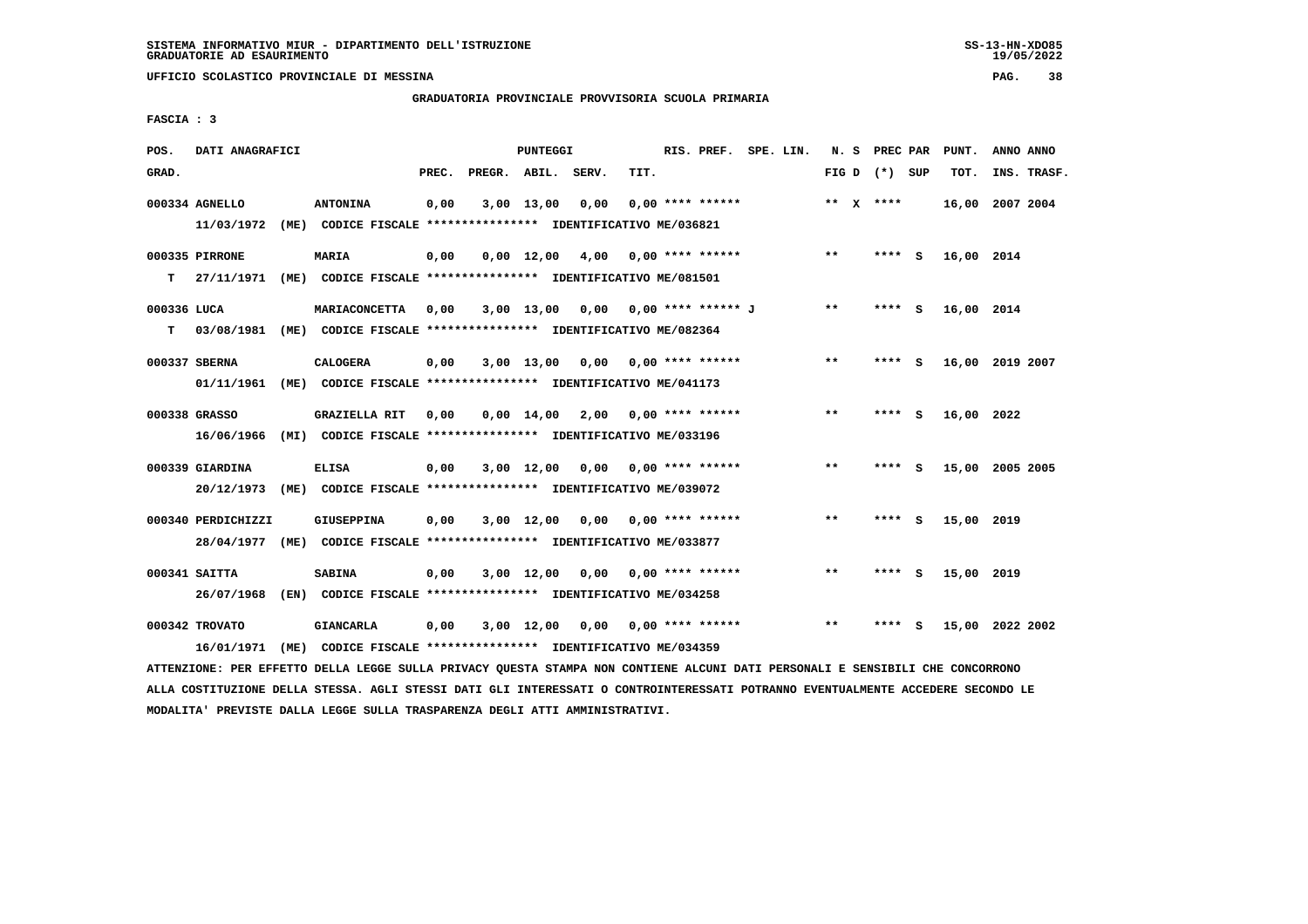**UFFICIO SCOLASTICO PROVINCIALE DI MESSINA PAG. 38**

## **GRADUATORIA PROVINCIALE PROVVISORIA SCUOLA PRIMARIA**

 **FASCIA : 3**

| POS.        | DATI ANAGRAFICI              |                                                                                                                               | PUNTEGGI |                    |            |                                    |      |                    | RIS. PREF. SPE. LIN. |                 |         | N. S PREC PAR PUNT. | ANNO ANNO   |  |
|-------------|------------------------------|-------------------------------------------------------------------------------------------------------------------------------|----------|--------------------|------------|------------------------------------|------|--------------------|----------------------|-----------------|---------|---------------------|-------------|--|
| GRAD.       |                              |                                                                                                                               | PREC.    | PREGR. ABIL. SERV. |            |                                    | TIT. |                    |                      | FIG D $(*)$ SUP |         | TOT.                | INS. TRASF. |  |
|             | 000334 AGNELLO<br>11/03/1972 | <b>ANTONINA</b><br>(ME) CODICE FISCALE *************** IDENTIFICATIVO ME/036821                                               | 0,00     |                    | 3,00 13,00 | 0,00                               |      | $0.00$ **** ****** |                      | ** $X$ ****     |         | 16,00 2007 2004     |             |  |
|             |                              |                                                                                                                               |          |                    |            |                                    |      |                    |                      |                 |         |                     |             |  |
|             | 000335 PIRRONE               | MARIA                                                                                                                         | 0,00     |                    |            | $0,00$ 12,00 4,00 0,00 **** ****** |      |                    |                      | $***$           | **** S  | 16,00 2014          |             |  |
| т           | 27/11/1971                   | (ME) CODICE FISCALE **************** IDENTIFICATIVO ME/081501                                                                 |          |                    |            |                                    |      |                    |                      |                 |         |                     |             |  |
| 000336 LUCA |                              | MARIACONCETTA                                                                                                                 | 0,00     |                    |            | 3,00 13,00 0,00 0,00 **** ****** J |      |                    |                      | $***$           | **** S  | 16,00 2014          |             |  |
| T.          |                              | 03/08/1981 (ME) CODICE FISCALE **************** IDENTIFICATIVO ME/082364                                                      |          |                    |            |                                    |      |                    |                      |                 |         |                     |             |  |
|             | 000337 SBERNA                | <b>CALOGERA</b>                                                                                                               | 0,00     |                    |            | $3,00$ 13,00 0,00 0,00 **** ****** |      |                    |                      | $* *$           | **** S  | 16,00 2019 2007     |             |  |
|             | 01/11/1961                   | (ME) CODICE FISCALE **************** IDENTIFICATIVO ME/041173                                                                 |          |                    |            |                                    |      |                    |                      |                 |         |                     |             |  |
|             | 000338 GRASSO                | <b>GRAZIELLA RIT</b>                                                                                                          | 0,00     |                    |            | $0,00$ 14,00 2,00 0,00 **** ****** |      |                    |                      | $***$           | **** S  | 16,00 2022          |             |  |
|             | 16/06/1966                   | (MI) CODICE FISCALE **************** IDENTIFICATIVO ME/033196                                                                 |          |                    |            |                                    |      |                    |                      |                 |         |                     |             |  |
|             | 000339 GIARDINA              | ELISA                                                                                                                         | 0,00     |                    |            | $3,00$ 12,00 0,00 0,00 **** ****** |      |                    |                      | **              | **** S  | 15,00 2005 2005     |             |  |
|             | 20/12/1973                   | (ME) CODICE FISCALE **************** IDENTIFICATIVO ME/039072                                                                 |          |                    |            |                                    |      |                    |                      |                 |         |                     |             |  |
|             | 000340 PERDICHIZZI           | GIUSEPPINA                                                                                                                    | 0,00     |                    |            | $3,00$ 12,00 0,00 0,00 **** ****** |      |                    |                      | $* *$           | $***$ S | 15,00 2019          |             |  |
|             |                              | 28/04/1977 (ME) CODICE FISCALE *************** IDENTIFICATIVO ME/033877                                                       |          |                    |            |                                    |      |                    |                      |                 |         |                     |             |  |
|             | 000341 SAITTA                | <b>SABINA</b>                                                                                                                 | 0,00     |                    |            | $3,00$ 12,00 0,00 0,00 **** ****** |      |                    |                      | $**$            | **** S  | 15,00 2019          |             |  |
|             |                              | 26/07/1968 (EN) CODICE FISCALE *************** IDENTIFICATIVO ME/034258                                                       |          |                    |            |                                    |      |                    |                      |                 |         |                     |             |  |
|             | 000342 TROVATO               | <b>GIANCARLA</b>                                                                                                              | 0,00     |                    |            | 3,00 12,00 0,00 0,00 **** ******   |      |                    |                      | $* *$           | $***$ S | 15,00 2022 2002     |             |  |
|             | 16/01/1971                   | (ME) CODICE FISCALE *************** IDENTIFICATIVO ME/034359                                                                  |          |                    |            |                                    |      |                    |                      |                 |         |                     |             |  |
|             |                              | ATTENZIONE: PER EFFETTO DELLA LEGGE SULLA PRIVACY QUESTA STAMPA NON CONTIENE ALCUNI DATI PERSONALI E SENSIBILI CHE CONCORRONO |          |                    |            |                                    |      |                    |                      |                 |         |                     |             |  |

 **ALLA COSTITUZIONE DELLA STESSA. AGLI STESSI DATI GLI INTERESSATI O CONTROINTERESSATI POTRANNO EVENTUALMENTE ACCEDERE SECONDO LE MODALITA' PREVISTE DALLA LEGGE SULLA TRASPARENZA DEGLI ATTI AMMINISTRATIVI.**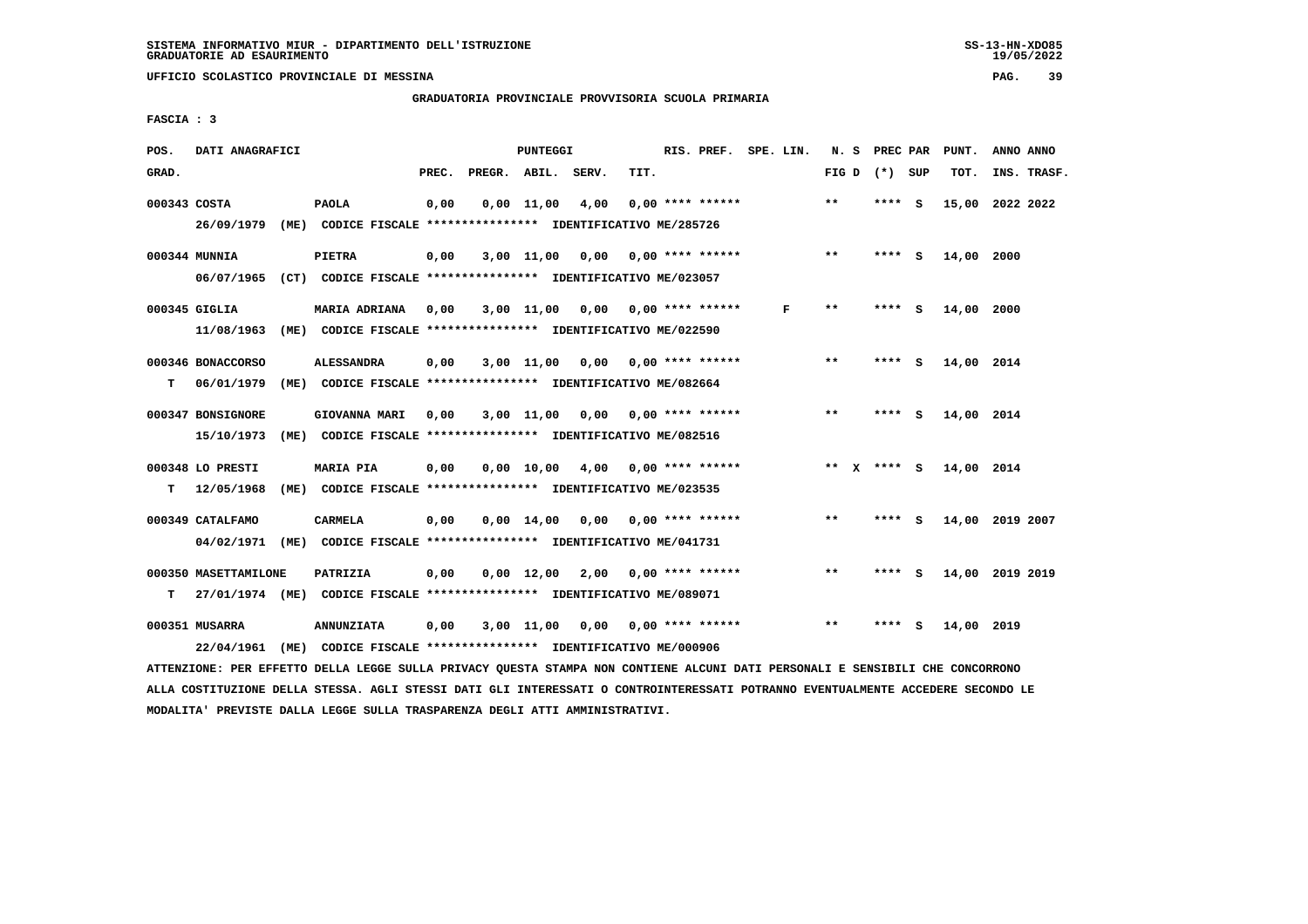## **GRADUATORIA PROVINCIALE PROVVISORIA SCUOLA PRIMARIA**

 **FASCIA : 3**

| POS.         | DATI ANAGRAFICI      |      |                                                                         | PUNTEGGI |                    |              |                 |      |  | RIS. PREF.<br>SPE. LIN.   |  |   |              |  | PREC PAR        |     | PUNT.      | ANNO ANNO       |  |
|--------------|----------------------|------|-------------------------------------------------------------------------|----------|--------------------|--------------|-----------------|------|--|---------------------------|--|---|--------------|--|-----------------|-----|------------|-----------------|--|
| GRAD.        |                      |      |                                                                         | PREC.    | PREGR. ABIL. SERV. |              |                 | TIT. |  |                           |  |   |              |  | FIG D $(*)$ SUP |     | TOT.       | INS. TRASF.     |  |
| 000343 COSTA |                      |      | <b>PAOLA</b>                                                            | 0,00     |                    | $0,00$ 11,00 | 4,00            |      |  | $0.00$ **** ******        |  |   | $\star\star$ |  | **** S          |     |            | 15,00 2022 2022 |  |
|              | 26/09/1979           |      | (ME) CODICE FISCALE **************** IDENTIFICATIVO ME/285726           |          |                    |              |                 |      |  |                           |  |   |              |  |                 |     |            |                 |  |
|              | 000344 MUNNIA        |      | <b>PIETRA</b>                                                           | 0,00     |                    | 3,00 11,00   | 0,00            |      |  | 0,00 **** ******          |  |   | $**$         |  | **** S          |     | 14,00 2000 |                 |  |
|              |                      |      | 06/07/1965 (CT) CODICE FISCALE *************** IDENTIFICATIVO ME/023057 |          |                    |              |                 |      |  |                           |  |   |              |  |                 |     |            |                 |  |
|              | 000345 GIGLIA        |      | MARIA ADRIANA                                                           | 0,00     |                    | 3,00 11,00   |                 |      |  | $0,00$ $0,00$ **** ****** |  | F | $***$        |  | **** S          |     | 14,00 2000 |                 |  |
|              | 11/08/1963           |      | (ME) CODICE FISCALE **************** IDENTIFICATIVO ME/022590           |          |                    |              |                 |      |  |                           |  |   |              |  |                 |     |            |                 |  |
|              | 000346 BONACCORSO    |      | <b>ALESSANDRA</b>                                                       | 0,00     |                    | 3,00 11,00   | 0,00            |      |  | $0.00$ **** ******        |  |   | $**$         |  | **** S          |     | 14,00 2014 |                 |  |
| т            | 06/01/1979           |      | (ME) CODICE FISCALE **************** IDENTIFICATIVO ME/082664           |          |                    |              |                 |      |  |                           |  |   |              |  |                 |     |            |                 |  |
|              | 000347 BONSIGNORE    |      | GIOVANNA MARI                                                           | 0.00     |                    |              | 3,00 11,00 0,00 |      |  | $0.00$ **** ******        |  |   | $**$         |  | **** S          |     | 14,00 2014 |                 |  |
|              | 15/10/1973           | (ME) | CODICE FISCALE **************** IDENTIFICATIVO ME/082516                |          |                    |              |                 |      |  |                           |  |   |              |  |                 |     |            |                 |  |
|              | 000348 LO PRESTI     |      | <b>MARIA PIA</b>                                                        | 0,00     |                    | 0.00 10.00   |                 |      |  | $4,00$ 0,00 **** ******   |  |   |              |  | ** x **** S     |     | 14,00 2014 |                 |  |
| т            | 12/05/1968           |      | (ME) CODICE FISCALE **************** IDENTIFICATIVO ME/023535           |          |                    |              |                 |      |  |                           |  |   |              |  |                 |     |            |                 |  |
|              | 000349 CATALFAMO     |      | CARMELA                                                                 | 0,00     |                    | $0.00$ 14.00 |                 |      |  | $0,00$ $0,00$ **** ****** |  |   | $* *$        |  | **** S          |     |            | 14,00 2019 2007 |  |
|              | 04/02/1971           |      | (ME) CODICE FISCALE **************** IDENTIFICATIVO ME/041731           |          |                    |              |                 |      |  |                           |  |   |              |  |                 |     |            |                 |  |
|              | 000350 MASETTAMILONE |      | PATRIZIA                                                                | 0,00     |                    | $0,00$ 12,00 | 2,00            |      |  | $0.00$ **** ******        |  |   | $* *$        |  | ****            | - 5 |            | 14,00 2019 2019 |  |
| т            |                      |      | 27/01/1974 (ME) CODICE FISCALE *************** IDENTIFICATIVO ME/089071 |          |                    |              |                 |      |  |                           |  |   |              |  |                 |     |            |                 |  |
|              | 000351 MUSARRA       |      | <b>ANNUNZIATA</b>                                                       | 0,00     |                    | $3,00$ 11,00 | 0,00            |      |  | $0.00$ **** ******        |  |   | $**$         |  | ****            | - S | 14,00 2019 |                 |  |
|              | 22/04/1961           |      | (ME) CODICE FISCALE **************** IDENTIFICATIVO ME/000906           |          |                    |              |                 |      |  |                           |  |   |              |  |                 |     |            |                 |  |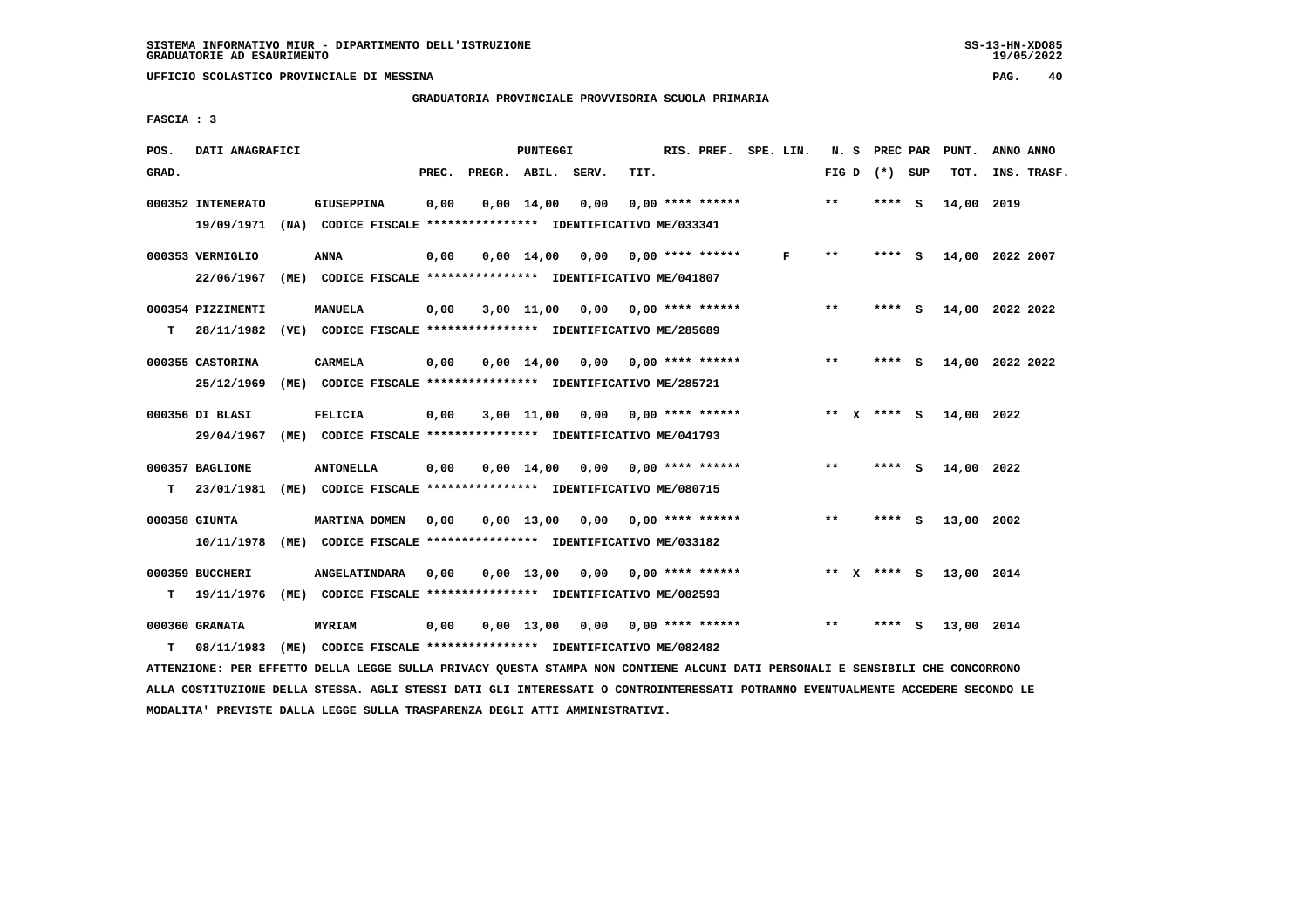## **GRADUATORIA PROVINCIALE PROVVISORIA SCUOLA PRIMARIA**

 **FASCIA : 3**

| POS.  | DATI ANAGRAFICI   |      |                                                               |       |              | PUNTEGGI           |                                                          |      | RIS. PREF. SPE. LIN.      |   | N. S         | PREC PAR |          | PUNT.      | ANNO ANNO       |
|-------|-------------------|------|---------------------------------------------------------------|-------|--------------|--------------------|----------------------------------------------------------|------|---------------------------|---|--------------|----------|----------|------------|-----------------|
| GRAD. |                   |      |                                                               | PREC. | PREGR. ABIL. |                    | SERV.                                                    | TIT. |                           |   | FIG D        | (*) SUP  |          | TOT.       | INS. TRASF.     |
|       |                   |      |                                                               |       |              |                    |                                                          |      |                           |   |              |          |          |            |                 |
|       | 000352 INTEMERATO |      | <b>GIUSEPPINA</b>                                             | 0,00  |              | $0.00 \quad 14.00$ | 0.00                                                     |      | $0.00$ **** ******        |   | $\star\star$ | **** S   |          | 14,00 2019 |                 |
|       | 19/09/1971        |      | (NA) CODICE FISCALE **************** IDENTIFICATIVO ME/033341 |       |              |                    |                                                          |      |                           |   |              |          |          |            |                 |
|       | 000353 VERMIGLIO  |      | <b>ANNA</b>                                                   | 0,00  |              | 0,00 14,00         | 0,00                                                     |      | $0.00$ **** ******        | F | $* *$        | **** S   |          |            | 14,00 2022 2007 |
|       | 22/06/1967        |      | (ME) CODICE FISCALE **************** IDENTIFICATIVO ME/041807 |       |              |                    |                                                          |      |                           |   |              |          |          |            |                 |
|       | 000354 PIZZIMENTI |      | <b>MANUELA</b>                                                | 0,00  |              | 3,00 11,00         | 0,00                                                     |      | 0,00 **** ******          |   | $* *$        | **** S   |          |            | 14,00 2022 2022 |
| т     | 28/11/1982        |      | (VE) CODICE FISCALE **************** IDENTIFICATIVO ME/285689 |       |              |                    |                                                          |      |                           |   |              |          |          |            |                 |
|       | 000355 CASTORINA  |      | <b>CARMELA</b>                                                | 0,00  |              | $0.00 \quad 14.00$ | 0,00                                                     |      | $0.00$ **** ******        |   | $***$        | ****     | - S      |            | 14,00 2022 2022 |
|       | 25/12/1969        |      | (ME) CODICE FISCALE **************** IDENTIFICATIVO ME/285721 |       |              |                    |                                                          |      |                           |   |              |          |          |            |                 |
|       | 000356 DI BLASI   |      | <b>FELICIA</b>                                                | 0,00  |              | 3,00 11,00         | 0,00                                                     |      | $0.00$ **** ******        |   | ** X         | **** S   |          | 14,00 2022 |                 |
|       |                   |      |                                                               |       |              |                    |                                                          |      |                           |   |              |          |          |            |                 |
|       | 29/04/1967        |      | (ME) CODICE FISCALE *************** IDENTIFICATIVO ME/041793  |       |              |                    |                                                          |      |                           |   |              |          |          |            |                 |
|       | 000357 BAGLIONE   |      | <b>ANTONELLA</b>                                              | 0,00  |              | $0.00$ 14.00       | 0.00                                                     |      | $0.00$ **** ******        |   | $* *$        | **** S   |          | 14,00 2022 |                 |
| т     | 23/01/1981        |      | (ME) CODICE FISCALE **************** IDENTIFICATIVO ME/080715 |       |              |                    |                                                          |      |                           |   |              |          |          |            |                 |
|       | 000358 GIUNTA     |      | MARTINA DOMEN                                                 | 0,00  |              | 0,00 13,00         | 0,00                                                     |      | $0.00$ **** ******        |   | $* *$        | ****     | <b>S</b> | 13,00 2002 |                 |
|       | 10/11/1978        |      | (ME) CODICE FISCALE **************** IDENTIFICATIVO ME/033182 |       |              |                    |                                                          |      |                           |   |              |          |          |            |                 |
|       | 000359 BUCCHERI   |      | <b>ANGELATINDARA</b>                                          | 0.00  |              | $0.00$ 13,00       | 0,00                                                     |      | $0.00$ **** ******        |   | $***$ X      | **** S   |          | 13,00 2014 |                 |
| т     | 19/11/1976        | (ME) |                                                               |       |              |                    | CODICE FISCALE **************** IDENTIFICATIVO ME/082593 |      |                           |   |              |          |          |            |                 |
|       |                   |      |                                                               |       |              |                    |                                                          |      |                           |   |              |          |          |            |                 |
|       | 000360 GRANATA    |      | MYRIAM                                                        | 0,00  |              | $0.00$ 13.00       |                                                          |      | $0.00$ $0.00$ **** ****** |   | $* *$        | ****     | s        | 13,00 2014 |                 |
| т     | 08/11/1983        | (ME) |                                                               |       |              |                    | CODICE FISCALE **************** IDENTIFICATIVO ME/082482 |      |                           |   |              |          |          |            |                 |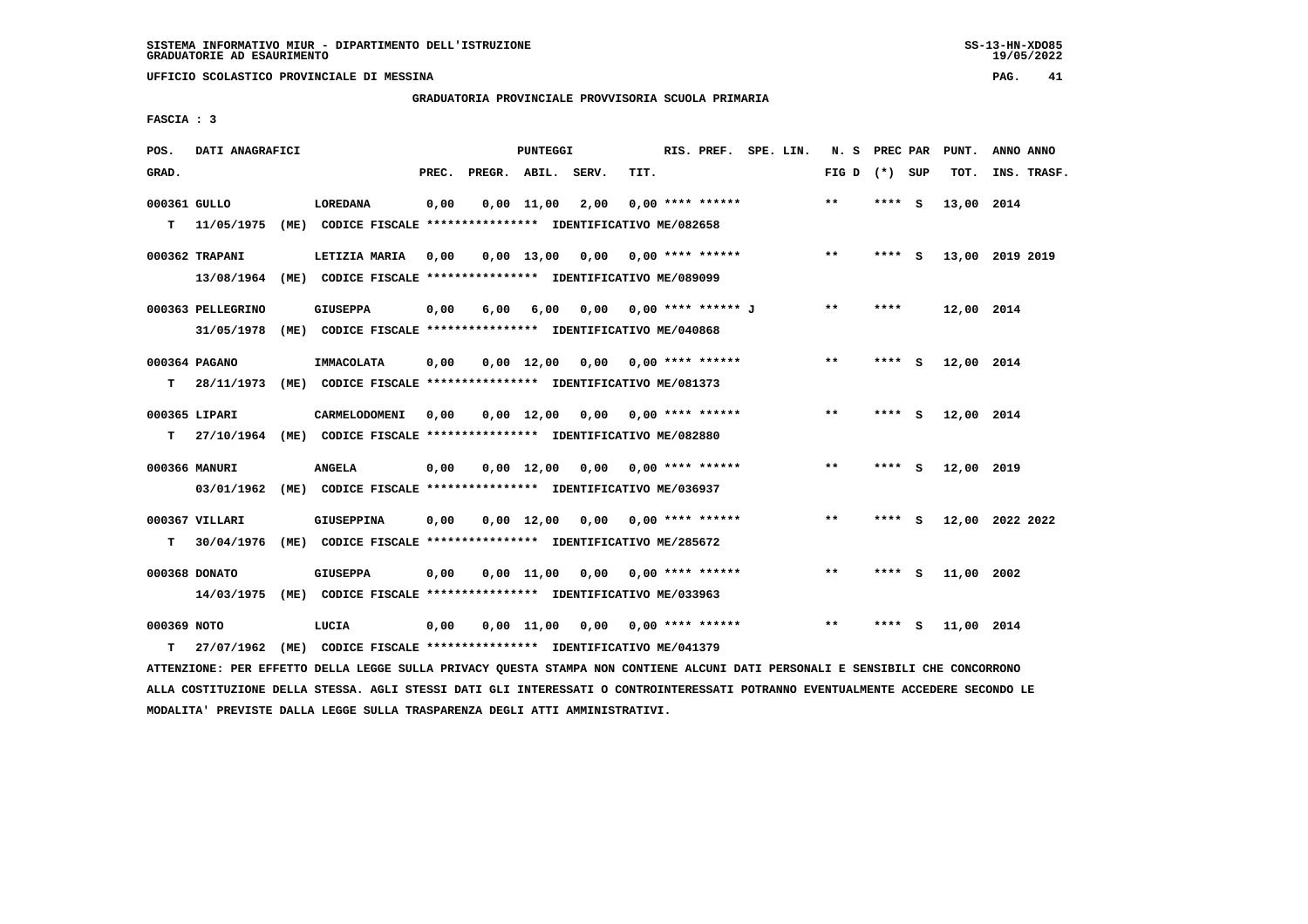**GRADUATORIA PROVINCIALE PROVVISORIA SCUOLA PRIMARIA**

 **FASCIA : 3**

| POS.         | DATI ANAGRAFICI   |      |                                                                                |       |                    | <b>PUNTEGGI</b>    |      |      | RIS. PREF. SPE. LIN.        |  | N.S   | PREC PAR |          | PUNT.      | ANNO ANNO       |  |
|--------------|-------------------|------|--------------------------------------------------------------------------------|-------|--------------------|--------------------|------|------|-----------------------------|--|-------|----------|----------|------------|-----------------|--|
| GRAD.        |                   |      |                                                                                | PREC. | PREGR. ABIL. SERV. |                    |      | TIT. |                             |  | FIG D | (*) SUP  |          | TOT.       | INS. TRASF.     |  |
| 000361 GULLO |                   |      | <b>LOREDANA</b>                                                                | 0,00  |                    | $0,00$ 11,00       | 2,00 |      | $0.00$ **** ******          |  | $* *$ | ****     | <b>S</b> | 13,00      | 2014            |  |
| т            | 11/05/1975        | (ME) | CODICE FISCALE **************** IDENTIFICATIVO ME/082658                       |       |                    |                    |      |      |                             |  |       |          |          |            |                 |  |
|              | 000362 TRAPANI    |      | LETIZIA MARIA                                                                  | 0,00  |                    | $0,00$ 13,00 0,00  |      |      | $0.00$ **** ******          |  | $***$ | ****     | - S      |            | 13,00 2019 2019 |  |
|              | 13/08/1964        |      | (ME) CODICE FISCALE **************** IDENTIFICATIVO ME/089099                  |       |                    |                    |      |      |                             |  |       |          |          |            |                 |  |
|              | 000363 PELLEGRINO |      | <b>GIUSEPPA</b>                                                                | 0,00  | 6,00               | 6,00               |      |      | $0,00$ $0,00$ **** ****** J |  | $***$ | ****     |          | 12,00 2014 |                 |  |
|              | 31/05/1978        |      | (ME) CODICE FISCALE **************** IDENTIFICATIVO ME/040868                  |       |                    |                    |      |      |                             |  |       |          |          |            |                 |  |
|              | 000364 PAGANO     |      | IMMACOLATA                                                                     | 0,00  |                    | 0,00 12,00         |      |      | $0,00$ $0,00$ **** ******   |  | $* *$ | ****     | - S      | 12,00 2014 |                 |  |
| т            | 28/11/1973        |      | (ME) CODICE FISCALE **************** IDENTIFICATIVO ME/081373                  |       |                    |                    |      |      |                             |  |       |          |          |            |                 |  |
|              | 000365 LIPARI     |      | CARMELODOMENI                                                                  | 0,00  |                    | $0,00 \quad 12,00$ |      |      | $0,00$ $0,00$ **** ******   |  | $* *$ | ****     | - 5      | 12,00 2014 |                 |  |
| т            | 27/10/1964        |      | (ME) CODICE FISCALE **************** IDENTIFICATIVO ME/082880                  |       |                    |                    |      |      |                             |  |       |          |          |            |                 |  |
|              |                   |      |                                                                                |       |                    |                    |      |      |                             |  | $***$ |          |          |            |                 |  |
|              | 000366 MANURI     |      | <b>ANGELA</b><br>(ME) CODICE FISCALE **************** IDENTIFICATIVO ME/036937 | 0,00  |                    | $0.00 \quad 12.00$ |      |      | $0.00$ $0.00$ **** ******   |  |       | ****     | - 5      | 12,00 2019 |                 |  |
|              | 03/01/1962        |      |                                                                                |       |                    |                    |      |      |                             |  |       |          |          |            |                 |  |
|              | 000367 VILLARI    |      | <b>GIUSEPPINA</b>                                                              | 0,00  |                    | 0,00 12,00         | 0,00 |      | $0.00$ **** ******          |  | $***$ | ****     | - S      |            | 12,00 2022 2022 |  |
| T.           | 30/04/1976        | (ME) | CODICE FISCALE **************** IDENTIFICATIVO ME/285672                       |       |                    |                    |      |      |                             |  |       |          |          |            |                 |  |
|              | 000368 DONATO     |      | <b>GIUSEPPA</b>                                                                | 0,00  |                    | $0,00$ 11,00       | 0,00 |      | $0.00$ **** ******          |  | $**$  | ****     | <b>S</b> | 11,00 2002 |                 |  |
|              | 14/03/1975        | (ME) | CODICE FISCALE **************** IDENTIFICATIVO ME/033963                       |       |                    |                    |      |      |                             |  |       |          |          |            |                 |  |
| 000369 NOTO  |                   |      | LUCIA                                                                          | 0.00  |                    | 0,00 11,00         |      |      | $0.00$ $0.00$ **** ******   |  | $* *$ | ****     | S.       | 11,00 2014 |                 |  |
| т            | 27/07/1962        | (ME) | CODICE FISCALE **************** IDENTIFICATIVO ME/041379                       |       |                    |                    |      |      |                             |  |       |          |          |            |                 |  |